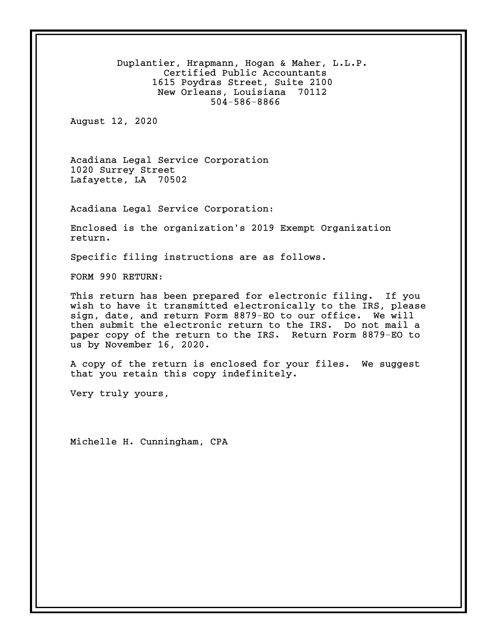Duplantier, Hrapmann, Hogan & Maher, L.L.P. Certified Public Accountants 1615 Poydras Street, Suite 2100 New Orleans, Louisiana 70112 504-586-8866 August 12, 2020 Acadiana Legal Service Corporation 1020 Surrey Street Lafayette, LA 70502 Acadiana Legal Service Corporation: Enclosed is the organization's 2019 Exempt Organization return. Specific filing instructions are as follows. FORM 990 RETURN: This return has been prepared for electronic filing. If you wish to have it transmitted electronically to the IRS, please sign, date, and return Form 8879-EO to our office. We will then submit the electronic return to the IRS. Do not mail a paper copy of the return to the IRS. Return Form 8879-EO to us by November 16, 2020. A copy of the return is enclosed for your files. We suggest that you retain this copy indefinitely. Very truly yours, Michelle H. Cunningham, CPA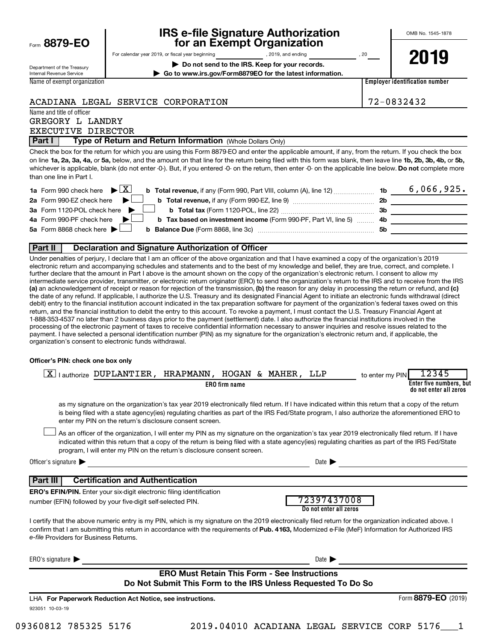|  | Form 8879-EO |  |  |  |
|--|--------------|--|--|--|
|--|--------------|--|--|--|

## **IRS e-file Signature Authorization 8879-EO for an Exempt Organization**

OMB No. 1545-1878

Department of the Treasury Internal Revenue Service Name of exempt organization For calendar year 2019, or fiscal year beginning and the set of 19. 2019, and ending the set of 20 years of 20 **| Do not send to the IRS. Keep for your records. | Go to www.irs.gov/Form8879EO for the latest information.**

**2019**

**Employer identification number**

ACADIANA LEGAL SERVICE CORPORATION 72-0832432

Name and title of officer GREGORY L LANDRY EXECUTIVE DIRECTOR

**Part I** | Type of Return and Return Information (Whole Dollars Only)

on line 1a, 2a, 3a, 4a, or 5a, below, and the amount on that line for the return being filed with this form was blank, then leave line 1b, 2b, 3b, 4b, or 5b, whichever is applicable, blank (do not enter -0-). But, if you entered -0- on the return, then enter -0- on the applicable line below. **Do not** complete more Check the box for the return for which you are using this Form 8879-EO and enter the applicable amount, if any, from the return. If you check the box than one line in Part I.

| <b>1a</b> Form 990 check here $\blacktriangleright \boxed{X}$                                          |           | 6,066,925. |
|--------------------------------------------------------------------------------------------------------|-----------|------------|
| 2a Form 990-EZ check here $\blacktriangleright$                                                        | 2b        |            |
| 3a Form 1120-POL check here                                                                            | - 3b      |            |
| 4a Form 990-PF check here<br><b>b</b> Tax based on investment income (Form 990-PF, Part VI, line 5) 4b |           |            |
| 5a Form 8868 check here $\blacktriangleright$                                                          | <b>5b</b> |            |
|                                                                                                        |           |            |

#### **Part II Declaration and Signature Authorization of Officer**

(a) an acknowledgement of receipt or reason for rejection of the transmission, (b) the reason for any delay in processing the return or refund, and (c) Under penalties of perjury, I declare that I am an officer of the above organization and that I have examined a copy of the organization's 2019 electronic return and accompanying schedules and statements and to the best of my knowledge and belief, they are true, correct, and complete. I further declare that the amount in Part I above is the amount shown on the copy of the organization's electronic return. I consent to allow my intermediate service provider, transmitter, or electronic return originator (ERO) to send the organization's return to the IRS and to receive from the IRS the date of any refund. If applicable, I authorize the U.S. Treasury and its designated Financial Agent to initiate an electronic funds withdrawal (direct debit) entry to the financial institution account indicated in the tax preparation software for payment of the organization's federal taxes owed on this return, and the financial institution to debit the entry to this account. To revoke a payment, I must contact the U.S. Treasury Financial Agent at 1-888-353-4537 no later than 2 business days prior to the payment (settlement) date. I also authorize the financial institutions involved in the processing of the electronic payment of taxes to receive confidential information necessary to answer inquiries and resolve issues related to the payment. I have selected a personal identification number (PIN) as my signature for the organization's electronic return and, if applicable, the organization's consent to electronic funds withdrawal.

#### **Officer's PIN: check one box only**

| lauthorize DUPLANTIER, HRAPMANN, HOGAN & MAHER, LLP<br><b>ERO</b> firm name                                                                                                                                                                                                                                                                                                      |                                                                                                                     | 12345<br>to enter my PIN<br>Enter five numbers, but<br>do not enter all zeros |
|----------------------------------------------------------------------------------------------------------------------------------------------------------------------------------------------------------------------------------------------------------------------------------------------------------------------------------------------------------------------------------|---------------------------------------------------------------------------------------------------------------------|-------------------------------------------------------------------------------|
| as my signature on the organization's tax year 2019 electronically filed return. If I have indicated within this return that a copy of the return<br>is being filed with a state agency(ies) regulating charities as part of the IRS Fed/State program, I also authorize the aforementioned ERO to<br>enter my PIN on the return's disclosure consent screen.                    |                                                                                                                     |                                                                               |
| As an officer of the organization, I will enter my PIN as my signature on the organization's tax year 2019 electronically filed return. If I have<br>indicated within this return that a copy of the return is being filed with a state agency(ies) regulating charities as part of the IRS Fed/State<br>program, I will enter my PIN on the return's disclosure consent screen. |                                                                                                                     |                                                                               |
| Officer's signature                                                                                                                                                                                                                                                                                                                                                              | Date $\blacktriangleright$                                                                                          |                                                                               |
| <b>Certification and Authentication</b><br>  Part III<br><b>ERO's EFIN/PIN.</b> Enter your six-digit electronic filing identification<br>number (EFIN) followed by your five-digit self-selected PIN.                                                                                                                                                                            | 72397437008<br>Do not enter all zeros                                                                               |                                                                               |
| I certify that the above numeric entry is my PIN, which is my signature on the 2019 electronically filed return for the organization indicated above. I<br>confirm that I am submitting this return in accordance with the requirements of Pub. 4163, Modernized e-File (MeF) Information for Authorized IRS<br>e-file Providers for Business Returns.                           |                                                                                                                     |                                                                               |
| ERO's signature $\blacktriangleright$                                                                                                                                                                                                                                                                                                                                            | Date $\blacktriangleright$                                                                                          |                                                                               |
|                                                                                                                                                                                                                                                                                                                                                                                  | <b>ERO Must Retain This Form - See Instructions</b><br>Do Not Submit This Form to the IRS Unless Requested To Do So |                                                                               |
| LHA For Paperwork Reduction Act Notice, see instructions.<br>923051 10-03-19                                                                                                                                                                                                                                                                                                     |                                                                                                                     | Form 8879-EO (2019)                                                           |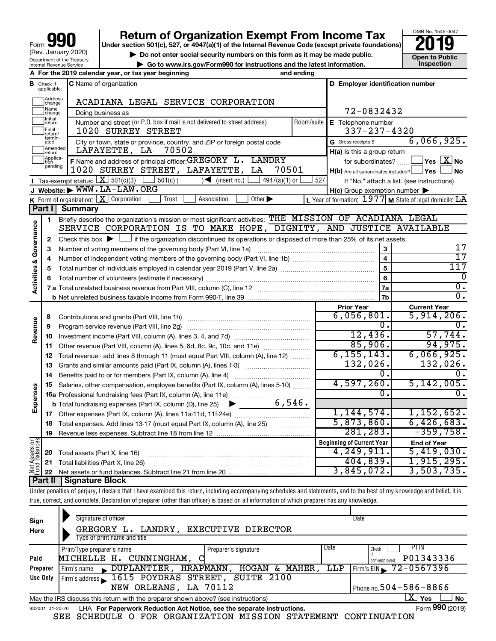## **Return of Organization Exempt From Income Tax**<br>r section 501(c), 527, or 4947(a)(1) of the Internal Revenue Code (except private foundations)<br>**2019**

**Under section 501(c), 527, or 4947(a)(1) of the Internal Revenue Code (except private foundations)**



**b** Do not enter social security numbers on this form as it may be made public.<br> **Go to www.irs.gov/Form990 for instructions and the latest information. This impection | Go to www.irs.gov/Form990 for instructions and the latest information. Inspection**

|              |                              | A For the 2019 calendar year, or tax year beginning                                                                                         | and ending |                                                     |                                                             |  |  |  |
|--------------|------------------------------|---------------------------------------------------------------------------------------------------------------------------------------------|------------|-----------------------------------------------------|-------------------------------------------------------------|--|--|--|
| в            | Check if<br>applicable:      | <b>C</b> Name of organization                                                                                                               |            | D Employer identification number                    |                                                             |  |  |  |
|              | Address<br> change           | ACADIANA LEGAL SERVICE CORPORATION                                                                                                          |            |                                                     |                                                             |  |  |  |
|              | Name<br>change               | Doing business as                                                                                                                           | 72-0832432 |                                                     |                                                             |  |  |  |
|              | Initial<br>return            | Number and street (or P.O. box if mail is not delivered to street address)                                                                  | Room/suite | E Telephone number                                  |                                                             |  |  |  |
|              | Final<br>return/             | 1020 SURREY STREET                                                                                                                          |            | $337 - 237 - 4320$                                  |                                                             |  |  |  |
|              | termin-<br>ated              | City or town, state or province, country, and ZIP or foreign postal code                                                                    |            | G Gross receipts \$                                 | 6,066,925.                                                  |  |  |  |
|              | Amended<br>return            | LAFAYETTE, LA<br>70502                                                                                                                      |            | $H(a)$ is this a group return                       |                                                             |  |  |  |
|              | Applica-<br>Ition<br>pending | F Name and address of principal officer: GREGORY L. LANDRY                                                                                  |            | for subordinates?                                   | $\sqrt{}$ Yes $\sqrt{ \times}$ No                           |  |  |  |
|              |                              | 1020 SURREY STREET, LAFAYETTE,<br>70501<br>LA                                                                                               |            | $H(b)$ Are all subordinates included? $\Box$ Yes    | No                                                          |  |  |  |
|              |                              | Tax-exempt status: $\boxed{\textbf{X}}$ 501(c)(3)<br>$4947(a)(1)$ or<br>$501(c)$ (<br>$\sqrt{\frac{1}{1}}$ (insert no.)                     | 527        |                                                     | If "No," attach a list. (see instructions)                  |  |  |  |
|              |                              | J Website: WWW.LA-LAW.ORG                                                                                                                   |            | $H(c)$ Group exemption number $\blacktriangleright$ |                                                             |  |  |  |
|              | Part II                      | <b>K</b> Form of organization: $X$ Corporation<br>Association<br>Other $\blacktriangleright$<br>Trust                                       |            |                                                     | L Year of formation: $1977$ M State of legal domicile: $LA$ |  |  |  |
|              |                              | Summary<br>Briefly describe the organization's mission or most significant activities: THE MISSION OF ACADIANA LEGAL                        |            |                                                     |                                                             |  |  |  |
|              | 1                            | SERVICE CORPORATION IS TO MAKE HOPE, DIGNITY, AND JUSTICE AVAILABLE                                                                         |            |                                                     |                                                             |  |  |  |
| Governance   | $\mathbf{2}$                 | Check this box $\blacktriangleright$ $\Box$ if the organization discontinued its operations or disposed of more than 25% of its net assets. |            |                                                     |                                                             |  |  |  |
|              | 3                            | Number of voting members of the governing body (Part VI, line 1a)                                                                           |            | 3                                                   | 17                                                          |  |  |  |
|              | 4                            |                                                                                                                                             |            |                                                     |                                                             |  |  |  |
|              | 5                            |                                                                                                                                             |            | $\overline{\mathbf{4}}$<br>5                        | $\overline{17}$<br>117                                      |  |  |  |
| Activities & | 6                            |                                                                                                                                             |            | 6                                                   | $\Omega$                                                    |  |  |  |
|              |                              |                                                                                                                                             |            | 7a                                                  | О.                                                          |  |  |  |
|              |                              |                                                                                                                                             |            | 7b                                                  | σ.                                                          |  |  |  |
|              |                              |                                                                                                                                             |            | <b>Prior Year</b>                                   | <b>Current Year</b>                                         |  |  |  |
|              | 8                            | Contributions and grants (Part VIII, line 1h)                                                                                               |            | 6,056,801.                                          | 5,914,206.                                                  |  |  |  |
| Revenue      | 9                            | Program service revenue (Part VIII, line 2g)                                                                                                |            | $\overline{0}$ .                                    | ο.                                                          |  |  |  |
|              | 10                           |                                                                                                                                             |            | 12,436.                                             | 57,744.                                                     |  |  |  |
|              | 11                           | Other revenue (Part VIII, column (A), lines 5, 6d, 8c, 9c, 10c, and 11e)                                                                    |            | 85,906.                                             | 94,975.                                                     |  |  |  |
|              | 12                           | Total revenue - add lines 8 through 11 (must equal Part VIII, column (A), line 12)                                                          |            | 6, 155, 143.                                        | 6,066,925.                                                  |  |  |  |
|              | 13                           | Grants and similar amounts paid (Part IX, column (A), lines 1-3)                                                                            |            | 132,026.                                            | $132,026$ .                                                 |  |  |  |
|              | 14                           | Benefits paid to or for members (Part IX, column (A), line 4)                                                                               |            | 0.                                                  | $\mathbf 0$ .                                               |  |  |  |
| Expenses     | 15                           | Salaries, other compensation, employee benefits (Part IX, column (A), lines 5-10)                                                           |            | 4,597,260.<br>0.                                    | 5,142,005.<br>0.                                            |  |  |  |
|              |                              | 6,546.                                                                                                                                      |            |                                                     |                                                             |  |  |  |
|              |                              | <b>b</b> Total fundraising expenses (Part IX, column (D), line 25)<br>▶                                                                     |            | 1, 144, 574.                                        | 1,152,652.                                                  |  |  |  |
|              |                              |                                                                                                                                             |            | 5,873,860.                                          | 6,426,683.                                                  |  |  |  |
|              | 18                           | Total expenses. Add lines 13-17 (must equal Part IX, column (A), line 25)                                                                   |            | 281, 283.                                           | $-359,758.$                                                 |  |  |  |
|              | 19                           |                                                                                                                                             |            | <b>Beginning of Current Year</b>                    | <b>End of Year</b>                                          |  |  |  |
| t Assets or  | 20                           | Total assets (Part X, line 16)                                                                                                              |            | 4,249,911.                                          | 5,419,030.                                                  |  |  |  |
|              | 21                           | Total liabilities (Part X, line 26)                                                                                                         |            | 404,839.                                            | 1,915,295.                                                  |  |  |  |
| Net          | 22                           |                                                                                                                                             |            | 3,845,072.                                          | 3,503,735.                                                  |  |  |  |
|              |                              | <b>Part II   Signature Block</b>                                                                                                            |            |                                                     |                                                             |  |  |  |

Under penalties of perjury, I declare that I have examined this return, including accompanying schedules and statements, and to the best of my knowledge and belief, it is true, correct, and complete. Declaration of preparer (other than officer) is based on all information of which preparer has any knowledge.

| Sign<br>Here    | Signature of officer<br>LANDRY, EXECUTIVE DIRECTOR<br>GREGORY<br>L.<br>Type or print name and title         |      | Date                                                    |  |  |  |  |
|-----------------|-------------------------------------------------------------------------------------------------------------|------|---------------------------------------------------------|--|--|--|--|
|                 | Print/Type preparer's name<br>Preparer's signature                                                          | Date | <b>PTIN</b><br>Check                                    |  |  |  |  |
| Paid            | MICHELLE H. CUNNINGHAM.                                                                                     |      | P01343336<br>self-emploved                              |  |  |  |  |
| Preparer        | HRAPMANN,<br>MAHER,<br>HOGAN<br>$\blacktriangleright$ DUPLANTIER,<br>&.<br>Firm's name                      | LLP  | Firm's EIN $\sqrt{72-0567396}$                          |  |  |  |  |
| Use Only        | Firm's address 1615 POYDRAS STREET, SUITE 2100                                                              |      |                                                         |  |  |  |  |
|                 | NEW ORLEANS, LA 70112                                                                                       |      | Phone no. $504 - 586 - 8866$                            |  |  |  |  |
|                 | ΧI<br><b>No</b><br>Yes<br>May the IRS discuss this return with the preparer shown above? (see instructions) |      |                                                         |  |  |  |  |
| 932001 01-20-20 | LHA For Paperwork Reduction Act Notice, see the separate instructions.                                      |      | Form 990 (2019)                                         |  |  |  |  |
|                 | COUFDIILE O FOR ORCANITZAMION MICCION CHAMEMENT<br>C D D .                                                  |      | $C$ $C$ $N$ $T$ $T$ $T$ $T$ $T$ $R$ $T$ $T$ $T$ $T$ $T$ |  |  |  |  |

SEE SCHEDULE O FOR ORGANIZATION MISSION STATEMENT CONTINUATION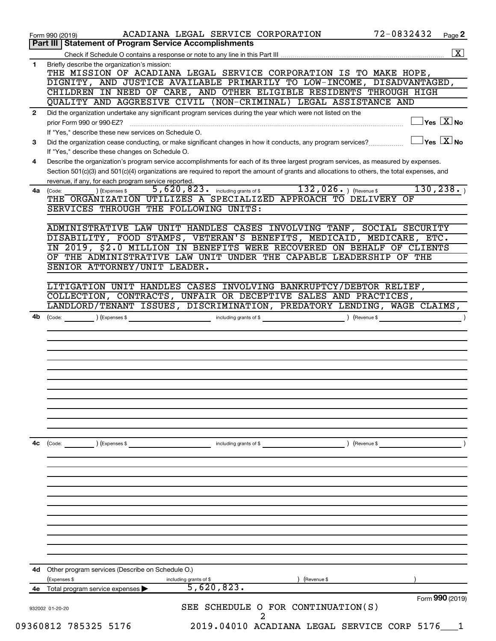|              | 72-0832432<br>ACADIANA LEGAL SERVICE CORPORATION<br>Page 2<br>Form 990 (2019)                                                                                            |
|--------------|--------------------------------------------------------------------------------------------------------------------------------------------------------------------------|
|              | Part III   Statement of Program Service Accomplishments                                                                                                                  |
|              | $\overline{\mathbf{X}}$                                                                                                                                                  |
| 1            | Briefly describe the organization's mission:<br>THE MISSION OF ACADIANA LEGAL SERVICE CORPORATION IS TO MAKE HOPE,                                                       |
|              | DIGNITY, AND JUSTICE AVAILABLE PRIMARILY TO LOW-INCOME, DISADVANTAGED,                                                                                                   |
|              | CHILDREN IN NEED OF CARE, AND OTHER ELIGIBLE RESIDENTS THROUGH HIGH                                                                                                      |
|              | QUALITY AND AGGRESIVE CIVIL (NON-CRIMINAL) LEGAL ASSISTANCE AND                                                                                                          |
| $\mathbf{2}$ | Did the organization undertake any significant program services during the year which were not listed on the                                                             |
|              | $\overline{\ }$ Yes $\overline{\ \ \ }$ No<br>prior Form 990 or 990-EZ?                                                                                                  |
|              | If "Yes," describe these new services on Schedule O.                                                                                                                     |
| 3            | $\overline{\ }$ Yes $\overline{\ \ \ }$ No<br>Did the organization cease conducting, or make significant changes in how it conducts, any program services?               |
|              | If "Yes," describe these changes on Schedule O.                                                                                                                          |
| 4            | Describe the organization's program service accomplishments for each of its three largest program services, as measured by expenses.                                     |
|              | Section 501(c)(3) and 501(c)(4) organizations are required to report the amount of grants and allocations to others, the total expenses, and                             |
|              | revenue, if any, for each program service reported.                                                                                                                      |
| 4a           | 132, $026.$ (Revenue \$<br>130, 238.<br>5,620,823. including grants of \$<br>) (Expenses \$<br>(Code:<br>THE ORGANIZATION UTILIZES A SPECIALIZED APPROACH TO DELIVERY OF |
|              | SERVICES THROUGH THE FOLLOWING UNITS:                                                                                                                                    |
|              |                                                                                                                                                                          |
|              | ADMINISTRATIVE LAW UNIT HANDLES CASES INVOLVING TANF, SOCIAL SECURITY                                                                                                    |
|              | DISABILITY, FOOD STAMPS, VETERAN'S BENEFITS, MEDICAID, MEDICARE, ETC.                                                                                                    |
|              | IN 2019, \$2.0 MILLION IN BENEFITS WERE RECOVERED ON BEHALF OF CLIENTS                                                                                                   |
|              | OF THE ADMINISTRATIVE LAW UNIT UNDER THE CAPABLE LEADERSHIP OF THE                                                                                                       |
|              | SENIOR ATTORNEY/UNIT LEADER.                                                                                                                                             |
|              |                                                                                                                                                                          |
|              | LITIGATION UNIT HANDLES CASES INVOLVING BANKRUPTCY/DEBTOR RELIEF,                                                                                                        |
|              | COLLECTION, CONTRACTS, UNFAIR OR DECEPTIVE SALES AND PRACTICES,<br>LANDLORD/TENANT ISSUES, DISCRIMINATION, PREDATORY LENDING, WAGE CLAIMS,                               |
| 4b           | (Revenue \$                                                                                                                                                              |
|              |                                                                                                                                                                          |
|              |                                                                                                                                                                          |
|              |                                                                                                                                                                          |
|              |                                                                                                                                                                          |
|              |                                                                                                                                                                          |
|              |                                                                                                                                                                          |
|              |                                                                                                                                                                          |
|              |                                                                                                                                                                          |
| 4с           | including grants of \$<br>) (Revenue \$<br>(Code:<br>) (Expenses \$                                                                                                      |
|              |                                                                                                                                                                          |
|              |                                                                                                                                                                          |
|              |                                                                                                                                                                          |
|              |                                                                                                                                                                          |
|              |                                                                                                                                                                          |
|              |                                                                                                                                                                          |
|              |                                                                                                                                                                          |
|              |                                                                                                                                                                          |
|              |                                                                                                                                                                          |
|              |                                                                                                                                                                          |
|              |                                                                                                                                                                          |
| 4d           | Other program services (Describe on Schedule O.)<br>(Expenses \$<br>including grants of \$<br>) (Revenue \$                                                              |
| 4e           | 5,620,823.<br>Total program service expenses                                                                                                                             |
|              | Form 990 (2019)                                                                                                                                                          |
|              | SEE SCHEDULE O FOR CONTINUATION(S)<br>932002 01-20-20                                                                                                                    |
|              | 2                                                                                                                                                                        |
|              | 2019.04010 ACADIANA LEGAL SERVICE CORP 5176<br>09360812 785325 5176                                                                                                      |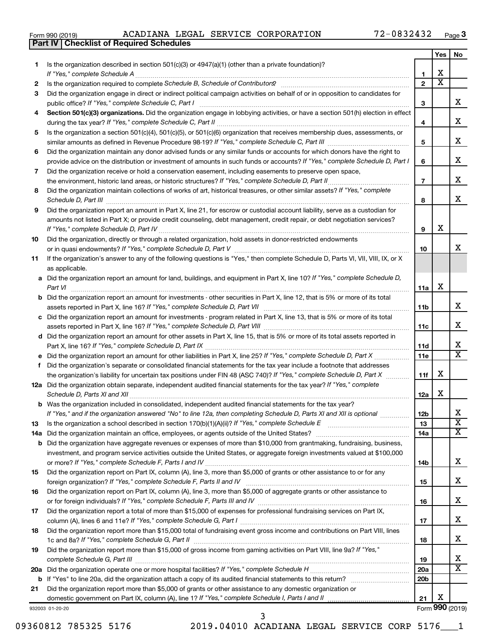|  | Form 990 (2019) |  |
|--|-----------------|--|
|  |                 |  |

**Part IV Checklist of Required Schedules**

Form 990 (2019) ACADIANA LEGAL SERVICE CORPORATION 72-0832432 <sub>Page</sub>

|    |                                                                                                                                                                                                                                                                |                 | Yes                     | No                      |
|----|----------------------------------------------------------------------------------------------------------------------------------------------------------------------------------------------------------------------------------------------------------------|-----------------|-------------------------|-------------------------|
| 1  | Is the organization described in section $501(c)(3)$ or $4947(a)(1)$ (other than a private foundation)?                                                                                                                                                        |                 |                         |                         |
|    | If "Yes," complete Schedule A                                                                                                                                                                                                                                  | 1               | х                       |                         |
| 2  |                                                                                                                                                                                                                                                                | $\mathbf{2}$    | $\overline{\textbf{x}}$ |                         |
| 3  | Did the organization engage in direct or indirect political campaign activities on behalf of or in opposition to candidates for                                                                                                                                |                 |                         | x                       |
|    | public office? If "Yes," complete Schedule C, Part I                                                                                                                                                                                                           | 3               |                         |                         |
| 4  | Section 501(c)(3) organizations. Did the organization engage in lobbying activities, or have a section 501(h) election in effect                                                                                                                               | 4               |                         | x                       |
| 5  | Is the organization a section 501(c)(4), 501(c)(5), or 501(c)(6) organization that receives membership dues, assessments, or                                                                                                                                   |                 |                         |                         |
|    |                                                                                                                                                                                                                                                                | 5               |                         | x                       |
| 6  | Did the organization maintain any donor advised funds or any similar funds or accounts for which donors have the right to                                                                                                                                      |                 |                         |                         |
|    | provide advice on the distribution or investment of amounts in such funds or accounts? If "Yes," complete Schedule D, Part I                                                                                                                                   | 6               |                         | x                       |
| 7  | Did the organization receive or hold a conservation easement, including easements to preserve open space,                                                                                                                                                      |                 |                         |                         |
|    |                                                                                                                                                                                                                                                                | $\overline{7}$  |                         | х                       |
| 8  | Did the organization maintain collections of works of art, historical treasures, or other similar assets? If "Yes," complete                                                                                                                                   |                 |                         |                         |
|    |                                                                                                                                                                                                                                                                | 8               |                         | х                       |
| 9  | Did the organization report an amount in Part X, line 21, for escrow or custodial account liability, serve as a custodian for                                                                                                                                  |                 |                         |                         |
|    | amounts not listed in Part X; or provide credit counseling, debt management, credit repair, or debt negotiation services?                                                                                                                                      |                 |                         |                         |
|    |                                                                                                                                                                                                                                                                | 9               | х                       |                         |
| 10 | Did the organization, directly or through a related organization, hold assets in donor-restricted endowments                                                                                                                                                   |                 |                         | х                       |
| 11 | If the organization's answer to any of the following questions is "Yes," then complete Schedule D, Parts VI, VII, VIII, IX, or X                                                                                                                               | 10              |                         |                         |
|    | as applicable.                                                                                                                                                                                                                                                 |                 |                         |                         |
|    | a Did the organization report an amount for land, buildings, and equipment in Part X, line 10? If "Yes," complete Schedule D,                                                                                                                                  |                 |                         |                         |
|    | Part VI                                                                                                                                                                                                                                                        | 11a             | х                       |                         |
|    | <b>b</b> Did the organization report an amount for investments - other securities in Part X, line 12, that is 5% or more of its total                                                                                                                          |                 |                         |                         |
|    |                                                                                                                                                                                                                                                                | 11b             |                         | x                       |
|    | c Did the organization report an amount for investments - program related in Part X, line 13, that is 5% or more of its total                                                                                                                                  |                 |                         |                         |
|    |                                                                                                                                                                                                                                                                | 11c             |                         | x                       |
|    | d Did the organization report an amount for other assets in Part X, line 15, that is 5% or more of its total assets reported in                                                                                                                                |                 |                         | х                       |
|    | e Did the organization report an amount for other liabilities in Part X, line 25? If "Yes," complete Schedule D, Part X                                                                                                                                        | 11d<br>11e      |                         | $\overline{\mathtt{x}}$ |
| f. | Did the organization's separate or consolidated financial statements for the tax year include a footnote that addresses                                                                                                                                        |                 |                         |                         |
|    | the organization's liability for uncertain tax positions under FIN 48 (ASC 740)? If "Yes," complete Schedule D, Part X                                                                                                                                         | 11f             | х                       |                         |
|    | 12a Did the organization obtain separate, independent audited financial statements for the tax year? If "Yes," complete                                                                                                                                        |                 |                         |                         |
|    | Schedule D, Parts XI and XII                                                                                                                                                                                                                                   | 12a             | х                       |                         |
|    | b Was the organization included in consolidated, independent audited financial statements for the tax year?                                                                                                                                                    |                 |                         |                         |
|    | If "Yes," and if the organization answered "No" to line 12a, then completing Schedule D, Parts XI and XII is optional www.                                                                                                                                     | 12 <sub>b</sub> |                         |                         |
| 13 | Is the organization a school described in section $170(b)(1)(A)(ii)?$ If "Yes," complete Schedule E                                                                                                                                                            | 13              |                         | $\overline{\textbf{x}}$ |
|    | 14a Did the organization maintain an office, employees, or agents outside of the United States?                                                                                                                                                                | 14a             |                         | X                       |
|    | <b>b</b> Did the organization have aggregate revenues or expenses of more than \$10,000 from grantmaking, fundraising, business,<br>investment, and program service activities outside the United States, or aggregate foreign investments valued at \$100,000 |                 |                         |                         |
|    |                                                                                                                                                                                                                                                                | 14b             |                         | x                       |
| 15 | Did the organization report on Part IX, column (A), line 3, more than \$5,000 of grants or other assistance to or for any                                                                                                                                      |                 |                         |                         |
|    |                                                                                                                                                                                                                                                                | 15              |                         | x                       |
| 16 | Did the organization report on Part IX, column (A), line 3, more than \$5,000 of aggregate grants or other assistance to                                                                                                                                       |                 |                         |                         |
|    |                                                                                                                                                                                                                                                                | 16              |                         | x                       |
| 17 | Did the organization report a total of more than \$15,000 of expenses for professional fundraising services on Part IX,                                                                                                                                        |                 |                         |                         |
|    |                                                                                                                                                                                                                                                                | 17              |                         | x                       |
| 18 | Did the organization report more than \$15,000 total of fundraising event gross income and contributions on Part VIII, lines                                                                                                                                   |                 |                         | x                       |
| 19 | Did the organization report more than \$15,000 of gross income from gaming activities on Part VIII, line 9a? If "Yes,"                                                                                                                                         | 18              |                         |                         |
|    |                                                                                                                                                                                                                                                                | 19              |                         | x                       |
|    |                                                                                                                                                                                                                                                                | 20a             |                         | $\overline{\mathbf{X}}$ |
|    |                                                                                                                                                                                                                                                                | 20b             |                         |                         |
| 21 | Did the organization report more than \$5,000 of grants or other assistance to any domestic organization or                                                                                                                                                    |                 |                         |                         |
|    |                                                                                                                                                                                                                                                                | 21              | х                       |                         |
|    | 932003 01-20-20                                                                                                                                                                                                                                                |                 |                         | Form 990 (2019)         |

932003 01-20-20

09360812 785325 5176 2019.04010 ACADIANA LEGAL SERVICE CORP 5176 1 3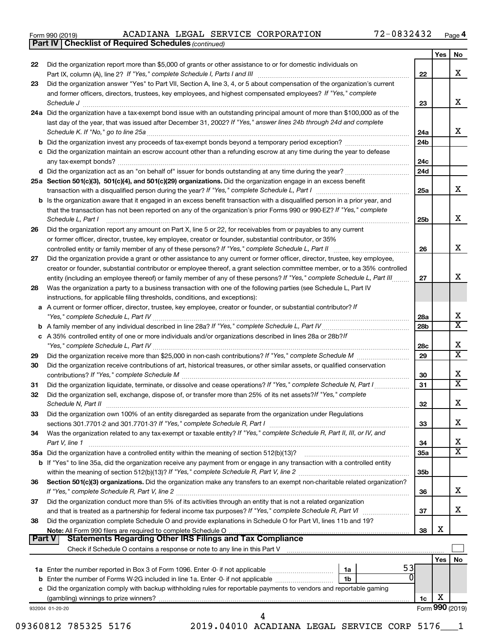|  | Form 990 (2019) |
|--|-----------------|
|  |                 |

*(continued)* **Part IV Checklist of Required Schedules**

|               |                                                                                                                                                                                                                                                       |                 | Yes | No.                     |
|---------------|-------------------------------------------------------------------------------------------------------------------------------------------------------------------------------------------------------------------------------------------------------|-----------------|-----|-------------------------|
| 22            | Did the organization report more than \$5,000 of grants or other assistance to or for domestic individuals on                                                                                                                                         |                 |     | X                       |
| 23            | Did the organization answer "Yes" to Part VII, Section A, line 3, 4, or 5 about compensation of the organization's current                                                                                                                            | 22              |     |                         |
|               | and former officers, directors, trustees, key employees, and highest compensated employees? If "Yes," complete                                                                                                                                        |                 |     |                         |
|               | Schedule J                                                                                                                                                                                                                                            | 23              |     | x                       |
|               | 24a Did the organization have a tax-exempt bond issue with an outstanding principal amount of more than \$100,000 as of the                                                                                                                           |                 |     |                         |
|               | last day of the year, that was issued after December 31, 2002? If "Yes," answer lines 24b through 24d and complete                                                                                                                                    |                 |     |                         |
|               |                                                                                                                                                                                                                                                       | 24a             |     | x                       |
|               |                                                                                                                                                                                                                                                       | 24 <sub>b</sub> |     |                         |
|               | c Did the organization maintain an escrow account other than a refunding escrow at any time during the year to defease                                                                                                                                |                 |     |                         |
|               |                                                                                                                                                                                                                                                       | 24c             |     |                         |
|               |                                                                                                                                                                                                                                                       | 24d             |     |                         |
|               | 25a Section 501(c)(3), 501(c)(4), and 501(c)(29) organizations. Did the organization engage in an excess benefit                                                                                                                                      |                 |     | X.                      |
|               |                                                                                                                                                                                                                                                       | 25a             |     |                         |
|               | b Is the organization aware that it engaged in an excess benefit transaction with a disqualified person in a prior year, and<br>that the transaction has not been reported on any of the organization's prior Forms 990 or 990-EZ? If "Yes," complete |                 |     |                         |
|               | Schedule L, Part I                                                                                                                                                                                                                                    | 25b             |     | х                       |
| 26            | Did the organization report any amount on Part X, line 5 or 22, for receivables from or payables to any current                                                                                                                                       |                 |     |                         |
|               | or former officer, director, trustee, key employee, creator or founder, substantial contributor, or 35%                                                                                                                                               |                 |     |                         |
|               | controlled entity or family member of any of these persons? If "Yes," complete Schedule L, Part II                                                                                                                                                    | 26              |     | x                       |
| 27            | Did the organization provide a grant or other assistance to any current or former officer, director, trustee, key employee,                                                                                                                           |                 |     |                         |
|               | creator or founder, substantial contributor or employee thereof, a grant selection committee member, or to a 35% controlled                                                                                                                           |                 |     |                         |
|               | entity (including an employee thereof) or family member of any of these persons? If "Yes," complete Schedule L, Part III                                                                                                                              | 27              |     | х                       |
| 28            | Was the organization a party to a business transaction with one of the following parties (see Schedule L, Part IV                                                                                                                                     |                 |     |                         |
|               | instructions, for applicable filing thresholds, conditions, and exceptions):                                                                                                                                                                          |                 |     |                         |
| a             | A current or former officer, director, trustee, key employee, creator or founder, or substantial contributor? If                                                                                                                                      |                 |     | x                       |
|               |                                                                                                                                                                                                                                                       | 28a<br>28b      |     | $\overline{\textbf{x}}$ |
|               | c A 35% controlled entity of one or more individuals and/or organizations described in lines 28a or 28b?/f                                                                                                                                            |                 |     |                         |
|               |                                                                                                                                                                                                                                                       | 28c             |     | х                       |
| 29            |                                                                                                                                                                                                                                                       | 29              |     | $\overline{\texttt{x}}$ |
| 30            | Did the organization receive contributions of art, historical treasures, or other similar assets, or qualified conservation                                                                                                                           |                 |     |                         |
|               |                                                                                                                                                                                                                                                       | 30              |     | х                       |
| 31            | Did the organization liquidate, terminate, or dissolve and cease operations? If "Yes," complete Schedule N, Part I                                                                                                                                    | 31              |     | $\overline{\mathbf{X}}$ |
| 32            | Did the organization sell, exchange, dispose of, or transfer more than 25% of its net assets? If "Yes," complete                                                                                                                                      |                 |     |                         |
|               | Schedule N, Part II                                                                                                                                                                                                                                   | 32              |     | х                       |
| 33            | Did the organization own 100% of an entity disregarded as separate from the organization under Regulations                                                                                                                                            |                 |     |                         |
|               | sections 301.7701-2 and 301.7701-3? If "Yes," complete Schedule R, Part I                                                                                                                                                                             | 33              |     | х                       |
| 34            | Was the organization related to any tax-exempt or taxable entity? If "Yes," complete Schedule R, Part II, III, or IV, and                                                                                                                             |                 |     | x                       |
|               | Part V, line 1<br>35a Did the organization have a controlled entity within the meaning of section 512(b)(13)?                                                                                                                                         | 34<br>35a       |     | $\overline{\mathbf{X}}$ |
|               | <b>b</b> If "Yes" to line 35a, did the organization receive any payment from or engage in any transaction with a controlled entity                                                                                                                    |                 |     |                         |
|               |                                                                                                                                                                                                                                                       | 35b             |     |                         |
| 36            | Section 501(c)(3) organizations. Did the organization make any transfers to an exempt non-charitable related organization?                                                                                                                            |                 |     |                         |
|               |                                                                                                                                                                                                                                                       | 36              |     | х                       |
| 37            | Did the organization conduct more than 5% of its activities through an entity that is not a related organization                                                                                                                                      |                 |     |                         |
|               |                                                                                                                                                                                                                                                       | 37              |     | х                       |
| 38            | Did the organization complete Schedule O and provide explanations in Schedule O for Part VI, lines 11b and 19?                                                                                                                                        |                 |     |                         |
|               | Note: All Form 990 filers are required to complete Schedule O                                                                                                                                                                                         | 38              | Х   |                         |
| <b>Part V</b> | <b>Statements Regarding Other IRS Filings and Tax Compliance</b>                                                                                                                                                                                      |                 |     |                         |
|               |                                                                                                                                                                                                                                                       |                 | Yes | No                      |
|               | 53<br>1a                                                                                                                                                                                                                                              |                 |     |                         |
|               | 0<br><b>b</b> Enter the number of Forms W-2G included in line 1a. Enter -0- if not applicable<br>1b                                                                                                                                                   |                 |     |                         |
|               | c Did the organization comply with backup withholding rules for reportable payments to vendors and reportable gaming                                                                                                                                  |                 |     |                         |
|               |                                                                                                                                                                                                                                                       | 1c              | Х   |                         |
|               | 932004 01-20-20                                                                                                                                                                                                                                       |                 |     | Form 990 (2019)         |
|               | 4                                                                                                                                                                                                                                                     |                 |     |                         |

09360812 785325 5176 2019.04010 ACADIANA LEGAL SERVICE CORP 5176\_\_\_1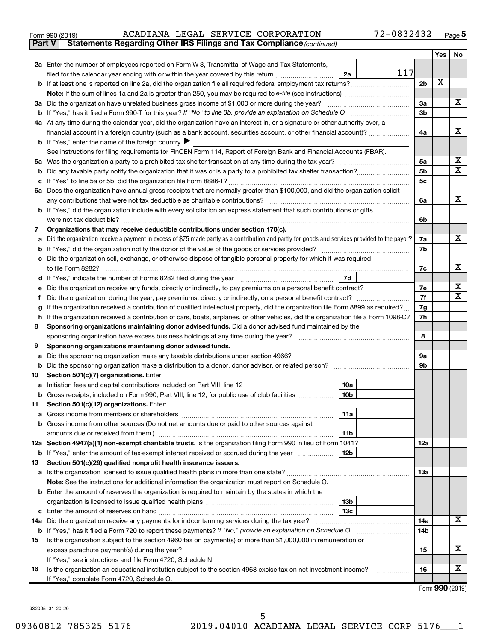| Form 990 (2019) |  |  |  |  | ACADIANA LEGAL SERVICE CORPORATION | 72-0832432 | Page |  |
|-----------------|--|--|--|--|------------------------------------|------------|------|--|
|-----------------|--|--|--|--|------------------------------------|------------|------|--|

**Part V Statements Regarding Other IRS Filings and Tax Compliance**

*(continued)*

|    |                                                                                                                                                                                                                                  |                | Yes | No                      |
|----|----------------------------------------------------------------------------------------------------------------------------------------------------------------------------------------------------------------------------------|----------------|-----|-------------------------|
|    | 2a Enter the number of employees reported on Form W-3, Transmittal of Wage and Tax Statements,                                                                                                                                   |                |     |                         |
|    | 117<br>filed for the calendar year ending with or within the year covered by this return<br>2a                                                                                                                                   |                |     |                         |
|    |                                                                                                                                                                                                                                  | 2b             | х   |                         |
|    |                                                                                                                                                                                                                                  |                |     |                         |
|    | 3a Did the organization have unrelated business gross income of \$1,000 or more during the year?                                                                                                                                 | За             |     | X.                      |
|    |                                                                                                                                                                                                                                  | 3b             |     |                         |
|    | 4a At any time during the calendar year, did the organization have an interest in, or a signature or other authority over, a                                                                                                     |                |     |                         |
|    | financial account in a foreign country (such as a bank account, securities account, or other financial account)?                                                                                                                 | 4a             |     | x                       |
|    | <b>b</b> If "Yes," enter the name of the foreign country                                                                                                                                                                         |                |     |                         |
|    | See instructions for filing requirements for FinCEN Form 114, Report of Foreign Bank and Financial Accounts (FBAR).                                                                                                              |                |     |                         |
|    |                                                                                                                                                                                                                                  | 5a             |     | х                       |
| b  |                                                                                                                                                                                                                                  | 5b             |     | X                       |
|    |                                                                                                                                                                                                                                  | 5 <sub>c</sub> |     |                         |
|    | 6a Does the organization have annual gross receipts that are normally greater than \$100,000, and did the organization solicit                                                                                                   |                |     | x                       |
|    | any contributions that were not tax deductible as charitable contributions?                                                                                                                                                      | 6a             |     |                         |
|    | b If "Yes," did the organization include with every solicitation an express statement that such contributions or gifts                                                                                                           |                |     |                         |
|    | were not tax deductible?                                                                                                                                                                                                         | 6b             |     |                         |
| 7  | Organizations that may receive deductible contributions under section 170(c).<br>Did the organization receive a payment in excess of \$75 made partly as a contribution and partly for goods and services provided to the payor? | 7a             |     | X.                      |
| b  |                                                                                                                                                                                                                                  | 7b             |     |                         |
|    | Did the organization sell, exchange, or otherwise dispose of tangible personal property for which it was required                                                                                                                |                |     |                         |
|    | to file Form 8282?                                                                                                                                                                                                               | 7c             |     | x                       |
| d  | 7d                                                                                                                                                                                                                               |                |     |                         |
|    |                                                                                                                                                                                                                                  | 7е             |     | x                       |
|    |                                                                                                                                                                                                                                  | 7f             |     | $\overline{\mathbf{X}}$ |
| g  | If the organization received a contribution of qualified intellectual property, did the organization file Form 8899 as required?                                                                                                 | 7g             |     |                         |
| h. | If the organization received a contribution of cars, boats, airplanes, or other vehicles, did the organization file a Form 1098-C?                                                                                               | 7h             |     |                         |
| 8  | Sponsoring organizations maintaining donor advised funds. Did a donor advised fund maintained by the                                                                                                                             |                |     |                         |
|    | sponsoring organization have excess business holdings at any time during the year?<br>and a series of the contract of the contract of the contract of the contract of the contract of the contract o                             | 8              |     |                         |
| 9  | Sponsoring organizations maintaining donor advised funds.                                                                                                                                                                        |                |     |                         |
| a  | Did the sponsoring organization make any taxable distributions under section 4966?                                                                                                                                               | 9а             |     |                         |
| b  |                                                                                                                                                                                                                                  | 9b             |     |                         |
| 10 | Section 501(c)(7) organizations. Enter:                                                                                                                                                                                          |                |     |                         |
| а  | 10a                                                                                                                                                                                                                              |                |     |                         |
| b  | 10 <sub>b</sub><br>Gross receipts, included on Form 990, Part VIII, line 12, for public use of club facilities                                                                                                                   |                |     |                         |
| 11 | Section 501(c)(12) organizations. Enter:                                                                                                                                                                                         |                |     |                         |
|    | 11a                                                                                                                                                                                                                              |                |     |                         |
|    | <b>b</b> Gross income from other sources (Do not net amounts due or paid to other sources against                                                                                                                                |                |     |                         |
|    | amounts due or received from them.)<br>11b                                                                                                                                                                                       |                |     |                         |
|    | 12a Section 4947(a)(1) non-exempt charitable trusts. Is the organization filing Form 990 in lieu of Form 1041?                                                                                                                   | 12a            |     |                         |
|    | <b>b</b> If "Yes," enter the amount of tax-exempt interest received or accrued during the year<br>12b                                                                                                                            |                |     |                         |
| 13 | Section 501(c)(29) qualified nonprofit health insurance issuers.<br>a Is the organization licensed to issue qualified health plans in more than one state?                                                                       | 13a            |     |                         |
|    | Note: See the instructions for additional information the organization must report on Schedule O.                                                                                                                                |                |     |                         |
|    | <b>b</b> Enter the amount of reserves the organization is required to maintain by the states in which the                                                                                                                        |                |     |                         |
|    | 13 <sub>b</sub>                                                                                                                                                                                                                  |                |     |                         |
| c  | 13с                                                                                                                                                                                                                              |                |     |                         |
|    | 14a Did the organization receive any payments for indoor tanning services during the tax year?                                                                                                                                   | 14a            |     | x                       |
|    | <b>b</b> If "Yes," has it filed a Form 720 to report these payments? If "No," provide an explanation on Schedule O                                                                                                               | 14b            |     |                         |
| 15 | Is the organization subject to the section 4960 tax on payment(s) of more than \$1,000,000 in remuneration or                                                                                                                    |                |     |                         |
|    | excess parachute payment(s) during the year?                                                                                                                                                                                     | 15             |     | x                       |
|    | If "Yes," see instructions and file Form 4720, Schedule N.                                                                                                                                                                       |                |     |                         |
| 16 | Is the organization an educational institution subject to the section 4968 excise tax on net investment income?                                                                                                                  | 16             |     | х                       |
|    | If "Yes," complete Form 4720, Schedule O.                                                                                                                                                                                        |                |     |                         |

Form (2019) **990**

932005 01-20-20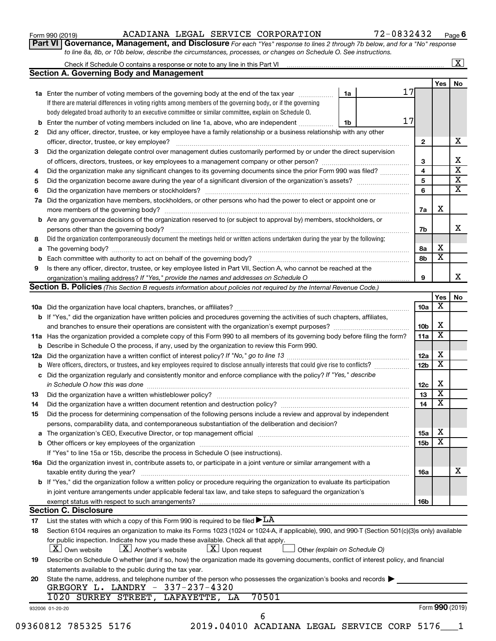| Form 990 (2019) |  |
|-----------------|--|
|-----------------|--|

#### Form 990 (2019) ACADIANA LEGAL SERVICE CORPORATION 72-0832432 <sub>Page</sub>

**Part VI** Governance, Management, and Disclosure For each "Yes" response to lines 2 through 7b below, and for a "No" response *to line 8a, 8b, or 10b below, describe the circumstances, processes, or changes on Schedule O. See instructions.*

|     | Check if Schedule O contains a response or note to any line in this Part VI [11] [12] Check if Schedule O contains a response or note to any line in this Part VI |                               |                 |                         | $\overline{\mathbf{x}}$ |
|-----|-------------------------------------------------------------------------------------------------------------------------------------------------------------------|-------------------------------|-----------------|-------------------------|-------------------------|
|     | <b>Section A. Governing Body and Management</b>                                                                                                                   |                               |                 |                         |                         |
|     |                                                                                                                                                                   |                               |                 | Yes                     | No                      |
|     | 1a Enter the number of voting members of the governing body at the end of the tax year                                                                            | 1a                            | 17              |                         |                         |
|     | If there are material differences in voting rights among members of the governing body, or if the governing                                                       |                               |                 |                         |                         |
|     | body delegated broad authority to an executive committee or similar committee, explain on Schedule O.                                                             |                               |                 |                         |                         |
|     | <b>b</b> Enter the number of voting members included on line 1a, above, who are independent                                                                       | 1b                            | 17              |                         |                         |
| 2   | Did any officer, director, trustee, or key employee have a family relationship or a business relationship with any other                                          |                               |                 |                         |                         |
|     | officer, director, trustee, or key employee?                                                                                                                      |                               | $\mathbf{2}$    |                         | х                       |
| 3   | Did the organization delegate control over management duties customarily performed by or under the direct supervision                                             |                               |                 |                         |                         |
|     |                                                                                                                                                                   |                               | 3               |                         | х                       |
| 4   | Did the organization make any significant changes to its governing documents since the prior Form 990 was filed?                                                  |                               | 4               |                         | $\overline{\mathbf{x}}$ |
| 5   |                                                                                                                                                                   |                               | 5               |                         | $\overline{\mathbf{x}}$ |
| 6   |                                                                                                                                                                   |                               | 6               |                         | $\overline{\textbf{x}}$ |
| 7a  | Did the organization have members, stockholders, or other persons who had the power to elect or appoint one or                                                    |                               |                 |                         |                         |
|     |                                                                                                                                                                   |                               | 7a              | х                       |                         |
|     | <b>b</b> Are any governance decisions of the organization reserved to (or subject to approval by) members, stockholders, or                                       |                               |                 |                         |                         |
|     | persons other than the governing body?                                                                                                                            |                               | 7b              |                         | x                       |
| 8   | Did the organization contemporaneously document the meetings held or written actions undertaken during the year by the following:                                 |                               |                 |                         |                         |
|     |                                                                                                                                                                   |                               | 8a              | X                       |                         |
|     |                                                                                                                                                                   |                               | 8b              | $\overline{\textbf{x}}$ |                         |
| 9   | Is there any officer, director, trustee, or key employee listed in Part VII, Section A, who cannot be reached at the                                              |                               |                 |                         |                         |
|     | organization's mailing address? If "Yes," provide the names and addresses on Schedule O manual content content                                                    |                               | 9               |                         | х                       |
|     | Section B. Policies (This Section B requests information about policies not required by the Internal Revenue Code.)                                               |                               |                 |                         |                         |
|     |                                                                                                                                                                   |                               |                 | Yes                     | No                      |
|     |                                                                                                                                                                   |                               | 10a             | х                       |                         |
|     | <b>b</b> If "Yes," did the organization have written policies and procedures governing the activities of such chapters, affiliates,                               |                               |                 |                         |                         |
|     |                                                                                                                                                                   |                               | 10b             | х                       |                         |
|     | 11a Has the organization provided a complete copy of this Form 990 to all members of its governing body before filing the form?                                   |                               | 11a             | $\overline{\textbf{x}}$ |                         |
|     | <b>b</b> Describe in Schedule O the process, if any, used by the organization to review this Form 990.                                                            |                               |                 |                         |                         |
| 12a |                                                                                                                                                                   |                               | 12a             | х                       |                         |
| b   |                                                                                                                                                                   |                               | 12 <sub>b</sub> | $\overline{\textbf{x}}$ |                         |
|     | c Did the organization regularly and consistently monitor and enforce compliance with the policy? If "Yes," describe                                              |                               |                 |                         |                         |
|     | in Schedule O how this was done <i>machine and a continuum continuum continuum continuum continuum continuum continuum</i>                                        |                               | 12c             | х                       |                         |
| 13  |                                                                                                                                                                   |                               | 13              | $\overline{\mathbf{x}}$ |                         |
| 14  | Did the organization have a written document retention and destruction policy? [11] manufaction manufaction in                                                    |                               | 14              | $\overline{\mathbf{x}}$ |                         |
| 15  | Did the process for determining compensation of the following persons include a review and approval by independent                                                |                               |                 |                         |                         |
|     | persons, comparability data, and contemporaneous substantiation of the deliberation and decision?                                                                 |                               |                 |                         |                         |
|     |                                                                                                                                                                   |                               | <b>15a</b>      | х                       |                         |
|     |                                                                                                                                                                   |                               | 15b             | $\overline{\textbf{x}}$ |                         |
|     | If "Yes" to line 15a or 15b, describe the process in Schedule O (see instructions).                                                                               |                               |                 |                         |                         |
|     | 16a Did the organization invest in, contribute assets to, or participate in a joint venture or similar arrangement with a                                         |                               |                 |                         |                         |
|     | taxable entity during the year?                                                                                                                                   |                               | 16a             |                         | X                       |
|     | b If "Yes," did the organization follow a written policy or procedure requiring the organization to evaluate its participation                                    |                               |                 |                         |                         |
|     | in joint venture arrangements under applicable federal tax law, and take steps to safeguard the organization's                                                    |                               |                 |                         |                         |
|     | exempt status with respect to such arrangements?                                                                                                                  |                               | 16b             |                         |                         |
|     | <b>Section C. Disclosure</b>                                                                                                                                      |                               |                 |                         |                         |
|     | List the states with which a copy of this Form 990 is required to be filed $\blacktriangleright$ LA                                                               |                               |                 |                         |                         |
| 17  |                                                                                                                                                                   |                               |                 |                         |                         |
| 18  | Section 6104 requires an organization to make its Forms 1023 (1024 or 1024-A, if applicable), 990, and 990-T (Section 501(c)(3)s only) available                  |                               |                 |                         |                         |
|     | for public inspection. Indicate how you made these available. Check all that apply.                                                                               |                               |                 |                         |                         |
|     | $\lfloor x \rfloor$ Upon request<br>  X   Own website<br>$\lfloor X \rfloor$ Another's website                                                                    | Other (explain on Schedule O) |                 |                         |                         |
| 19  | Describe on Schedule O whether (and if so, how) the organization made its governing documents, conflict of interest policy, and financial                         |                               |                 |                         |                         |
|     | statements available to the public during the tax year.                                                                                                           |                               |                 |                         |                         |
| 20  | State the name, address, and telephone number of the person who possesses the organization's books and records $\blacktriangleright$                              |                               |                 |                         |                         |
|     | GREGORY L. LANDRY - 337-237-4320                                                                                                                                  |                               |                 |                         |                         |
|     | 1020 SURREY STREET, LAFAYETTE, LA<br>70501                                                                                                                        |                               |                 |                         |                         |
|     | 932006 01-20-20                                                                                                                                                   |                               |                 | Form 990 (2019)         |                         |
|     | 6                                                                                                                                                                 |                               |                 |                         |                         |
|     | 09360812 785325 5176<br>2019.04010 ACADIANA LEGAL SERVICE CORP 5176                                                                                               |                               |                 |                         |                         |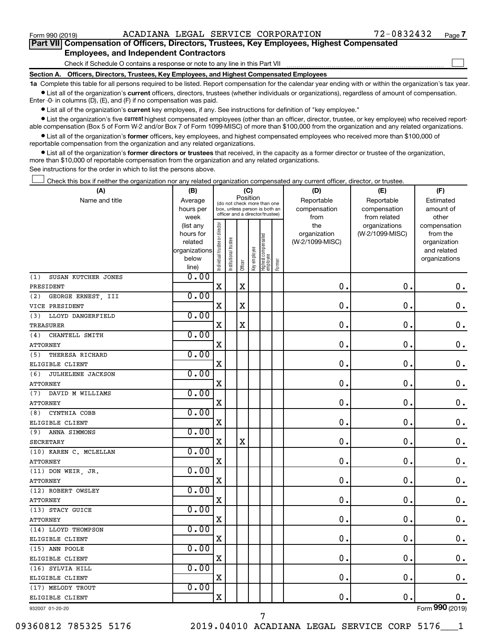$\Box$ 

| Part VII Compensation of Officers, Directors, Trustees, Key Employees, Highest Compensated |  |
|--------------------------------------------------------------------------------------------|--|
| <b>Employees, and Independent Contractors</b>                                              |  |

Check if Schedule O contains a response or note to any line in this Part VII

**Section A. Officers, Directors, Trustees, Key Employees, and Highest Compensated Employees**

**1a**  Complete this table for all persons required to be listed. Report compensation for the calendar year ending with or within the organization's tax year.  $\bullet$  List all of the organization's current officers, directors, trustees (whether individuals or organizations), regardless of amount of compensation.

Enter -0- in columns (D), (E), and (F) if no compensation was paid.

**•** List all of the organization's current key employees, if any. See instructions for definition of "key employee."

• List the organization's five *current* highest compensated employees (other than an officer, director, trustee, or key employee) who received reportable compensation (Box 5 of Form W-2 and/or Box 7 of Form 1099-MISC) of more than \$100,000 from the organization and any related organizations.

 $\bullet$  List all of the organization's former officers, key employees, and highest compensated employees who received more than \$100,000 of reportable compensation from the organization and any related organizations.

**•** List all of the organization's former directors or trustees that received, in the capacity as a former director or trustee of the organization, more than \$10,000 of reportable compensation from the organization and any related organizations.

See instructions for the order in which to list the persons above.

Check this box if neither the organization nor any related organization compensated any current officer, director, or trustee.  $\Box$ 

| (A)                        | (B)                    | (C)                                     |                                                                  |             |              |                                 |            | (D)                 | (E)                              | (F)                      |
|----------------------------|------------------------|-----------------------------------------|------------------------------------------------------------------|-------------|--------------|---------------------------------|------------|---------------------|----------------------------------|--------------------------|
| Name and title             | Average                | Position<br>(do not check more than one |                                                                  |             |              |                                 | Reportable | Reportable          | Estimated                        |                          |
|                            | hours per              |                                         | box, unless person is both an<br>officer and a director/trustee) |             | compensation | compensation                    | amount of  |                     |                                  |                          |
|                            | week                   |                                         |                                                                  |             |              |                                 |            | from                | from related                     | other                    |
|                            | (list any<br>hours for | Individual trustee or director          |                                                                  |             |              |                                 |            | the<br>organization | organizations<br>(W-2/1099-MISC) | compensation<br>from the |
|                            | related                |                                         |                                                                  |             |              |                                 |            | (W-2/1099-MISC)     |                                  | organization             |
|                            | organizations          |                                         | Institutional trustee                                            |             |              |                                 |            |                     |                                  | and related              |
|                            | below                  |                                         |                                                                  |             |              |                                 |            |                     |                                  | organizations            |
|                            | line)                  |                                         |                                                                  | Officer     | Key employee | Highest compensated<br>employee | Former     |                     |                                  |                          |
| SUSAN KUTCHER JONES<br>(1) | 0.00                   |                                         |                                                                  |             |              |                                 |            |                     |                                  |                          |
| PRESIDENT                  |                        | $\mathbf X$                             |                                                                  | $\mathbf X$ |              |                                 |            | 0.                  | $\mathbf 0$ .                    | 0.                       |
| GEORGE ERNEST, III<br>(2)  | 0.00                   |                                         |                                                                  |             |              |                                 |            |                     |                                  |                          |
| VICE PRESIDENT             |                        | X                                       |                                                                  | $\mathbf X$ |              |                                 |            | 0.                  | $\mathbf 0$ .                    | $\mathbf 0$ .            |
| LLOYD DANGERFIELD<br>(3)   | 0.00                   |                                         |                                                                  |             |              |                                 |            |                     |                                  |                          |
| <b>TREASURER</b>           |                        | $\mathbf X$                             |                                                                  | X           |              |                                 |            | $\mathbf 0$ .       | 0.                               | 0.                       |
| CHANTELL SMITH<br>(4)      | 0.00                   |                                         |                                                                  |             |              |                                 |            |                     |                                  |                          |
| <b>ATTORNEY</b>            |                        | $\mathbf X$                             |                                                                  |             |              |                                 |            | $\mathbf 0$         | $\mathbf 0$ .                    | $\mathbf 0$ .            |
| (5)<br>THERESA RICHARD     | 0.00                   |                                         |                                                                  |             |              |                                 |            |                     |                                  |                          |
| ELIGIBLE CLIENT            |                        | X                                       |                                                                  |             |              |                                 |            | 0                   | 0.                               | $\mathbf 0$ .            |
| JULHELENE JACKSON<br>(6)   | 0.00                   |                                         |                                                                  |             |              |                                 |            |                     |                                  |                          |
| <b>ATTORNEY</b>            |                        | X                                       |                                                                  |             |              |                                 |            | $\mathbf 0$ .       | 0.                               | $\mathbf 0$ .            |
| DAVID M WILLIAMS<br>(7)    | 0.00                   |                                         |                                                                  |             |              |                                 |            |                     |                                  |                          |
| <b>ATTORNEY</b>            |                        | X                                       |                                                                  |             |              |                                 |            | $\mathbf 0$ .       | $\mathbf 0$                      | $\mathbf 0$ .            |
| CYNTHIA COBB<br>(8)        | 0.00                   |                                         |                                                                  |             |              |                                 |            |                     |                                  |                          |
| ELIGIBLE CLIENT            |                        | X                                       |                                                                  |             |              |                                 |            | $\mathbf 0$ .       | $\mathbf 0$ .                    | $\mathbf 0$ .            |
| ANNA SIMMONS<br>(9)        | 0.00                   |                                         |                                                                  |             |              |                                 |            |                     |                                  |                          |
| <b>SECRETARY</b>           |                        | $\mathbf X$                             |                                                                  | $\mathbf X$ |              |                                 |            | $\mathbf 0$ .       | $\mathbf 0$ .                    | $0$ .                    |
| (10) KAREN C. MCLELLAN     | 0.00                   |                                         |                                                                  |             |              |                                 |            |                     |                                  |                          |
| <b>ATTORNEY</b>            |                        | $\mathbf X$                             |                                                                  |             |              |                                 |            | 0.                  | $\mathbf 0$ .                    | $\mathbf 0$ .            |
| (11) DON WEIR, JR.         | 0.00                   |                                         |                                                                  |             |              |                                 |            |                     |                                  |                          |
| <b>ATTORNEY</b>            |                        | $\mathbf X$                             |                                                                  |             |              |                                 |            | $\mathbf 0$         | $\mathbf 0$ .                    | $\mathbf 0$ .            |
| (12) ROBERT OWSLEY         | 0.00                   |                                         |                                                                  |             |              |                                 |            |                     |                                  |                          |
| <b>ATTORNEY</b>            |                        | X                                       |                                                                  |             |              |                                 |            | 0                   | $\mathbf 0$ .                    | $\mathbf 0$ .            |
| (13) STACY GUICE           | 0.00                   |                                         |                                                                  |             |              |                                 |            |                     |                                  |                          |
| <b>ATTORNEY</b>            |                        | X                                       |                                                                  |             |              |                                 |            | $\mathbf 0$         | $\mathbf 0$                      | $\mathbf 0$ .            |
| (14) LLOYD THOMPSON        | 0.00                   |                                         |                                                                  |             |              |                                 |            |                     |                                  |                          |
| ELIGIBLE CLIENT            |                        | $\mathbf X$                             |                                                                  |             |              |                                 |            | $\mathbf 0$ .       | $\mathbf 0$ .                    | $\mathbf 0$ .            |
| (15) ANN POOLE             | 0.00                   |                                         |                                                                  |             |              |                                 |            |                     |                                  |                          |
| ELIGIBLE CLIENT            |                        | $\mathbf X$                             |                                                                  |             |              |                                 |            | 0                   | $\mathbf 0$                      | $\mathbf 0$ .            |
| (16) SYLVIA HILL           | 0.00                   |                                         |                                                                  |             |              |                                 |            |                     |                                  |                          |
| ELIGIBLE CLIENT            |                        | X                                       |                                                                  |             |              |                                 |            | $\mathbf 0$ .       | $\mathbf 0$ .                    | $0$ .                    |
| (17) MELODY TROUT          | 0.00                   |                                         |                                                                  |             |              |                                 |            |                     |                                  |                          |
| ELIGIBLE CLIENT            |                        | $\mathbf X$                             |                                                                  |             |              |                                 |            | 0.                  | $\mathbf 0$ .                    | $0$ .                    |
| 932007 01-20-20            |                        |                                         |                                                                  |             |              |                                 |            |                     |                                  | Form 990 (2019)          |

7

09360812 785325 5176 2019.04010 ACADIANA LEGAL SERVICE CORP 5176\_\_\_1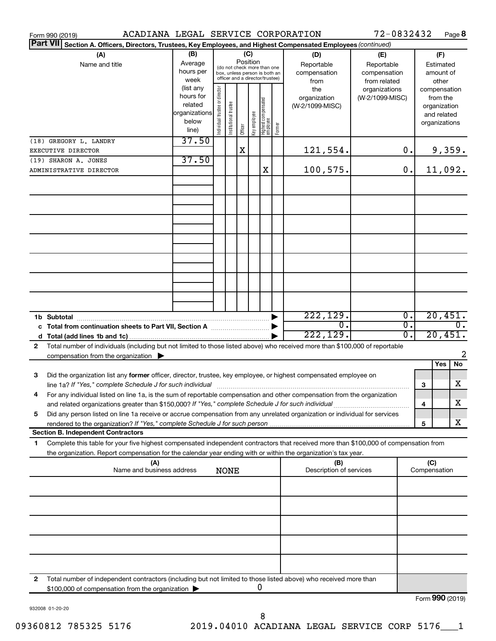| ACADIANA LEGAL SERVICE CORPORATION<br>Form 990 (2019)                                                                                                                                                                                                                                                                                                                            |                                                                          |                                |                       |             |                                                                                                                    |                                  |        |                                                                                     | 72-0832432                                                                            |          |                     | Page 8                                                                             |
|----------------------------------------------------------------------------------------------------------------------------------------------------------------------------------------------------------------------------------------------------------------------------------------------------------------------------------------------------------------------------------|--------------------------------------------------------------------------|--------------------------------|-----------------------|-------------|--------------------------------------------------------------------------------------------------------------------|----------------------------------|--------|-------------------------------------------------------------------------------------|---------------------------------------------------------------------------------------|----------|---------------------|------------------------------------------------------------------------------------|
| <b>Part VII</b><br>Section A. Officers, Directors, Trustees, Key Employees, and Highest Compensated Employees (continued)                                                                                                                                                                                                                                                        |                                                                          |                                |                       |             |                                                                                                                    |                                  |        |                                                                                     |                                                                                       |          |                     |                                                                                    |
| (A)<br>Name and title                                                                                                                                                                                                                                                                                                                                                            | (B)<br>Average<br>hours per<br>week<br>(list any<br>hours for<br>related |                                |                       |             | (C)<br>Position<br>(do not check more than one<br>box, unless person is both an<br>officer and a director/trustee) |                                  |        | (D)<br>Reportable<br>compensation<br>from<br>the<br>organization<br>(W-2/1099-MISC) | (E)<br>Reportable<br>compensation<br>from related<br>organizations<br>(W-2/1099-MISC) |          |                     | (F)<br>Estimated<br>amount of<br>other<br>compensation<br>from the<br>organization |
| (18) GREGORY L. LANDRY                                                                                                                                                                                                                                                                                                                                                           | organizations<br>below<br>line)<br>37.50                                 | Individual trustee or director | Institutional trustee | Officer     | Key employee                                                                                                       | Highest compensated<br> employee | Former |                                                                                     |                                                                                       |          |                     | and related<br>organizations                                                       |
| EXECUTIVE DIRECTOR                                                                                                                                                                                                                                                                                                                                                               |                                                                          |                                |                       | $\mathbf X$ |                                                                                                                    |                                  |        | 121,554.                                                                            |                                                                                       | О.       |                     | 9,359.                                                                             |
| (19) SHARON A. JONES                                                                                                                                                                                                                                                                                                                                                             | 37.50                                                                    |                                |                       |             |                                                                                                                    |                                  |        |                                                                                     |                                                                                       |          |                     |                                                                                    |
| 100,575.<br>X<br>ADMINISTRATIVE DIRECTOR                                                                                                                                                                                                                                                                                                                                         |                                                                          |                                |                       |             |                                                                                                                    |                                  |        | 0.                                                                                  |                                                                                       | 11,092.  |                     |                                                                                    |
|                                                                                                                                                                                                                                                                                                                                                                                  |                                                                          |                                |                       |             |                                                                                                                    |                                  |        |                                                                                     |                                                                                       |          |                     |                                                                                    |
|                                                                                                                                                                                                                                                                                                                                                                                  |                                                                          |                                |                       |             |                                                                                                                    |                                  |        |                                                                                     |                                                                                       |          |                     |                                                                                    |
|                                                                                                                                                                                                                                                                                                                                                                                  |                                                                          |                                |                       |             |                                                                                                                    |                                  |        | 222, 129.                                                                           |                                                                                       | 0.       |                     | 20,451.                                                                            |
| 1b Subtotal                                                                                                                                                                                                                                                                                                                                                                      |                                                                          |                                |                       |             |                                                                                                                    |                                  |        | $\mathbf{0}$ .<br>222, 129.                                                         |                                                                                       | σ.<br>Ο. |                     | 0.<br>20,451.                                                                      |
| Total number of individuals (including but not limited to those listed above) who received more than \$100,000 of reportable<br>$\mathbf{2}$<br>compensation from the organization $\blacktriangleright$                                                                                                                                                                         |                                                                          |                                |                       |             |                                                                                                                    |                                  |        |                                                                                     |                                                                                       |          |                     | 2                                                                                  |
| Did the organization list any former officer, director, trustee, key employee, or highest compensated employee on<br>3                                                                                                                                                                                                                                                           |                                                                          |                                |                       |             |                                                                                                                    |                                  |        |                                                                                     |                                                                                       |          |                     | Yes<br><b>No</b><br>X                                                              |
| line 1a? If "Yes," complete Schedule J for such individual [11] manufacture manufacture 1a? If "Yes," complete Schedule J for such individual<br>For any individual listed on line 1a, is the sum of reportable compensation and other compensation from the organization<br>and related organizations greater than \$150,000? If "Yes," complete Schedule J for such individual |                                                                          |                                |                       |             |                                                                                                                    |                                  |        |                                                                                     |                                                                                       |          | 3<br>4              | х                                                                                  |
| Did any person listed on line 1a receive or accrue compensation from any unrelated organization or individual for services<br>5                                                                                                                                                                                                                                                  |                                                                          |                                |                       |             |                                                                                                                    |                                  |        |                                                                                     |                                                                                       |          |                     |                                                                                    |
| rendered to the organization? If "Yes," complete Schedule J for such person.                                                                                                                                                                                                                                                                                                     |                                                                          |                                |                       |             |                                                                                                                    |                                  |        |                                                                                     |                                                                                       |          | 5                   | x                                                                                  |
| <b>Section B. Independent Contractors</b>                                                                                                                                                                                                                                                                                                                                        |                                                                          |                                |                       |             |                                                                                                                    |                                  |        |                                                                                     |                                                                                       |          |                     |                                                                                    |
| Complete this table for your five highest compensated independent contractors that received more than \$100,000 of compensation from<br>1<br>the organization. Report compensation for the calendar year ending with or within the organization's tax year.                                                                                                                      |                                                                          |                                |                       |             |                                                                                                                    |                                  |        |                                                                                     |                                                                                       |          |                     |                                                                                    |
| (A)<br>Name and business address                                                                                                                                                                                                                                                                                                                                                 |                                                                          |                                | <b>NONE</b>           |             |                                                                                                                    |                                  |        | (B)<br>Description of services                                                      |                                                                                       |          | (C)<br>Compensation |                                                                                    |
|                                                                                                                                                                                                                                                                                                                                                                                  |                                                                          |                                |                       |             |                                                                                                                    |                                  |        |                                                                                     |                                                                                       |          |                     |                                                                                    |
|                                                                                                                                                                                                                                                                                                                                                                                  |                                                                          |                                |                       |             |                                                                                                                    |                                  |        |                                                                                     |                                                                                       |          |                     |                                                                                    |
|                                                                                                                                                                                                                                                                                                                                                                                  |                                                                          |                                |                       |             |                                                                                                                    |                                  |        |                                                                                     |                                                                                       |          |                     |                                                                                    |
|                                                                                                                                                                                                                                                                                                                                                                                  |                                                                          |                                |                       |             |                                                                                                                    |                                  |        |                                                                                     |                                                                                       |          |                     |                                                                                    |
| 2<br>Total number of independent contractors (including but not limited to those listed above) who received more than<br>\$100,000 of compensation from the organization                                                                                                                                                                                                         |                                                                          |                                |                       |             |                                                                                                                    | 0                                |        |                                                                                     |                                                                                       |          |                     | $T_{\text{c}}$ $\boldsymbol{\Omega}$ $\boldsymbol{\Omega}$ $\boldsymbol{\Omega}$   |

932008 01-20-20

8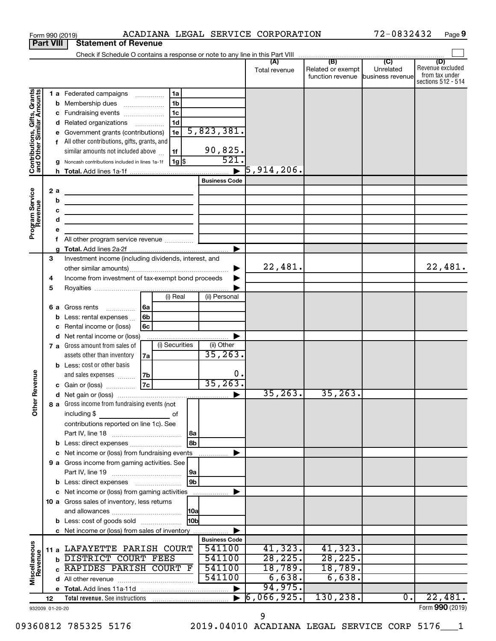|                                                           | Form 990 (2019)  | ACADIANA LEGAL SERVICE CORPORATION                                                                                   |                      |                          |                                   | 72-0832432       | Page 9                               |
|-----------------------------------------------------------|------------------|----------------------------------------------------------------------------------------------------------------------|----------------------|--------------------------|-----------------------------------|------------------|--------------------------------------|
|                                                           | <b>Part VIII</b> | <b>Statement of Revenue</b>                                                                                          |                      |                          |                                   |                  |                                      |
|                                                           |                  |                                                                                                                      |                      |                          |                                   |                  |                                      |
|                                                           |                  |                                                                                                                      |                      | Total revenue            | Related or exempt                 | Unrelated        | (D)<br>Revenue excluded              |
|                                                           |                  |                                                                                                                      |                      |                          | function revenue business revenue |                  | from tax under<br>sections 512 - 514 |
|                                                           |                  |                                                                                                                      |                      |                          |                                   |                  |                                      |
| Contributions, Gifts, Grants<br>and Other Similar Amounts |                  | 1a<br>1 a Federated campaigns                                                                                        |                      |                          |                                   |                  |                                      |
|                                                           |                  | 1 <sub>b</sub><br><b>b</b> Membership dues<br>1 <sub>c</sub>                                                         |                      |                          |                                   |                  |                                      |
|                                                           |                  | c Fundraising events<br>1d                                                                                           |                      |                          |                                   |                  |                                      |
|                                                           |                  | d Related organizations<br>e Government grants (contributions)<br>1e                                                 | 5,823,381.           |                          |                                   |                  |                                      |
|                                                           |                  | f All other contributions, gifts, grants, and                                                                        |                      |                          |                                   |                  |                                      |
|                                                           |                  | similar amounts not included above<br>1f                                                                             | 90,825.              |                          |                                   |                  |                                      |
|                                                           |                  | 1g <br>g Noncash contributions included in lines 1a-1f                                                               | 521                  |                          |                                   |                  |                                      |
|                                                           |                  |                                                                                                                      |                      | $\overline{5}$ ,914,206. |                                   |                  |                                      |
|                                                           |                  |                                                                                                                      | <b>Business Code</b> |                          |                                   |                  |                                      |
|                                                           | 2a               | the control of the control of the control of the control of the control of                                           |                      |                          |                                   |                  |                                      |
|                                                           | b                |                                                                                                                      |                      |                          |                                   |                  |                                      |
|                                                           | c                | <u> 1989 - Johann Barn, mars eta bainar eta bainar eta baina eta baina eta baina eta baina eta baina eta baina e</u> |                      |                          |                                   |                  |                                      |
|                                                           | d                | the control of the control of the control of the control of the control of                                           |                      |                          |                                   |                  |                                      |
| Program Service                                           | е                |                                                                                                                      |                      |                          |                                   |                  |                                      |
|                                                           | f                |                                                                                                                      |                      |                          |                                   |                  |                                      |
|                                                           | a                |                                                                                                                      |                      |                          |                                   |                  |                                      |
|                                                           | 3                | Investment income (including dividends, interest, and                                                                |                      |                          |                                   |                  |                                      |
|                                                           |                  |                                                                                                                      |                      | 22,481.                  |                                   |                  | 22,481.                              |
|                                                           | 4                | Income from investment of tax-exempt bond proceeds                                                                   |                      |                          |                                   |                  |                                      |
|                                                           | 5                | (i) Real                                                                                                             |                      |                          |                                   |                  |                                      |
|                                                           |                  |                                                                                                                      | (ii) Personal        |                          |                                   |                  |                                      |
|                                                           |                  | 6a<br><b>6 a</b> Gross rents<br>6b                                                                                   |                      |                          |                                   |                  |                                      |
|                                                           |                  | Less: rental expenses<br>6c                                                                                          |                      |                          |                                   |                  |                                      |
|                                                           |                  | Rental income or (loss)<br>d Net rental income or (loss)                                                             |                      |                          |                                   |                  |                                      |
|                                                           |                  | (i) Securities<br>7 a Gross amount from sales of                                                                     | (ii) Other           |                          |                                   |                  |                                      |
|                                                           |                  | assets other than inventory<br>7a                                                                                    | 35, 263.             |                          |                                   |                  |                                      |
|                                                           |                  | <b>b</b> Less: cost or other basis                                                                                   |                      |                          |                                   |                  |                                      |
|                                                           |                  | and sales expenses<br>7b                                                                                             | О.                   |                          |                                   |                  |                                      |
| evenue                                                    |                  | 7c<br>c Gain or (loss)                                                                                               | 35, 263.             |                          |                                   |                  |                                      |
| œ                                                         |                  |                                                                                                                      |                      | 35, 263.                 | 35, 263.                          |                  |                                      |
| Other                                                     |                  | 8 a Gross income from fundraising events (not                                                                        |                      |                          |                                   |                  |                                      |
|                                                           |                  | including \$<br>of                                                                                                   |                      |                          |                                   |                  |                                      |
|                                                           |                  | contributions reported on line 1c). See                                                                              |                      |                          |                                   |                  |                                      |
|                                                           |                  |                                                                                                                      |                      |                          |                                   |                  |                                      |
|                                                           |                  | 8b<br><b>b</b> Less: direct expenses <b>contained b</b> Less: direct expenses                                        |                      |                          |                                   |                  |                                      |
|                                                           |                  | c Net income or (loss) from fundraising events                                                                       |                      |                          |                                   |                  |                                      |
|                                                           |                  | 9 a Gross income from gaming activities. See                                                                         |                      |                          |                                   |                  |                                      |
|                                                           |                  | 9a                                                                                                                   |                      |                          |                                   |                  |                                      |
|                                                           |                  | l 9b                                                                                                                 |                      |                          |                                   |                  |                                      |
|                                                           |                  | c Net income or (loss) from gaming activities                                                                        |                      |                          |                                   |                  |                                      |
|                                                           |                  | 10 a Gross sales of inventory, less returns                                                                          |                      |                          |                                   |                  |                                      |
|                                                           |                  |                                                                                                                      |                      |                          |                                   |                  |                                      |
|                                                           |                  | 10 <sub>b</sub><br><b>b</b> Less: cost of goods sold                                                                 |                      |                          |                                   |                  |                                      |
|                                                           |                  | c Net income or (loss) from sales of inventory                                                                       | <b>Business Code</b> |                          |                                   |                  |                                      |
|                                                           | 11 a             | LAFAYETTE PARISH COURT                                                                                               | 541100               | 41,323.                  | 41,323.                           |                  |                                      |
|                                                           | b                | DISTRICT COURT FEES                                                                                                  | 541100               | 28, 225.                 | 28, 225.                          |                  |                                      |
|                                                           |                  | RAPIDES PARISH COURT F                                                                                               | 541100               | 18,789.                  | 18,789.                           |                  |                                      |
| Miscellaneous<br>Revenue                                  |                  |                                                                                                                      | 541100               | 6,638.                   | 6,638.                            |                  |                                      |
|                                                           |                  |                                                                                                                      |                      | 94,975.                  |                                   |                  |                                      |
|                                                           | 12               |                                                                                                                      |                      | 6,066,925.               | 130,238.                          | $\overline{0}$ . | 22,481.                              |
|                                                           | 932009 01-20-20  |                                                                                                                      |                      |                          |                                   |                  | Form 990 (2019)                      |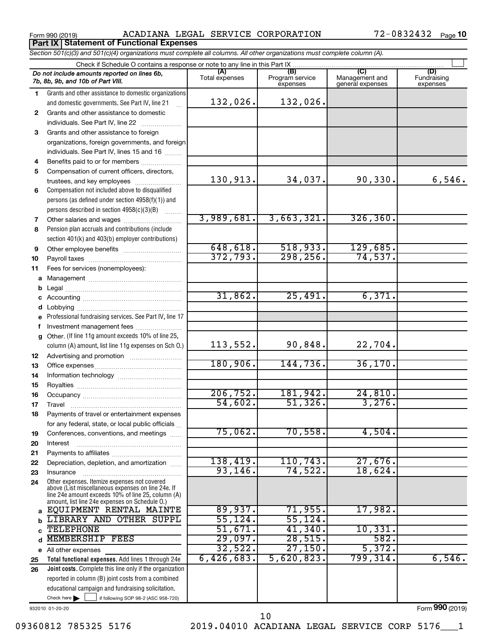Form 990 (2019) ACADIANA LEGAL SERVICE CORPORATION 72-0832432 Page **Part IX Statement of Functional Expenses**

|    | Section 501(c)(3) and 501(c)(4) organizations must complete all columns. All other organizations must complete column (A).                                 |                |                                    |                                    |                                |
|----|------------------------------------------------------------------------------------------------------------------------------------------------------------|----------------|------------------------------------|------------------------------------|--------------------------------|
|    | Check if Schedule O contains a response or note to any line in this Part IX                                                                                | (A)            |                                    | (C)                                |                                |
|    | Do not include amounts reported on lines 6b,<br>7b, 8b, 9b, and 10b of Part VIII.                                                                          | Total expenses | (B)<br>Program service<br>expenses | Management and<br>general expenses | (D)<br>Fundraising<br>expenses |
| 1  | Grants and other assistance to domestic organizations                                                                                                      |                |                                    |                                    |                                |
|    | and domestic governments. See Part IV, line 21                                                                                                             | 132,026.       | 132,026.                           |                                    |                                |
| 2  | Grants and other assistance to domestic                                                                                                                    |                |                                    |                                    |                                |
|    | individuals. See Part IV, line 22                                                                                                                          |                |                                    |                                    |                                |
| 3  | Grants and other assistance to foreign                                                                                                                     |                |                                    |                                    |                                |
|    | organizations, foreign governments, and foreign                                                                                                            |                |                                    |                                    |                                |
|    | individuals. See Part IV, lines 15 and 16                                                                                                                  |                |                                    |                                    |                                |
| 4  | Benefits paid to or for members                                                                                                                            |                |                                    |                                    |                                |
| 5  | Compensation of current officers, directors,                                                                                                               |                |                                    |                                    |                                |
|    | trustees, and key employees                                                                                                                                | 130,913.       | 34,037.                            | 90,330.                            | 6,546.                         |
| 6  | Compensation not included above to disqualified                                                                                                            |                |                                    |                                    |                                |
|    | persons (as defined under section 4958(f)(1)) and                                                                                                          |                |                                    |                                    |                                |
|    | persons described in section 4958(c)(3)(B)                                                                                                                 |                |                                    |                                    |                                |
| 7  |                                                                                                                                                            | 3,989,681.     | 3,663,321.                         | 326, 360.                          |                                |
| 8  | Pension plan accruals and contributions (include                                                                                                           |                |                                    |                                    |                                |
|    | section 401(k) and 403(b) employer contributions)                                                                                                          |                |                                    |                                    |                                |
| 9  | Other employee benefits                                                                                                                                    | 648, 618.      | 518,933.                           | 129,685.                           |                                |
| 10 |                                                                                                                                                            | 372,793.       | 298, 256.                          | 74,537.                            |                                |
| 11 | Fees for services (nonemployees):                                                                                                                          |                |                                    |                                    |                                |
|    |                                                                                                                                                            |                |                                    |                                    |                                |
| b  |                                                                                                                                                            |                |                                    |                                    |                                |
|    |                                                                                                                                                            | 31,862.        | 25,491.                            | 6,371.                             |                                |
| d  |                                                                                                                                                            |                |                                    |                                    |                                |
| е  | Professional fundraising services. See Part IV, line 17                                                                                                    |                |                                    |                                    |                                |
| f  | Investment management fees                                                                                                                                 |                |                                    |                                    |                                |
| g  | Other. (If line 11g amount exceeds 10% of line 25,                                                                                                         |                |                                    |                                    |                                |
|    | column (A) amount, list line 11g expenses on Sch O.)                                                                                                       | 113,552.       | 90,848.                            | 22,704.                            |                                |
| 12 |                                                                                                                                                            |                |                                    |                                    |                                |
| 13 |                                                                                                                                                            | 180,906.       | 144,736.                           | 36, 170.                           |                                |
| 14 |                                                                                                                                                            |                |                                    |                                    |                                |
| 15 |                                                                                                                                                            |                |                                    |                                    |                                |
| 16 |                                                                                                                                                            | 206, 752.      | 181,942.                           | 24,810.                            |                                |
| 17 |                                                                                                                                                            | 54,602.        | 51,326.                            | 3,276.                             |                                |
| 18 | Payments of travel or entertainment expenses                                                                                                               |                |                                    |                                    |                                |
|    | for any federal, state, or local public officials                                                                                                          | 75,062.        | 70,558.                            | 4,504.                             |                                |
| 19 | Conferences, conventions, and meetings                                                                                                                     |                |                                    |                                    |                                |
| 20 | Interest                                                                                                                                                   |                |                                    |                                    |                                |
| 21 |                                                                                                                                                            | 138,419.       | 110, 743.                          | 27,676.                            |                                |
| 22 | Depreciation, depletion, and amortization                                                                                                                  | 93, 146.       | 74,522.                            | 18,624.                            |                                |
| 23 | Insurance<br>Other expenses. Itemize expenses not covered                                                                                                  |                |                                    |                                    |                                |
| 24 | above (List miscellaneous expenses on line 24e. If<br>line 24e amount exceeds 10% of line 25, column (A)<br>amount, list line 24e expenses on Schedule O.) |                |                                    |                                    |                                |
| a  | EQUIPMENT RENTAL MAINTE                                                                                                                                    | 89,937.        | 71,955.                            | 17,982.                            |                                |
| b  | LIBRARY AND OTHER SUPPL                                                                                                                                    | 55, 124.       | 55, 124.                           |                                    |                                |
| C  | <b>TELEPHONE</b>                                                                                                                                           | 51,671.        | 41,340.                            | 10,331.                            |                                |
| d  | MEMBERSHIP FEES                                                                                                                                            | 29,097.        | 28,515.                            | 582.                               |                                |
|    | e All other expenses                                                                                                                                       | 32,522.        | 27,150.                            | 5,372.                             |                                |
| 25 | Total functional expenses. Add lines 1 through 24e                                                                                                         | 6,426,683.     | 5,620,823.                         | 799,314.                           | 6,546.                         |
| 26 | <b>Joint costs.</b> Complete this line only if the organization                                                                                            |                |                                    |                                    |                                |
|    | reported in column (B) joint costs from a combined                                                                                                         |                |                                    |                                    |                                |
|    | educational campaign and fundraising solicitation.                                                                                                         |                |                                    |                                    |                                |

932010 01-20-20

Check here

Form (2019) **990**

Check here  $\begin{array}{c} \begin{array}{|c} \hline \end{array} \end{array}$  if following SOP 98-2 (ASC 958-720)

09360812 785325 5176 2019.04010 ACADIANA LEGAL SERVICE CORP 5176 1 10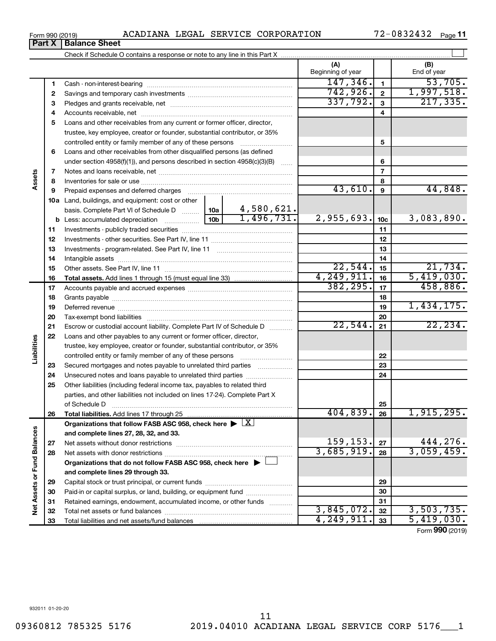**10 a** Land, buildings, and equipment: cost or other **13** Investments - program-related. See Part IV, line 11 ~~~~~~~~~~~~~ **b** Less: accumulated depreciation  $\ldots$  [10b basis. Complete Part VI of Schedule D  $\frac{1}{10}$  10a under section 4958(f)(1)), and persons described in section 4958(c)(3)(B)  $\ldots$ Notes and loans receivable, net ~~~~~~~~~~~~~~~~~~~~~~~ Inventories for sale or use ~~~~~~~~~~~~~~~~~~~~~~~~~~ Prepaid expenses and deferred charges ~~~~~~~~~~~~~~~~~~ Investments - publicly traded securities ~~~~~~~~~~~~~~~~~~~ Investments - other securities. See Part IV, line 11 ~~~~~~~~~~~~~~ Intangible assets ~~~~~~~~~~~~~~~~~~~~~~~~~~~~~~ Other assets. See Part IV, line 11 ~~~~~~~~~~~~~~~~~~~~~~ 4,580,621.  $1,496,731.$  2,955,693.  $10c$  3,083,890.

**Total assets.**  Add lines 1 through 15 (must equal line 33)

**5** Loans and other receivables from any current or former officer, director,

Accounts receivable, net ~~~~~~~~~~~~~~~~~~~~~~~~~~

trustee, key employee, creator or founder, substantial contributor, or 35% controlled entity or family member of any of these persons ~~~~~~~~~ Loans and other receivables from other disqualified persons (as defined

|   | <b>Part X   Balance Sheet</b>          |                          |              |
|---|----------------------------------------|--------------------------|--------------|
|   |                                        |                          |              |
|   |                                        | (A)<br>Beginning of year | End of year  |
|   | Cash - non-interest-bearing            | 147.346.                 | 53.705.      |
| 2 | Savings and temporary cash investments | 742.926                  | $.997.518$ . |
|   | Pledges and grants receivable, net     |                          |              |

**5**

43,610. 44,848.

 $22,544.$   $15$   $21,734.$ 4,249,911. 5,419,030.

| 17 |                                                                                            | 382, 295.         | 17 | 458,886.        |
|----|--------------------------------------------------------------------------------------------|-------------------|----|-----------------|
| 18 |                                                                                            |                   | 18 |                 |
| 19 |                                                                                            |                   | 19 | 1,434,175.      |
| 20 |                                                                                            |                   | 20 |                 |
| 21 | Escrow or custodial account liability. Complete Part IV of Schedule D                      | 22,544.           | 21 | 22, 234.        |
| 22 | Loans and other payables to any current or former officer, director,                       |                   |    |                 |
|    | trustee, key employee, creator or founder, substantial contributor, or 35%                 |                   |    |                 |
|    | controlled entity or family member of any of these persons                                 |                   | 22 |                 |
| 23 | Secured mortgages and notes payable to unrelated third parties                             |                   | 23 |                 |
| 24 | Unsecured notes and loans payable to unrelated third parties                               |                   | 24 |                 |
| 25 | Other liabilities (including federal income tax, payables to related third                 |                   |    |                 |
|    | parties, and other liabilities not included on lines 17-24). Complete Part X               |                   |    |                 |
|    | of Schedule D                                                                              |                   | 25 |                 |
| 26 |                                                                                            | 404,839.          | 26 | 1,915,295.      |
|    | Organizations that follow FASB ASC 958, check here $\blacktriangleright \lfloor X \rfloor$ |                   |    |                 |
|    | and complete lines 27, 28, 32, and 33.                                                     |                   |    |                 |
| 27 |                                                                                            | $159, 153$ , $27$ |    | 444,276.        |
| 28 |                                                                                            | 3,685,919.        | 28 | 3,059,459.      |
|    | Organizations that do not follow FASB ASC 958, check here $\blacktriangleright \perp$      |                   |    |                 |
|    | and complete lines 29 through 33.                                                          |                   |    |                 |
| 29 |                                                                                            |                   | 29 |                 |
| 30 | Paid-in or capital surplus, or land, building, or equipment fund                           |                   | 30 |                 |
| 31 | Retained earnings, endowment, accumulated income, or other funds                           |                   | 31 |                 |
| 32 |                                                                                            | 3,845,072.        | 32 | 3,503,735.      |
| 33 |                                                                                            | 4, 249, 911.      | 33 | 5,419,030.      |
|    |                                                                                            |                   |    | Form 990 (2019) |

**6**

**7 8 9**

**Assets**

**11 12**

**23 24 25**

**Liabilities**

**26**

**27 28**

**Net Assets or Fund Balances**

Net Assets or Fund Balances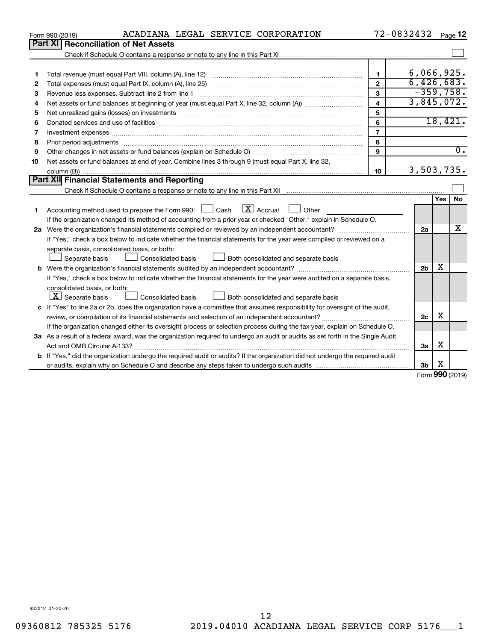|    | ACADIANA LEGAL SERVICE CORPORATION<br>Form 990 (2019)                                                                                                                                                                          |                | 72-0832432     |                          | Page 12          |
|----|--------------------------------------------------------------------------------------------------------------------------------------------------------------------------------------------------------------------------------|----------------|----------------|--------------------------|------------------|
|    | Part XI<br><b>Reconciliation of Net Assets</b>                                                                                                                                                                                 |                |                |                          |                  |
|    |                                                                                                                                                                                                                                |                |                |                          |                  |
|    |                                                                                                                                                                                                                                |                |                |                          |                  |
| 1  |                                                                                                                                                                                                                                | $\mathbf{1}$   | 6,066,925.     |                          |                  |
| 2  |                                                                                                                                                                                                                                | $\overline{2}$ | 6,426,683.     |                          |                  |
| 3  | Revenue less expenses. Subtract line 2 from line 1                                                                                                                                                                             | $\mathbf{3}$   | $-359,758.$    |                          |                  |
| 4  |                                                                                                                                                                                                                                | 4              | 3,845,072.     |                          |                  |
| 5  |                                                                                                                                                                                                                                | 5              |                |                          |                  |
| 6  |                                                                                                                                                                                                                                | 6              |                | 18,421.                  |                  |
| 7  |                                                                                                                                                                                                                                | $\overline{7}$ |                |                          |                  |
| 8  | Prior period adjustments material contents and content of the content of the content of the content of the content of the content of the content of the content of the content of the content of the content of the content of | 8              |                |                          |                  |
| 9  | Other changes in net assets or fund balances (explain on Schedule O)                                                                                                                                                           | 9              |                |                          | $\overline{0}$ . |
| 10 | Net assets or fund balances at end of year. Combine lines 3 through 9 (must equal Part X, line 32,                                                                                                                             |                |                |                          |                  |
|    |                                                                                                                                                                                                                                | 10             | 3,503,735.     |                          |                  |
|    | Part XII Financial Statements and Reporting                                                                                                                                                                                    |                |                |                          |                  |
|    |                                                                                                                                                                                                                                |                |                |                          |                  |
|    |                                                                                                                                                                                                                                |                |                | Yes                      | No               |
| 1  | $\lfloor x \rfloor$ Accrual<br>Accounting method used to prepare the Form 990: $\Box$ Cash<br>Other                                                                                                                            |                |                |                          |                  |
|    | If the organization changed its method of accounting from a prior year or checked "Other," explain in Schedule O.                                                                                                              |                |                |                          |                  |
|    |                                                                                                                                                                                                                                |                | 2a             |                          | x                |
|    | If "Yes," check a box below to indicate whether the financial statements for the year were compiled or reviewed on a                                                                                                           |                |                |                          |                  |
|    | separate basis, consolidated basis, or both:                                                                                                                                                                                   |                |                |                          |                  |
|    | Both consolidated and separate basis<br>Separate basis<br>Consolidated basis                                                                                                                                                   |                |                |                          |                  |
|    |                                                                                                                                                                                                                                |                | 2 <sub>b</sub> | x                        |                  |
|    | If "Yes," check a box below to indicate whether the financial statements for the year were audited on a separate basis,                                                                                                        |                |                |                          |                  |
|    | consolidated basis, or both:                                                                                                                                                                                                   |                |                |                          |                  |
|    | $ \mathbf{X} $ Separate basis<br>Consolidated basis<br>Both consolidated and separate basis                                                                                                                                    |                |                |                          |                  |
|    | c If "Yes" to line 2a or 2b, does the organization have a committee that assumes responsibility for oversight of the audit,                                                                                                    |                |                |                          |                  |
|    | review, or compilation of its financial statements and selection of an independent accountant?                                                                                                                                 |                | 2c             | X                        |                  |
|    | If the organization changed either its oversight process or selection process during the tax year, explain on Schedule O.                                                                                                      |                |                |                          |                  |
|    | 3a As a result of a federal award, was the organization required to undergo an audit or audits as set forth in the Single Audit                                                                                                |                |                |                          |                  |
|    |                                                                                                                                                                                                                                |                | За             | х                        |                  |
|    | <b>b</b> If "Yes," did the organization undergo the required audit or audits? If the organization did not undergo the required audit                                                                                           |                |                |                          |                  |
|    |                                                                                                                                                                                                                                |                | 3b             | х<br>$000 \, \text{GeV}$ |                  |
|    |                                                                                                                                                                                                                                |                |                |                          |                  |

Form (2019) **990**

932012 01-20-20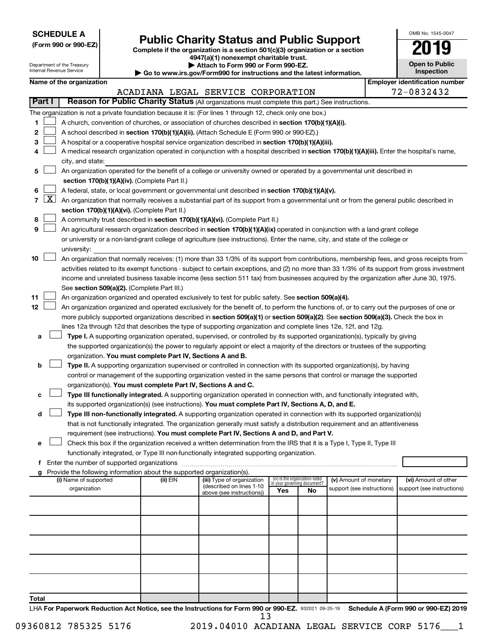**SCHEDULE A**

# Form 990 or 990-EZ) **Public Charity Status and Public Support**<br>
Complete if the organization is a section 501(c)(3) organization or a section<br> **2019**

**4947(a)(1) nonexempt charitable trust.**

| OMB No 1545-0047              |
|-------------------------------|
| <b>701</b>                    |
| <b>Open to Public</b><br>نامم |

|        |                 | Department of the Treasury<br>Internal Revenue Service | Attach to Form 990 or Form 990-EZ.<br>Go to www.irs.gov/Form990 for instructions and the latest information. |                                                                                                                                                                                                                                  | <b>Open to Public</b><br>Inspection |                                                                |                            |                                       |  |
|--------|-----------------|--------------------------------------------------------|--------------------------------------------------------------------------------------------------------------|----------------------------------------------------------------------------------------------------------------------------------------------------------------------------------------------------------------------------------|-------------------------------------|----------------------------------------------------------------|----------------------------|---------------------------------------|--|
|        |                 | Name of the organization                               |                                                                                                              |                                                                                                                                                                                                                                  |                                     |                                                                |                            | <b>Employer identification number</b> |  |
|        |                 |                                                        |                                                                                                              | ACADIANA LEGAL SERVICE CORPORATION                                                                                                                                                                                               |                                     |                                                                |                            | 72-0832432                            |  |
| Part I |                 |                                                        |                                                                                                              | Reason for Public Charity Status (All organizations must complete this part.) See instructions.                                                                                                                                  |                                     |                                                                |                            |                                       |  |
|        |                 |                                                        |                                                                                                              | The organization is not a private foundation because it is: (For lines 1 through 12, check only one box.)                                                                                                                        |                                     |                                                                |                            |                                       |  |
| 1      |                 |                                                        |                                                                                                              | A church, convention of churches, or association of churches described in section 170(b)(1)(A)(i).                                                                                                                               |                                     |                                                                |                            |                                       |  |
| 2      |                 |                                                        |                                                                                                              | A school described in section 170(b)(1)(A)(ii). (Attach Schedule E (Form 990 or 990-EZ).)                                                                                                                                        |                                     |                                                                |                            |                                       |  |
| З      |                 |                                                        |                                                                                                              | A hospital or a cooperative hospital service organization described in section 170(b)(1)(A)(iii).                                                                                                                                |                                     |                                                                |                            |                                       |  |
| 4      |                 |                                                        |                                                                                                              | A medical research organization operated in conjunction with a hospital described in section 170(b)(1)(A)(iii). Enter the hospital's name,                                                                                       |                                     |                                                                |                            |                                       |  |
|        |                 | city, and state:                                       |                                                                                                              |                                                                                                                                                                                                                                  |                                     |                                                                |                            |                                       |  |
| 5      |                 |                                                        |                                                                                                              | An organization operated for the benefit of a college or university owned or operated by a governmental unit described in                                                                                                        |                                     |                                                                |                            |                                       |  |
|        |                 |                                                        | section 170(b)(1)(A)(iv). (Complete Part II.)                                                                |                                                                                                                                                                                                                                  |                                     |                                                                |                            |                                       |  |
| 6      |                 |                                                        |                                                                                                              | A federal, state, or local government or governmental unit described in section 170(b)(1)(A)(v).                                                                                                                                 |                                     |                                                                |                            |                                       |  |
|        | $7 \mid X \mid$ |                                                        |                                                                                                              | An organization that normally receives a substantial part of its support from a governmental unit or from the general public described in                                                                                        |                                     |                                                                |                            |                                       |  |
|        |                 |                                                        | section 170(b)(1)(A)(vi). (Complete Part II.)                                                                |                                                                                                                                                                                                                                  |                                     |                                                                |                            |                                       |  |
| 8      |                 |                                                        |                                                                                                              | A community trust described in section 170(b)(1)(A)(vi). (Complete Part II.)                                                                                                                                                     |                                     |                                                                |                            |                                       |  |
| 9      |                 |                                                        |                                                                                                              | An agricultural research organization described in section 170(b)(1)(A)(ix) operated in conjunction with a land-grant college                                                                                                    |                                     |                                                                |                            |                                       |  |
|        |                 | university:                                            |                                                                                                              | or university or a non-land-grant college of agriculture (see instructions). Enter the name, city, and state of the college or                                                                                                   |                                     |                                                                |                            |                                       |  |
| 10     |                 |                                                        |                                                                                                              | An organization that normally receives: (1) more than 33 1/3% of its support from contributions, membership fees, and gross receipts from                                                                                        |                                     |                                                                |                            |                                       |  |
|        |                 |                                                        |                                                                                                              | activities related to its exempt functions - subject to certain exceptions, and (2) no more than 33 1/3% of its support from gross investment                                                                                    |                                     |                                                                |                            |                                       |  |
|        |                 |                                                        |                                                                                                              | income and unrelated business taxable income (less section 511 tax) from businesses acquired by the organization after June 30, 1975.                                                                                            |                                     |                                                                |                            |                                       |  |
|        |                 |                                                        | See section 509(a)(2). (Complete Part III.)                                                                  |                                                                                                                                                                                                                                  |                                     |                                                                |                            |                                       |  |
| 11     |                 |                                                        |                                                                                                              | An organization organized and operated exclusively to test for public safety. See section 509(a)(4).                                                                                                                             |                                     |                                                                |                            |                                       |  |
| 12     |                 |                                                        |                                                                                                              | An organization organized and operated exclusively for the benefit of, to perform the functions of, or to carry out the purposes of one or                                                                                       |                                     |                                                                |                            |                                       |  |
|        |                 |                                                        |                                                                                                              | more publicly supported organizations described in section 509(a)(1) or section 509(a)(2). See section 509(a)(3). Check the box in                                                                                               |                                     |                                                                |                            |                                       |  |
|        |                 |                                                        |                                                                                                              | lines 12a through 12d that describes the type of supporting organization and complete lines 12e, 12f, and 12g.                                                                                                                   |                                     |                                                                |                            |                                       |  |
| а      |                 |                                                        |                                                                                                              | Type I. A supporting organization operated, supervised, or controlled by its supported organization(s), typically by giving                                                                                                      |                                     |                                                                |                            |                                       |  |
|        |                 |                                                        |                                                                                                              | the supported organization(s) the power to regularly appoint or elect a majority of the directors or trustees of the supporting                                                                                                  |                                     |                                                                |                            |                                       |  |
|        |                 |                                                        | organization. You must complete Part IV, Sections A and B.                                                   |                                                                                                                                                                                                                                  |                                     |                                                                |                            |                                       |  |
| b      |                 |                                                        |                                                                                                              | Type II. A supporting organization supervised or controlled in connection with its supported organization(s), by having                                                                                                          |                                     |                                                                |                            |                                       |  |
|        |                 |                                                        |                                                                                                              | control or management of the supporting organization vested in the same persons that control or manage the supported                                                                                                             |                                     |                                                                |                            |                                       |  |
|        |                 |                                                        | organization(s). You must complete Part IV, Sections A and C.                                                |                                                                                                                                                                                                                                  |                                     |                                                                |                            |                                       |  |
| с      |                 |                                                        |                                                                                                              | Type III functionally integrated. A supporting organization operated in connection with, and functionally integrated with,<br>its supported organization(s) (see instructions). You must complete Part IV, Sections A, D, and E. |                                     |                                                                |                            |                                       |  |
| d      |                 |                                                        |                                                                                                              | Type III non-functionally integrated. A supporting organization operated in connection with its supported organization(s)                                                                                                        |                                     |                                                                |                            |                                       |  |
|        |                 |                                                        |                                                                                                              | that is not functionally integrated. The organization generally must satisfy a distribution requirement and an attentiveness                                                                                                     |                                     |                                                                |                            |                                       |  |
|        |                 |                                                        |                                                                                                              | requirement (see instructions). You must complete Part IV, Sections A and D, and Part V.                                                                                                                                         |                                     |                                                                |                            |                                       |  |
| е      |                 |                                                        |                                                                                                              | Check this box if the organization received a written determination from the IRS that it is a Type I, Type II, Type III                                                                                                          |                                     |                                                                |                            |                                       |  |
|        |                 |                                                        |                                                                                                              | functionally integrated, or Type III non-functionally integrated supporting organization.                                                                                                                                        |                                     |                                                                |                            |                                       |  |
|        |                 |                                                        |                                                                                                              |                                                                                                                                                                                                                                  |                                     |                                                                |                            |                                       |  |
|        |                 |                                                        | Provide the following information about the supported organization(s).                                       |                                                                                                                                                                                                                                  |                                     |                                                                |                            |                                       |  |
|        |                 | (i) Name of supported                                  | (ii) EIN                                                                                                     | (iii) Type of organization<br>(described on lines 1-10                                                                                                                                                                           |                                     | (iv) Is the organization listed<br>in your governing document? | (v) Amount of monetary     | (vi) Amount of other                  |  |
|        |                 | organization                                           |                                                                                                              | above (see instructions))                                                                                                                                                                                                        | Yes                                 | No                                                             | support (see instructions) | support (see instructions)            |  |
|        |                 |                                                        |                                                                                                              |                                                                                                                                                                                                                                  |                                     |                                                                |                            |                                       |  |
|        |                 |                                                        |                                                                                                              |                                                                                                                                                                                                                                  |                                     |                                                                |                            |                                       |  |
|        |                 |                                                        |                                                                                                              |                                                                                                                                                                                                                                  |                                     |                                                                |                            |                                       |  |
|        |                 |                                                        |                                                                                                              |                                                                                                                                                                                                                                  |                                     |                                                                |                            |                                       |  |
|        |                 |                                                        |                                                                                                              |                                                                                                                                                                                                                                  |                                     |                                                                |                            |                                       |  |
|        |                 |                                                        |                                                                                                              |                                                                                                                                                                                                                                  |                                     |                                                                |                            |                                       |  |
|        |                 |                                                        |                                                                                                              |                                                                                                                                                                                                                                  |                                     |                                                                |                            |                                       |  |
|        |                 |                                                        |                                                                                                              |                                                                                                                                                                                                                                  |                                     |                                                                |                            |                                       |  |
|        |                 |                                                        |                                                                                                              |                                                                                                                                                                                                                                  |                                     |                                                                |                            |                                       |  |
| Total  |                 |                                                        |                                                                                                              |                                                                                                                                                                                                                                  |                                     |                                                                |                            |                                       |  |

LHA For Paperwork Reduction Act Notice, see the Instructions for Form 990 or 990-EZ. 932021 09-25-19 Schedule A (Form 990 or 990-EZ) 2019 13

09360812 785325 5176 2019.04010 ACADIANA LEGAL SERVICE CORP 5176 1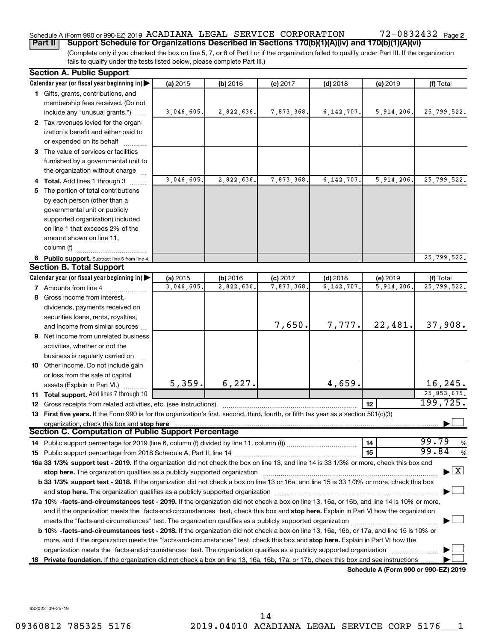### Schedule A (Form 990 or 990-EZ) 2019 ACADIANA LEGAL SERVICE CORPORATION  $72-0832432$  Page

(Complete only if you checked the box on line 5, 7, or 8 of Part I or if the organization failed to qualify under Part III. If the organization fails to qualify under the tests listed below, please complete Part III.) **Part II Support Schedule for Organizations Described in Sections 170(b)(1)(A)(iv) and 170(b)(1)(A)(vi)**

|    | <b>Section A. Public Support</b>                                                                                                                                                                                                                             |            |            |            |              |                                      |                                    |
|----|--------------------------------------------------------------------------------------------------------------------------------------------------------------------------------------------------------------------------------------------------------------|------------|------------|------------|--------------|--------------------------------------|------------------------------------|
|    | Calendar year (or fiscal year beginning in)                                                                                                                                                                                                                  | (a) 2015   | (b) 2016   | $(c)$ 2017 | $(d)$ 2018   | (e) 2019                             | (f) Total                          |
|    | 1 Gifts, grants, contributions, and                                                                                                                                                                                                                          |            |            |            |              |                                      |                                    |
|    | membership fees received. (Do not                                                                                                                                                                                                                            |            |            |            |              |                                      |                                    |
|    | include any "unusual grants.")                                                                                                                                                                                                                               | 3,046,605. | 2,822,636. | 7,873,368. | 6, 142, 707. | 5,914,206.                           | 25,799,522.                        |
|    | 2 Tax revenues levied for the organ-                                                                                                                                                                                                                         |            |            |            |              |                                      |                                    |
|    | ization's benefit and either paid to                                                                                                                                                                                                                         |            |            |            |              |                                      |                                    |
|    | or expended on its behalf                                                                                                                                                                                                                                    |            |            |            |              |                                      |                                    |
|    | 3 The value of services or facilities                                                                                                                                                                                                                        |            |            |            |              |                                      |                                    |
|    | furnished by a governmental unit to                                                                                                                                                                                                                          |            |            |            |              |                                      |                                    |
|    | the organization without charge                                                                                                                                                                                                                              |            |            |            |              |                                      |                                    |
|    | 4 Total. Add lines 1 through 3                                                                                                                                                                                                                               | 3,046,605. | 2,822,636. | 7,873,368. | 6,142,707    | 5,914,206.                           | 25,799,522.                        |
|    | 5 The portion of total contributions                                                                                                                                                                                                                         |            |            |            |              |                                      |                                    |
|    | by each person (other than a                                                                                                                                                                                                                                 |            |            |            |              |                                      |                                    |
|    | governmental unit or publicly                                                                                                                                                                                                                                |            |            |            |              |                                      |                                    |
|    | supported organization) included                                                                                                                                                                                                                             |            |            |            |              |                                      |                                    |
|    | on line 1 that exceeds 2% of the                                                                                                                                                                                                                             |            |            |            |              |                                      |                                    |
|    | amount shown on line 11,                                                                                                                                                                                                                                     |            |            |            |              |                                      |                                    |
|    | column (f)                                                                                                                                                                                                                                                   |            |            |            |              |                                      |                                    |
|    | 6 Public support. Subtract line 5 from line 4.                                                                                                                                                                                                               |            |            |            |              |                                      | 25,799,522.                        |
|    | <b>Section B. Total Support</b>                                                                                                                                                                                                                              |            |            |            |              |                                      |                                    |
|    | Calendar year (or fiscal year beginning in)                                                                                                                                                                                                                  | (a) 2015   | (b) 2016   | $(c)$ 2017 | $(d)$ 2018   | (e) 2019                             | (f) Total                          |
|    | 7 Amounts from line 4                                                                                                                                                                                                                                        | 3,046,605. | 2,822,636. | 7,873,368. | 6,142,707    | 5,914,206                            | 25,799,522.                        |
|    | 8 Gross income from interest,                                                                                                                                                                                                                                |            |            |            |              |                                      |                                    |
|    | dividends, payments received on                                                                                                                                                                                                                              |            |            |            |              |                                      |                                    |
|    | securities loans, rents, royalties,                                                                                                                                                                                                                          |            |            |            |              |                                      |                                    |
|    | and income from similar sources                                                                                                                                                                                                                              |            |            | 7,650.     | 7,777.       | 22,481.                              | 37,908.                            |
|    | <b>9</b> Net income from unrelated business                                                                                                                                                                                                                  |            |            |            |              |                                      |                                    |
|    | activities, whether or not the                                                                                                                                                                                                                               |            |            |            |              |                                      |                                    |
|    | business is regularly carried on                                                                                                                                                                                                                             |            |            |            |              |                                      |                                    |
|    | 10 Other income. Do not include gain                                                                                                                                                                                                                         |            |            |            |              |                                      |                                    |
|    | or loss from the sale of capital                                                                                                                                                                                                                             |            |            |            |              |                                      |                                    |
|    | assets (Explain in Part VI.)                                                                                                                                                                                                                                 | 5,359.     | 6, 227.    |            | 4,659.       |                                      | 16,245.                            |
|    | 11 Total support. Add lines 7 through 10                                                                                                                                                                                                                     |            |            |            |              |                                      | 25,853,675.                        |
|    | <b>12</b> Gross receipts from related activities, etc. (see instructions)                                                                                                                                                                                    |            |            |            |              | 12                                   | 199,725.                           |
|    | 13 First five years. If the Form 990 is for the organization's first, second, third, fourth, or fifth tax year as a section 501(c)(3)                                                                                                                        |            |            |            |              |                                      |                                    |
|    | organization, check this box and stop here<br><b>Section C. Computation of Public Support Percentage</b>                                                                                                                                                     |            |            |            |              |                                      |                                    |
|    |                                                                                                                                                                                                                                                              |            |            |            |              |                                      |                                    |
|    |                                                                                                                                                                                                                                                              |            |            |            |              | 14                                   | 99.79<br>%<br>99.84                |
|    |                                                                                                                                                                                                                                                              |            |            |            |              | 15                                   | %                                  |
|    | 16a 33 1/3% support test - 2019. If the organization did not check the box on line 13, and line 14 is 33 1/3% or more, check this box and                                                                                                                    |            |            |            |              |                                      | $\blacktriangleright$ $\mathbf{X}$ |
|    | stop here. The organization qualifies as a publicly supported organization manufaction manufacture or the organization manufacture or the organization manufacture or the organization manufacture or the state of the state o                               |            |            |            |              |                                      |                                    |
|    | b 33 1/3% support test - 2018. If the organization did not check a box on line 13 or 16a, and line 15 is 33 1/3% or more, check this box                                                                                                                     |            |            |            |              |                                      |                                    |
|    |                                                                                                                                                                                                                                                              |            |            |            |              |                                      |                                    |
|    | 17a 10% -facts-and-circumstances test - 2019. If the organization did not check a box on line 13, 16a, or 16b, and line 14 is 10% or more,                                                                                                                   |            |            |            |              |                                      |                                    |
|    | and if the organization meets the "facts-and-circumstances" test, check this box and stop here. Explain in Part VI how the organization                                                                                                                      |            |            |            |              |                                      |                                    |
|    | meets the "facts-and-circumstances" test. The organization qualifies as a publicly supported organization <i>manumanoment</i>                                                                                                                                |            |            |            |              |                                      |                                    |
|    | b 10% -facts-and-circumstances test - 2018. If the organization did not check a box on line 13, 16a, 16b, or 17a, and line 15 is 10% or                                                                                                                      |            |            |            |              |                                      |                                    |
|    | more, and if the organization meets the "facts-and-circumstances" test, check this box and stop here. Explain in Part VI how the                                                                                                                             |            |            |            |              |                                      |                                    |
|    | organization meets the "facts-and-circumstances" test. The organization qualifies as a publicly supported organization<br>Private foundation. If the organization did not check a box on line 13, 16a, 16b, 17a, or 17b, check this box and see instructions |            |            |            |              |                                      |                                    |
| 18 |                                                                                                                                                                                                                                                              |            |            |            |              | Schedule A (Form 990 or 990-EZ) 2019 |                                    |
|    |                                                                                                                                                                                                                                                              |            |            |            |              |                                      |                                    |

932022 09-25-19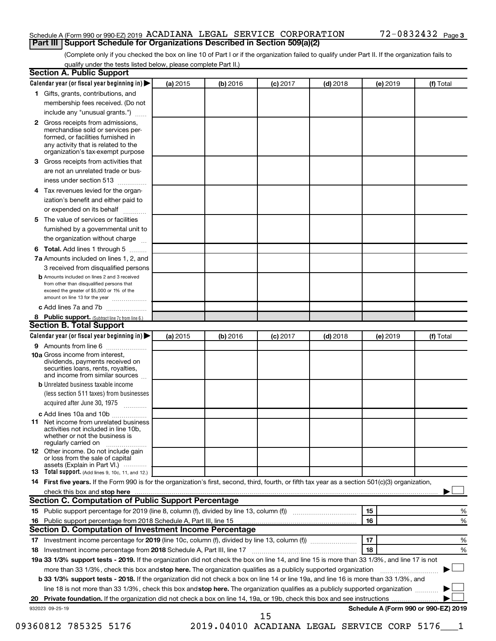#### Schedule A (Form 990 or 990-EZ) 2019 ACADIANA LEGAL SERVICE CORPORATION  $72-0832432$  Page **Part III Support Schedule for Organizations Described in Section 509(a)(2)**

(Complete only if you checked the box on line 10 of Part I or if the organization failed to qualify under Part II. If the organization fails to qualify under the tests listed below, please complete Part II.)

|              | Calendar year (or fiscal year beginning in)                                                                                                         | (a) 2015 | (b) 2016 | $(c)$ 2017                                    | $(d)$ 2018 | (e) 2019 | (f) Total                            |   |
|--------------|-----------------------------------------------------------------------------------------------------------------------------------------------------|----------|----------|-----------------------------------------------|------------|----------|--------------------------------------|---|
|              | 1 Gifts, grants, contributions, and                                                                                                                 |          |          |                                               |            |          |                                      |   |
|              | membership fees received. (Do not                                                                                                                   |          |          |                                               |            |          |                                      |   |
|              | include any "unusual grants.")                                                                                                                      |          |          |                                               |            |          |                                      |   |
| $\mathbf{2}$ | Gross receipts from admissions,<br>merchandise sold or services per-<br>formed, or facilities furnished in                                          |          |          |                                               |            |          |                                      |   |
|              | any activity that is related to the<br>organization's tax-exempt purpose                                                                            |          |          |                                               |            |          |                                      |   |
| 3            | Gross receipts from activities that                                                                                                                 |          |          |                                               |            |          |                                      |   |
|              | are not an unrelated trade or bus-                                                                                                                  |          |          |                                               |            |          |                                      |   |
|              | iness under section 513                                                                                                                             |          |          |                                               |            |          |                                      |   |
| 4            | Tax revenues levied for the organ-                                                                                                                  |          |          |                                               |            |          |                                      |   |
|              | ization's benefit and either paid to                                                                                                                |          |          |                                               |            |          |                                      |   |
|              | or expended on its behalf<br>.                                                                                                                      |          |          |                                               |            |          |                                      |   |
| 5            | The value of services or facilities                                                                                                                 |          |          |                                               |            |          |                                      |   |
|              | furnished by a governmental unit to                                                                                                                 |          |          |                                               |            |          |                                      |   |
|              | the organization without charge                                                                                                                     |          |          |                                               |            |          |                                      |   |
| 6            | Total. Add lines 1 through 5                                                                                                                        |          |          |                                               |            |          |                                      |   |
|              | 7a Amounts included on lines 1, 2, and                                                                                                              |          |          |                                               |            |          |                                      |   |
|              | 3 received from disqualified persons                                                                                                                |          |          |                                               |            |          |                                      |   |
|              | <b>b</b> Amounts included on lines 2 and 3 received                                                                                                 |          |          |                                               |            |          |                                      |   |
|              | from other than disqualified persons that<br>exceed the greater of \$5,000 or 1% of the<br>amount on line 13 for the year                           |          |          |                                               |            |          |                                      |   |
|              | c Add lines 7a and 7b                                                                                                                               |          |          |                                               |            |          |                                      |   |
|              | 8 Public support. (Subtract line 7c from line 6.)                                                                                                   |          |          |                                               |            |          |                                      |   |
|              | <b>Section B. Total Support</b>                                                                                                                     |          |          |                                               |            |          |                                      |   |
|              | Calendar year (or fiscal year beginning in)                                                                                                         | (a) 2015 | (b) 2016 | $(c)$ 2017                                    | $(d)$ 2018 | (e) 2019 | (f) Total                            |   |
|              | 9 Amounts from line 6                                                                                                                               |          |          |                                               |            |          |                                      |   |
|              | <b>10a</b> Gross income from interest,<br>dividends, payments received on<br>securities loans, rents, royalties,<br>and income from similar sources |          |          |                                               |            |          |                                      |   |
|              | <b>b</b> Unrelated business taxable income                                                                                                          |          |          |                                               |            |          |                                      |   |
|              | (less section 511 taxes) from businesses<br>acquired after June 30, 1975                                                                            |          |          |                                               |            |          |                                      |   |
|              | c Add lines 10a and 10b                                                                                                                             |          |          |                                               |            |          |                                      |   |
| 11           | Net income from unrelated business<br>activities not included in line 10b.<br>whether or not the business is                                        |          |          |                                               |            |          |                                      |   |
|              | regularly carried on<br><b>12</b> Other income. Do not include gain<br>or loss from the sale of capital                                             |          |          |                                               |            |          |                                      |   |
|              | assets (Explain in Part VI.)                                                                                                                        |          |          |                                               |            |          |                                      |   |
|              | <b>13</b> Total support. (Add lines 9, 10c, 11, and 12.)                                                                                            |          |          |                                               |            |          |                                      |   |
|              | 14 First five years. If the Form 990 is for the organization's first, second, third, fourth, or fifth tax year as a section 501(c)(3) organization, |          |          |                                               |            |          |                                      |   |
|              |                                                                                                                                                     |          |          |                                               |            |          |                                      |   |
|              | Section C. Computation of Public Support Percentage                                                                                                 |          |          |                                               |            |          |                                      |   |
|              |                                                                                                                                                     |          |          |                                               |            | 15       |                                      | % |
|              |                                                                                                                                                     |          |          |                                               |            | 16       |                                      | % |
|              | Section D. Computation of Investment Income Percentage                                                                                              |          |          |                                               |            |          |                                      |   |
|              |                                                                                                                                                     |          |          |                                               |            | 17       |                                      | % |
|              |                                                                                                                                                     |          |          |                                               |            | 18       |                                      | % |
|              | 19a 33 1/3% support tests - 2019. If the organization did not check the box on line 14, and line 15 is more than 33 1/3%, and line 17 is not        |          |          |                                               |            |          |                                      |   |
|              | more than 33 1/3%, check this box and stop here. The organization qualifies as a publicly supported organization                                    |          |          |                                               |            |          |                                      |   |
|              | <b>b 33 1/3% support tests - 2018.</b> If the organization did not check a box on line 14 or line 19a, and line 16 is more than 33 1/3%, and        |          |          |                                               |            |          |                                      |   |
|              | line 18 is not more than 33 1/3%, check this box and stop here. The organization qualifies as a publicly supported organization                     |          |          |                                               |            |          |                                      |   |
|              |                                                                                                                                                     |          |          |                                               |            |          |                                      |   |
|              | 932023 09-25-19                                                                                                                                     |          |          |                                               |            |          | Schedule A (Form 990 or 990-EZ) 2019 |   |
|              |                                                                                                                                                     |          |          | 15                                            |            |          |                                      |   |
|              | 09360812 785325 5176                                                                                                                                |          |          | 2019.04010 ACADIANA LEGAL SERVICE CORP 5176 1 |            |          |                                      |   |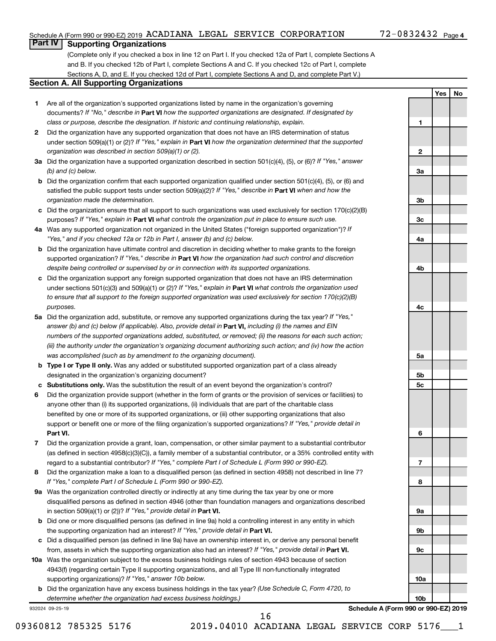**1**

**2**

**3a**

**3b**

**3c**

**4a**

**4b**

**4c**

**5a**

**5b 5c**

**6**

**7**

**8**

**9a**

**9b**

**9c**

**10a**

**10b**

**Yes No**

### **Part IV Supporting Organizations**

(Complete only if you checked a box in line 12 on Part I. If you checked 12a of Part I, complete Sections A and B. If you checked 12b of Part I, complete Sections A and C. If you checked 12c of Part I, complete Sections A, D, and E. If you checked 12d of Part I, complete Sections A and D, and complete Part V.)

#### **Section A. All Supporting Organizations**

- **1** Are all of the organization's supported organizations listed by name in the organization's governing documents? If "No," describe in Part VI how the supported organizations are designated. If designated by *class or purpose, describe the designation. If historic and continuing relationship, explain.*
- **2** Did the organization have any supported organization that does not have an IRS determination of status under section 509(a)(1) or (2)? If "Yes," explain in Part **VI** how the organization determined that the supported *organization was described in section 509(a)(1) or (2).*
- **3a** Did the organization have a supported organization described in section 501(c)(4), (5), or (6)? If "Yes," answer *(b) and (c) below.*
- **b** Did the organization confirm that each supported organization qualified under section 501(c)(4), (5), or (6) and satisfied the public support tests under section 509(a)(2)? If "Yes," describe in Part VI when and how the *organization made the determination.*
- **c** Did the organization ensure that all support to such organizations was used exclusively for section 170(c)(2)(B) purposes? If "Yes," explain in Part VI what controls the organization put in place to ensure such use.
- **4 a** *If* Was any supported organization not organized in the United States ("foreign supported organization")? *"Yes," and if you checked 12a or 12b in Part I, answer (b) and (c) below.*
- **b** Did the organization have ultimate control and discretion in deciding whether to make grants to the foreign supported organization? If "Yes," describe in Part VI how the organization had such control and discretion *despite being controlled or supervised by or in connection with its supported organizations.*
- **c** Did the organization support any foreign supported organization that does not have an IRS determination under sections 501(c)(3) and 509(a)(1) or (2)? If "Yes," explain in Part VI what controls the organization used *to ensure that all support to the foreign supported organization was used exclusively for section 170(c)(2)(B) purposes.*
- **5a** Did the organization add, substitute, or remove any supported organizations during the tax year? If "Yes," answer (b) and (c) below (if applicable). Also, provide detail in **Part VI,** including (i) the names and EIN *numbers of the supported organizations added, substituted, or removed; (ii) the reasons for each such action; (iii) the authority under the organization's organizing document authorizing such action; and (iv) how the action was accomplished (such as by amendment to the organizing document).*
- **b** Type I or Type II only. Was any added or substituted supported organization part of a class already designated in the organization's organizing document?
- **c Substitutions only.**  Was the substitution the result of an event beyond the organization's control?
- **6** Did the organization provide support (whether in the form of grants or the provision of services or facilities) to **Part VI.** support or benefit one or more of the filing organization's supported organizations? If "Yes," provide detail in anyone other than (i) its supported organizations, (ii) individuals that are part of the charitable class benefited by one or more of its supported organizations, or (iii) other supporting organizations that also
- **7** Did the organization provide a grant, loan, compensation, or other similar payment to a substantial contributor regard to a substantial contributor? If "Yes," complete Part I of Schedule L (Form 990 or 990-EZ). (as defined in section 4958(c)(3)(C)), a family member of a substantial contributor, or a 35% controlled entity with
- **8** Did the organization make a loan to a disqualified person (as defined in section 4958) not described in line 7? *If "Yes," complete Part I of Schedule L (Form 990 or 990-EZ).*
- **9 a** Was the organization controlled directly or indirectly at any time during the tax year by one or more in section 509(a)(1) or (2))? If "Yes," provide detail in **Part VI.** disqualified persons as defined in section 4946 (other than foundation managers and organizations described
- **b** Did one or more disqualified persons (as defined in line 9a) hold a controlling interest in any entity in which the supporting organization had an interest? If "Yes," provide detail in Part VI.
- **c** Did a disqualified person (as defined in line 9a) have an ownership interest in, or derive any personal benefit from, assets in which the supporting organization also had an interest? If "Yes," provide detail in Part VI.
- **10 a** Was the organization subject to the excess business holdings rules of section 4943 because of section supporting organizations)? If "Yes," answer 10b below. 4943(f) (regarding certain Type II supporting organizations, and all Type III non-functionally integrated
	- **b** Did the organization have any excess business holdings in the tax year? (Use Schedule C, Form 4720, to *determine whether the organization had excess business holdings.)*

932024 09-25-19

**Schedule A (Form 990 or 990-EZ) 2019**

16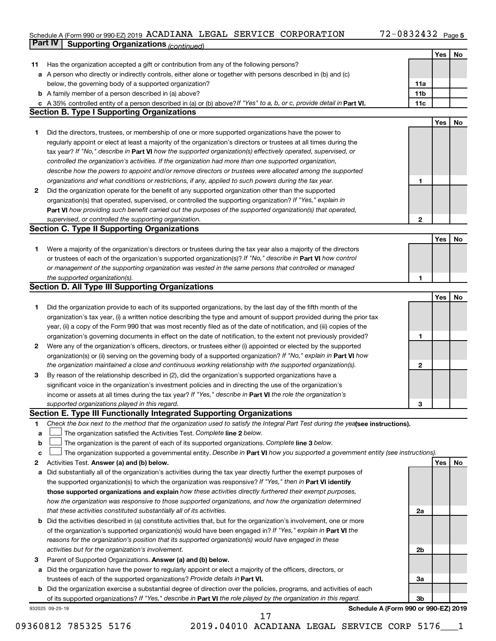#### Schedule A (Form 990 or 990-EZ) 2019 ACADIANA LEGAL SERVICE CORPORATION 72-0832432 Page ACADIANA LEGAL SERVICE CORPORATION 72-0832432

|    | Part IV<br><b>Supporting Organizations (continued)</b>                                                                          |                 |     |    |
|----|---------------------------------------------------------------------------------------------------------------------------------|-----------------|-----|----|
|    |                                                                                                                                 |                 | Yes | No |
| 11 | Has the organization accepted a gift or contribution from any of the following persons?                                         |                 |     |    |
|    | a A person who directly or indirectly controls, either alone or together with persons described in (b) and (c)                  |                 |     |    |
|    | below, the governing body of a supported organization?                                                                          | 11a             |     |    |
|    | <b>b</b> A family member of a person described in (a) above?                                                                    | 11 <sub>b</sub> |     |    |
|    | c A 35% controlled entity of a person described in (a) or (b) above? If "Yes" to a, b, or c, provide detail in Part VI.         | 11c             |     |    |
|    | <b>Section B. Type I Supporting Organizations</b>                                                                               |                 |     |    |
|    |                                                                                                                                 |                 | Yes | No |
|    |                                                                                                                                 |                 |     |    |
| 1  | Did the directors, trustees, or membership of one or more supported organizations have the power to                             |                 |     |    |
|    | regularly appoint or elect at least a majority of the organization's directors or trustees at all times during the              |                 |     |    |
|    | tax year? If "No," describe in Part VI how the supported organization(s) effectively operated, supervised, or                   |                 |     |    |
|    | controlled the organization's activities. If the organization had more than one supported organization,                         |                 |     |    |
|    | describe how the powers to appoint and/or remove directors or trustees were allocated among the supported                       |                 |     |    |
|    | organizations and what conditions or restrictions, if any, applied to such powers during the tax year.                          | 1               |     |    |
| 2  | Did the organization operate for the benefit of any supported organization other than the supported                             |                 |     |    |
|    | organization(s) that operated, supervised, or controlled the supporting organization? If "Yes," explain in                      |                 |     |    |
|    | Part VI how providing such benefit carried out the purposes of the supported organization(s) that operated,                     |                 |     |    |
|    | supervised, or controlled the supporting organization.                                                                          | $\mathbf{2}$    |     |    |
|    | <b>Section C. Type II Supporting Organizations</b>                                                                              |                 |     |    |
|    |                                                                                                                                 |                 | Yes | No |
| 1. | Were a majority of the organization's directors or trustees during the tax year also a majority of the directors                |                 |     |    |
|    | or trustees of each of the organization's supported organization(s)? If "No," describe in Part VI how control                   |                 |     |    |
|    | or management of the supporting organization was vested in the same persons that controlled or managed                          |                 |     |    |
|    | the supported organization(s).                                                                                                  | 1               |     |    |
|    | <b>Section D. All Type III Supporting Organizations</b>                                                                         |                 |     |    |
|    |                                                                                                                                 |                 | Yes | No |
| 1  | Did the organization provide to each of its supported organizations, by the last day of the fifth month of the                  |                 |     |    |
|    |                                                                                                                                 |                 |     |    |
|    | organization's tax year, (i) a written notice describing the type and amount of support provided during the prior tax           |                 |     |    |
|    | year, (ii) a copy of the Form 990 that was most recently filed as of the date of notification, and (iii) copies of the          |                 |     |    |
|    | organization's governing documents in effect on the date of notification, to the extent not previously provided?                | 1               |     |    |
| 2  | Were any of the organization's officers, directors, or trustees either (i) appointed or elected by the supported                |                 |     |    |
|    | organization(s) or (ii) serving on the governing body of a supported organization? If "No," explain in Part VI how              |                 |     |    |
|    | the organization maintained a close and continuous working relationship with the supported organization(s).                     | 2               |     |    |
| 3  | By reason of the relationship described in (2), did the organization's supported organizations have a                           |                 |     |    |
|    | significant voice in the organization's investment policies and in directing the use of the organization's                      |                 |     |    |
|    | income or assets at all times during the tax year? If "Yes," describe in Part VI the role the organization's                    |                 |     |    |
|    | supported organizations played in this regard.                                                                                  | з               |     |    |
|    | Section E. Type III Functionally Integrated Supporting Organizations                                                            |                 |     |    |
| 1  | Check the box next to the method that the organization used to satisfy the Integral Part Test during the yealsee instructions). |                 |     |    |
| а  | The organization satisfied the Activities Test. Complete line 2 below.                                                          |                 |     |    |
| b  | The organization is the parent of each of its supported organizations. Complete line 3 below.                                   |                 |     |    |
| с  | The organization supported a governmental entity. Describe in Part VI how you supported a government entity (see instructions). |                 |     |    |
| 2  | Activities Test. Answer (a) and (b) below.                                                                                      |                 | Yes | No |
| а  | Did substantially all of the organization's activities during the tax year directly further the exempt purposes of              |                 |     |    |
|    | the supported organization(s) to which the organization was responsive? If "Yes," then in Part VI identify                      |                 |     |    |
|    | those supported organizations and explain how these activities directly furthered their exempt purposes,                        |                 |     |    |
|    | how the organization was responsive to those supported organizations, and how the organization determined                       |                 |     |    |
|    | that these activities constituted substantially all of its activities.                                                          | 2a              |     |    |
|    |                                                                                                                                 |                 |     |    |
| b  | Did the activities described in (a) constitute activities that, but for the organization's involvement, one or more             |                 |     |    |
|    | of the organization's supported organization(s) would have been engaged in? If "Yes," explain in Part VI the                    |                 |     |    |
|    | reasons for the organization's position that its supported organization(s) would have engaged in these                          |                 |     |    |
|    | activities but for the organization's involvement.                                                                              | 2b              |     |    |
| 3  | Parent of Supported Organizations. Answer (a) and (b) below.                                                                    |                 |     |    |
| а  | Did the organization have the power to regularly appoint or elect a majority of the officers, directors, or                     |                 |     |    |
|    | trustees of each of the supported organizations? Provide details in Part VI.                                                    | За              |     |    |
|    | <b>b</b> Did the organization exercise a substantial degree of direction over the policies, programs, and activities of each    |                 |     |    |
|    | of its supported organizations? If "Yes," describe in Part VI the role played by the organization in this regard.               | 3b              |     |    |
|    | Schedule A (Form 990 or 990-EZ) 2019<br>932025 09-25-19                                                                         |                 |     |    |

09360812 785325 5176 2019.04010 ACADIANA LEGAL SERVICE CORP 5176 1 17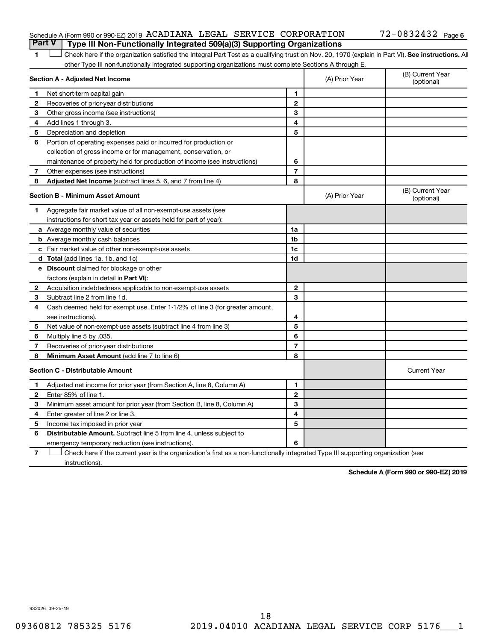#### Schedule A (Form 990 or 990-EZ) 2019 ACADIANA LEGAL SERVICE CORPORATION  $72-0832432$  Page **Part V Type III Non-Functionally Integrated 509(a)(3) Supporting Organizations**

1 **Letter See instructions.** All Check here if the organization satisfied the Integral Part Test as a qualifying trust on Nov. 20, 1970 (explain in Part VI). See instructions. All other Type III non-functionally integrated supporting organizations must complete Sections A through E.

|                          | Section A - Adjusted Net Income                                              | (A) Prior Year | (B) Current Year<br>(optional) |                                |
|--------------------------|------------------------------------------------------------------------------|----------------|--------------------------------|--------------------------------|
| 1                        | Net short-term capital gain                                                  | 1              |                                |                                |
| 2                        | Recoveries of prior-year distributions                                       | $\mathbf{2}$   |                                |                                |
| 3                        | Other gross income (see instructions)                                        | 3              |                                |                                |
| 4                        | Add lines 1 through 3.                                                       | 4              |                                |                                |
| 5                        | Depreciation and depletion                                                   | 5              |                                |                                |
| 6                        | Portion of operating expenses paid or incurred for production or             |                |                                |                                |
|                          | collection of gross income or for management, conservation, or               |                |                                |                                |
|                          | maintenance of property held for production of income (see instructions)     | 6              |                                |                                |
| 7                        | Other expenses (see instructions)                                            | $\overline{7}$ |                                |                                |
| 8                        | Adjusted Net Income (subtract lines 5, 6, and 7 from line 4)                 | 8              |                                |                                |
|                          | <b>Section B - Minimum Asset Amount</b>                                      |                | (A) Prior Year                 | (B) Current Year<br>(optional) |
| 1.                       | Aggregate fair market value of all non-exempt-use assets (see                |                |                                |                                |
|                          | instructions for short tax year or assets held for part of year):            |                |                                |                                |
|                          | a Average monthly value of securities                                        | 1a             |                                |                                |
|                          | <b>b</b> Average monthly cash balances                                       | 1 <sub>b</sub> |                                |                                |
|                          | c Fair market value of other non-exempt-use assets                           | 1c             |                                |                                |
|                          | d Total (add lines 1a, 1b, and 1c)                                           | 1 <sub>d</sub> |                                |                                |
|                          | e Discount claimed for blockage or other                                     |                |                                |                                |
|                          | factors (explain in detail in <b>Part VI</b> ):                              |                |                                |                                |
| 2                        | Acquisition indebtedness applicable to non-exempt-use assets                 | $\mathbf{2}$   |                                |                                |
| 3                        | Subtract line 2 from line 1d.                                                | 3              |                                |                                |
| 4                        | Cash deemed held for exempt use. Enter 1-1/2% of line 3 (for greater amount, |                |                                |                                |
|                          | see instructions).                                                           | 4              |                                |                                |
| 5                        | Net value of non-exempt-use assets (subtract line 4 from line 3)             | 5              |                                |                                |
| 6                        | Multiply line 5 by .035.                                                     | 6              |                                |                                |
| $\overline{\phantom{a}}$ | Recoveries of prior-year distributions                                       | $\overline{7}$ |                                |                                |
| 8                        | Minimum Asset Amount (add line 7 to line 6)                                  | 8              |                                |                                |
|                          | <b>Section C - Distributable Amount</b>                                      |                |                                | <b>Current Year</b>            |
| 1                        | Adjusted net income for prior year (from Section A, line 8, Column A)        | 1              |                                |                                |
| $\mathbf{2}$             | Enter 85% of line 1.                                                         | $\mathbf{2}$   |                                |                                |
| 3                        | Minimum asset amount for prior year (from Section B, line 8, Column A)       | 3              |                                |                                |
| 4                        | Enter greater of line 2 or line 3.                                           | 4              |                                |                                |
| 5                        | Income tax imposed in prior year                                             | 5              |                                |                                |
| 6                        | <b>Distributable Amount.</b> Subtract line 5 from line 4, unless subject to  |                |                                |                                |
|                          | emergency temporary reduction (see instructions).                            | 6              |                                |                                |
|                          |                                                                              |                |                                |                                |

**7** Check here if the current year is the organization's first as a non-functionally integrated Type III supporting organization (see † instructions).

**Schedule A (Form 990 or 990-EZ) 2019**

932026 09-25-19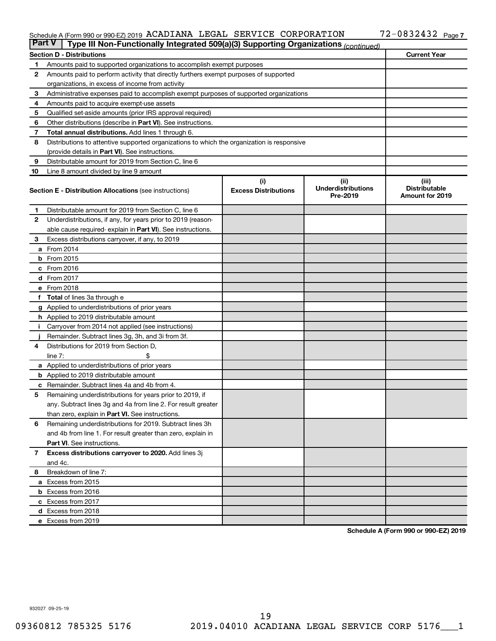#### Schedule A (Form 990 or 990-EZ) 2019 ACADIANA LEGAL SERVICE CORPORATION 72-0832432 Page ACADIANA LEGAL SERVICE CORPORATION 72-0832432

| <b>Part V</b><br>Type III Non-Functionally Integrated 509(a)(3) Supporting Organizations (continued) |                                                                                            |                                    |                                               |                                                         |  |  |  |
|------------------------------------------------------------------------------------------------------|--------------------------------------------------------------------------------------------|------------------------------------|-----------------------------------------------|---------------------------------------------------------|--|--|--|
|                                                                                                      | <b>Current Year</b><br><b>Section D - Distributions</b>                                    |                                    |                                               |                                                         |  |  |  |
| 1                                                                                                    | Amounts paid to supported organizations to accomplish exempt purposes                      |                                    |                                               |                                                         |  |  |  |
| $\mathbf{2}$                                                                                         | Amounts paid to perform activity that directly furthers exempt purposes of supported       |                                    |                                               |                                                         |  |  |  |
|                                                                                                      | organizations, in excess of income from activity                                           |                                    |                                               |                                                         |  |  |  |
| 3                                                                                                    | Administrative expenses paid to accomplish exempt purposes of supported organizations      |                                    |                                               |                                                         |  |  |  |
| 4                                                                                                    | Amounts paid to acquire exempt-use assets                                                  |                                    |                                               |                                                         |  |  |  |
| 5                                                                                                    | Qualified set-aside amounts (prior IRS approval required)                                  |                                    |                                               |                                                         |  |  |  |
| 6                                                                                                    | Other distributions (describe in <b>Part VI</b> ). See instructions.                       |                                    |                                               |                                                         |  |  |  |
| 7                                                                                                    | Total annual distributions. Add lines 1 through 6.                                         |                                    |                                               |                                                         |  |  |  |
| 8                                                                                                    | Distributions to attentive supported organizations to which the organization is responsive |                                    |                                               |                                                         |  |  |  |
|                                                                                                      | (provide details in Part VI). See instructions.                                            |                                    |                                               |                                                         |  |  |  |
| 9                                                                                                    | Distributable amount for 2019 from Section C, line 6                                       |                                    |                                               |                                                         |  |  |  |
| 10                                                                                                   | Line 8 amount divided by line 9 amount                                                     |                                    |                                               |                                                         |  |  |  |
|                                                                                                      | <b>Section E - Distribution Allocations (see instructions)</b>                             | (i)<br><b>Excess Distributions</b> | (ii)<br><b>Underdistributions</b><br>Pre-2019 | (iii)<br><b>Distributable</b><br><b>Amount for 2019</b> |  |  |  |
| 1                                                                                                    | Distributable amount for 2019 from Section C, line 6                                       |                                    |                                               |                                                         |  |  |  |
| $\mathbf{2}$                                                                                         | Underdistributions, if any, for years prior to 2019 (reason-                               |                                    |                                               |                                                         |  |  |  |
|                                                                                                      | able cause required- explain in Part VI). See instructions.                                |                                    |                                               |                                                         |  |  |  |
| 3                                                                                                    | Excess distributions carryover, if any, to 2019                                            |                                    |                                               |                                                         |  |  |  |
|                                                                                                      | a From 2014                                                                                |                                    |                                               |                                                         |  |  |  |
|                                                                                                      | $b$ From 2015                                                                              |                                    |                                               |                                                         |  |  |  |
|                                                                                                      | c From 2016                                                                                |                                    |                                               |                                                         |  |  |  |
|                                                                                                      | <b>d</b> From 2017                                                                         |                                    |                                               |                                                         |  |  |  |
|                                                                                                      | e From 2018                                                                                |                                    |                                               |                                                         |  |  |  |
|                                                                                                      | f Total of lines 3a through e                                                              |                                    |                                               |                                                         |  |  |  |
|                                                                                                      | <b>g</b> Applied to underdistributions of prior years                                      |                                    |                                               |                                                         |  |  |  |
|                                                                                                      | <b>h</b> Applied to 2019 distributable amount                                              |                                    |                                               |                                                         |  |  |  |
| Ť.                                                                                                   | Carryover from 2014 not applied (see instructions)                                         |                                    |                                               |                                                         |  |  |  |
|                                                                                                      | Remainder. Subtract lines 3g, 3h, and 3i from 3f.                                          |                                    |                                               |                                                         |  |  |  |
| 4                                                                                                    | Distributions for 2019 from Section D,                                                     |                                    |                                               |                                                         |  |  |  |
|                                                                                                      | line $7:$                                                                                  |                                    |                                               |                                                         |  |  |  |
|                                                                                                      | <b>a</b> Applied to underdistributions of prior years                                      |                                    |                                               |                                                         |  |  |  |
|                                                                                                      | <b>b</b> Applied to 2019 distributable amount                                              |                                    |                                               |                                                         |  |  |  |
| c                                                                                                    | Remainder. Subtract lines 4a and 4b from 4.                                                |                                    |                                               |                                                         |  |  |  |
| 5                                                                                                    | Remaining underdistributions for years prior to 2019, if                                   |                                    |                                               |                                                         |  |  |  |
|                                                                                                      | any. Subtract lines 3g and 4a from line 2. For result greater                              |                                    |                                               |                                                         |  |  |  |
|                                                                                                      | than zero, explain in Part VI. See instructions.                                           |                                    |                                               |                                                         |  |  |  |
| 6                                                                                                    | Remaining underdistributions for 2019. Subtract lines 3h                                   |                                    |                                               |                                                         |  |  |  |
|                                                                                                      | and 4b from line 1. For result greater than zero, explain in                               |                                    |                                               |                                                         |  |  |  |
|                                                                                                      | <b>Part VI.</b> See instructions.                                                          |                                    |                                               |                                                         |  |  |  |
| $\overline{7}$                                                                                       | Excess distributions carryover to 2020. Add lines 3j                                       |                                    |                                               |                                                         |  |  |  |
|                                                                                                      | and 4c.                                                                                    |                                    |                                               |                                                         |  |  |  |
| 8                                                                                                    | Breakdown of line 7:                                                                       |                                    |                                               |                                                         |  |  |  |
|                                                                                                      | a Excess from 2015                                                                         |                                    |                                               |                                                         |  |  |  |
|                                                                                                      | <b>b</b> Excess from 2016                                                                  |                                    |                                               |                                                         |  |  |  |
|                                                                                                      | c Excess from 2017                                                                         |                                    |                                               |                                                         |  |  |  |
|                                                                                                      | d Excess from 2018                                                                         |                                    |                                               |                                                         |  |  |  |
|                                                                                                      | e Excess from 2019                                                                         |                                    |                                               |                                                         |  |  |  |

**Schedule A (Form 990 or 990-EZ) 2019**

932027 09-25-19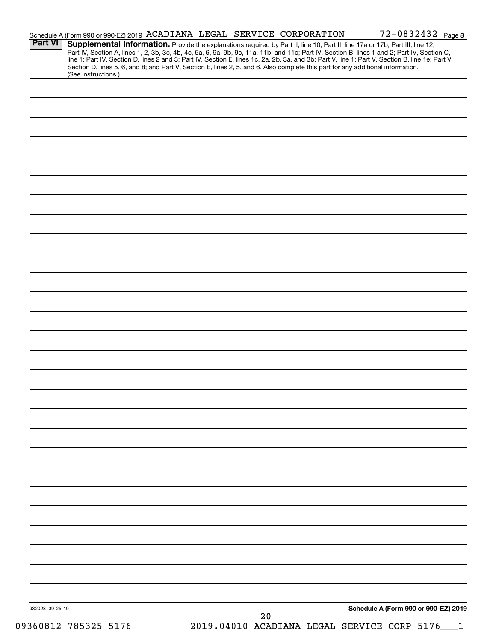|                 |                      | Schedule A (Form 990 or 990-EZ) 2019 ACADIANA LEGAL SERVICE CORPORATION                                                                                                                                                                                                                                                                                                                                                           |    |                                                 | 72-0832432 Page 8                    |  |
|-----------------|----------------------|-----------------------------------------------------------------------------------------------------------------------------------------------------------------------------------------------------------------------------------------------------------------------------------------------------------------------------------------------------------------------------------------------------------------------------------|----|-------------------------------------------------|--------------------------------------|--|
| Part VI         |                      | Supplemental Information. Provide the explanations required by Part II, line 10; Part II, line 17a or 17b; Part III, line 12;<br>Part IV, Section A, lines 1, 2, 3b, 3c, 4b, 4c, 5a, 6, 9a, 9b, 9c, 11a, 11b, and 11c; Part IV, Section B, lines 1 and 2; Part IV, Section C,<br>line 1; Part IV, Section D, lines 2 and 3; Part IV, Section E, lines 1c, 2a, 2b, 3a, and 3b; Part V, line 1; Part V, Section B, line 1e; Part V, |    |                                                 |                                      |  |
|                 | (See instructions.)  | Section D, lines 5, 6, and 8; and Part V, Section E, lines 2, 5, and 6. Also complete this part for any additional information.                                                                                                                                                                                                                                                                                                   |    |                                                 |                                      |  |
|                 |                      |                                                                                                                                                                                                                                                                                                                                                                                                                                   |    |                                                 |                                      |  |
|                 |                      |                                                                                                                                                                                                                                                                                                                                                                                                                                   |    |                                                 |                                      |  |
|                 |                      |                                                                                                                                                                                                                                                                                                                                                                                                                                   |    |                                                 |                                      |  |
|                 |                      |                                                                                                                                                                                                                                                                                                                                                                                                                                   |    |                                                 |                                      |  |
|                 |                      |                                                                                                                                                                                                                                                                                                                                                                                                                                   |    |                                                 |                                      |  |
|                 |                      |                                                                                                                                                                                                                                                                                                                                                                                                                                   |    |                                                 |                                      |  |
|                 |                      |                                                                                                                                                                                                                                                                                                                                                                                                                                   |    |                                                 |                                      |  |
|                 |                      |                                                                                                                                                                                                                                                                                                                                                                                                                                   |    |                                                 |                                      |  |
|                 |                      |                                                                                                                                                                                                                                                                                                                                                                                                                                   |    |                                                 |                                      |  |
|                 |                      |                                                                                                                                                                                                                                                                                                                                                                                                                                   |    |                                                 |                                      |  |
|                 |                      |                                                                                                                                                                                                                                                                                                                                                                                                                                   |    |                                                 |                                      |  |
|                 |                      |                                                                                                                                                                                                                                                                                                                                                                                                                                   |    |                                                 |                                      |  |
|                 |                      |                                                                                                                                                                                                                                                                                                                                                                                                                                   |    |                                                 |                                      |  |
|                 |                      |                                                                                                                                                                                                                                                                                                                                                                                                                                   |    |                                                 |                                      |  |
|                 |                      |                                                                                                                                                                                                                                                                                                                                                                                                                                   |    |                                                 |                                      |  |
|                 |                      |                                                                                                                                                                                                                                                                                                                                                                                                                                   |    |                                                 |                                      |  |
|                 |                      |                                                                                                                                                                                                                                                                                                                                                                                                                                   |    |                                                 |                                      |  |
|                 |                      |                                                                                                                                                                                                                                                                                                                                                                                                                                   |    |                                                 |                                      |  |
|                 |                      |                                                                                                                                                                                                                                                                                                                                                                                                                                   |    |                                                 |                                      |  |
|                 |                      |                                                                                                                                                                                                                                                                                                                                                                                                                                   |    |                                                 |                                      |  |
|                 |                      |                                                                                                                                                                                                                                                                                                                                                                                                                                   |    |                                                 |                                      |  |
|                 |                      |                                                                                                                                                                                                                                                                                                                                                                                                                                   |    |                                                 |                                      |  |
|                 |                      |                                                                                                                                                                                                                                                                                                                                                                                                                                   |    |                                                 |                                      |  |
|                 |                      |                                                                                                                                                                                                                                                                                                                                                                                                                                   |    |                                                 |                                      |  |
|                 |                      |                                                                                                                                                                                                                                                                                                                                                                                                                                   |    |                                                 |                                      |  |
|                 |                      |                                                                                                                                                                                                                                                                                                                                                                                                                                   |    |                                                 |                                      |  |
|                 |                      |                                                                                                                                                                                                                                                                                                                                                                                                                                   |    |                                                 |                                      |  |
|                 |                      |                                                                                                                                                                                                                                                                                                                                                                                                                                   |    |                                                 |                                      |  |
|                 |                      |                                                                                                                                                                                                                                                                                                                                                                                                                                   |    |                                                 |                                      |  |
|                 |                      |                                                                                                                                                                                                                                                                                                                                                                                                                                   |    |                                                 |                                      |  |
|                 |                      |                                                                                                                                                                                                                                                                                                                                                                                                                                   |    |                                                 |                                      |  |
|                 |                      |                                                                                                                                                                                                                                                                                                                                                                                                                                   |    |                                                 |                                      |  |
|                 |                      |                                                                                                                                                                                                                                                                                                                                                                                                                                   |    |                                                 |                                      |  |
|                 |                      |                                                                                                                                                                                                                                                                                                                                                                                                                                   |    |                                                 |                                      |  |
|                 |                      |                                                                                                                                                                                                                                                                                                                                                                                                                                   |    |                                                 |                                      |  |
|                 |                      |                                                                                                                                                                                                                                                                                                                                                                                                                                   |    |                                                 |                                      |  |
|                 |                      |                                                                                                                                                                                                                                                                                                                                                                                                                                   |    |                                                 |                                      |  |
| 932028 09-25-19 |                      |                                                                                                                                                                                                                                                                                                                                                                                                                                   | 20 |                                                 | Schedule A (Form 990 or 990-EZ) 2019 |  |
|                 | 09360812 785325 5176 |                                                                                                                                                                                                                                                                                                                                                                                                                                   |    | 2019.04010 ACADIANA LEGAL SERVICE CORP 5176___1 |                                      |  |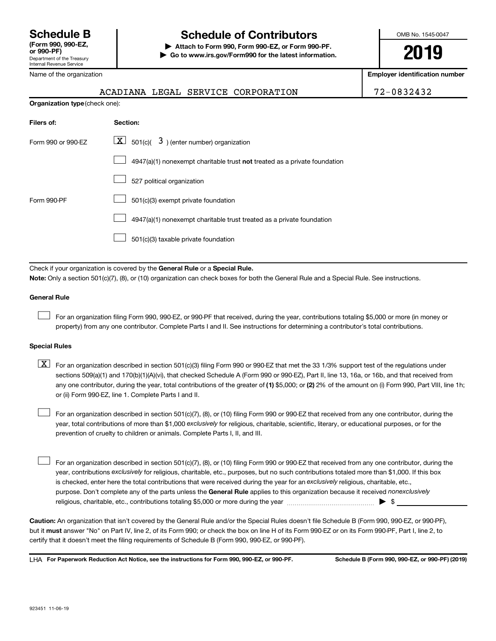#### Name of the organization

### **Schedule B Schedule of Contributors**

**or 990-PF) | Attach to Form 990, Form 990-EZ, or Form 990-PF. | Go to www.irs.gov/Form990 for the latest information.** OMB No. 1545-0047

**2019**

**Employer identification number**

|  | 72-0832432 |
|--|------------|
|--|------------|

| <b>Organization type (check one):</b> |                                                                           |  |  |  |
|---------------------------------------|---------------------------------------------------------------------------|--|--|--|
| Filers of:                            | Section:                                                                  |  |  |  |
| Form 990 or 990-EZ                    | $ \mathbf{X} $ 501(c)( 3) (enter number) organization                     |  |  |  |
|                                       | 4947(a)(1) nonexempt charitable trust not treated as a private foundation |  |  |  |
|                                       | 527 political organization                                                |  |  |  |
| Form 990-PF                           | 501(c)(3) exempt private foundation                                       |  |  |  |
|                                       | 4947(a)(1) nonexempt charitable trust treated as a private foundation     |  |  |  |
|                                       | 501(c)(3) taxable private foundation                                      |  |  |  |

ACADIANA LEGAL SERVICE CORPORATION

Check if your organization is covered by the General Rule or a Special Rule. **Note:**  Only a section 501(c)(7), (8), or (10) organization can check boxes for both the General Rule and a Special Rule. See instructions.

#### **General Rule**

 $\Box$ 

For an organization filing Form 990, 990-EZ, or 990-PF that received, during the year, contributions totaling \$5,000 or more (in money or property) from any one contributor. Complete Parts I and II. See instructions for determining a contributor's total contributions.

#### **Special Rules**

any one contributor, during the year, total contributions of the greater of (1) \$5,000; or (2) 2% of the amount on (i) Form 990, Part VIII, line 1h;  $\boxed{\text{X}}$  For an organization described in section 501(c)(3) filing Form 990 or 990-EZ that met the 33 1/3% support test of the regulations under sections 509(a)(1) and 170(b)(1)(A)(vi), that checked Schedule A (Form 990 or 990-EZ), Part II, line 13, 16a, or 16b, and that received from or (ii) Form 990-EZ, line 1. Complete Parts I and II.

year, total contributions of more than \$1,000 *exclusively* for religious, charitable, scientific, literary, or educational purposes, or for the For an organization described in section 501(c)(7), (8), or (10) filing Form 990 or 990-EZ that received from any one contributor, during the prevention of cruelty to children or animals. Complete Parts I, II, and III.  $\Box$ 

purpose. Don't complete any of the parts unless the General Rule applies to this organization because it received nonexclusively year, contributions exclusively for religious, charitable, etc., purposes, but no such contributions totaled more than \$1,000. If this box is checked, enter here the total contributions that were received during the year for an exclusively religious, charitable, etc., For an organization described in section 501(c)(7), (8), or (10) filing Form 990 or 990-EZ that received from any one contributor, during the religious, charitable, etc., contributions totaling \$5,000 or more during the year  $~\ldots\ldots\ldots\ldots\ldots\ldots\ldots\ldots\ldots\blacktriangleright~$ \$  $\Box$ 

**Caution:**  An organization that isn't covered by the General Rule and/or the Special Rules doesn't file Schedule B (Form 990, 990-EZ, or 990-PF),  **must** but it answer "No" on Part IV, line 2, of its Form 990; or check the box on line H of its Form 990-EZ or on its Form 990-PF, Part I, line 2, to certify that it doesn't meet the filing requirements of Schedule B (Form 990, 990-EZ, or 990-PF).

**For Paperwork Reduction Act Notice, see the instructions for Form 990, 990-EZ, or 990-PF. Schedule B (Form 990, 990-EZ, or 990-PF) (2019)** LHA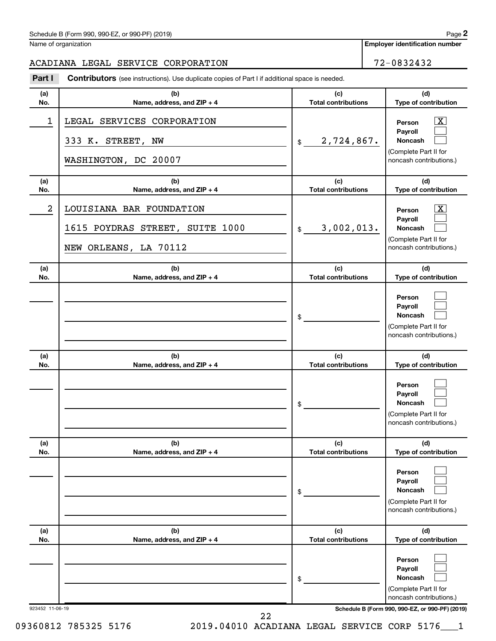Name of organization

**Employer identification number**

#### ACADIANA LEGAL SERVICE CORPORATION 72-0832432

**Part I** Contributors (see instructions). Use duplicate copies of Part I if additional space is needed.

| (a)<br>No.      | (b)<br>Name, address, and ZIP + 4                                                    | (c)<br><b>Total contributions</b> | (d)<br>Type of contribution                                                                                                         |
|-----------------|--------------------------------------------------------------------------------------|-----------------------------------|-------------------------------------------------------------------------------------------------------------------------------------|
| 1               | LEGAL SERVICES CORPORATION<br>333 K. STREET, NW<br>WASHINGTON, DC 20007              | 2,724,867.<br>\$                  | $\overline{\mathbf{X}}$<br>Person<br>Payroll<br>Noncash<br>(Complete Part II for<br>noncash contributions.)                         |
| (a)<br>No.      | (b)<br>Name, address, and ZIP + 4                                                    | (c)<br><b>Total contributions</b> | (d)<br>Type of contribution                                                                                                         |
| 2               | LOUISIANA BAR FOUNDATION<br>1615 POYDRAS STREET, SUITE 1000<br>NEW ORLEANS, LA 70112 | 3,002,013.<br>\$                  | $\overline{\mathbf{X}}$<br>Person<br>Payroll<br><b>Noncash</b><br>(Complete Part II for<br>noncash contributions.)                  |
| (a)<br>No.      | (b)<br>Name, address, and ZIP + 4                                                    | (c)<br><b>Total contributions</b> | (d)<br>Type of contribution                                                                                                         |
|                 |                                                                                      | \$                                | Person<br>Payroll<br><b>Noncash</b><br>(Complete Part II for<br>noncash contributions.)                                             |
| (a)<br>No.      | (b)<br>Name, address, and ZIP + 4                                                    | (c)<br><b>Total contributions</b> | (d)<br>Type of contribution                                                                                                         |
|                 |                                                                                      | \$                                | Person<br>Payroll<br><b>Noncash</b><br>(Complete Part II for<br>noncash contributions.)                                             |
| (a)<br>No.      | (b)<br>Name, address, and ZIP + 4                                                    | (c)<br><b>Total contributions</b> | (d)<br>Type of contribution                                                                                                         |
|                 |                                                                                      | \$                                | Person<br>Payroll<br><b>Noncash</b><br>(Complete Part II for<br>noncash contributions.)                                             |
| (a)<br>No.      | (b)<br>Name, address, and ZIP + 4                                                    | (c)<br><b>Total contributions</b> | (d)<br>Type of contribution                                                                                                         |
| 923452 11-06-19 |                                                                                      | \$                                | Person<br>Payroll<br>Noncash<br>(Complete Part II for<br>noncash contributions.)<br>Schedule B (Form 990, 990-EZ, or 990-PF) (2019) |
|                 | 22                                                                                   |                                   |                                                                                                                                     |

09360812 785325 5176 2019.04010 ACADIANA LEGAL SERVICE CORP 5176 1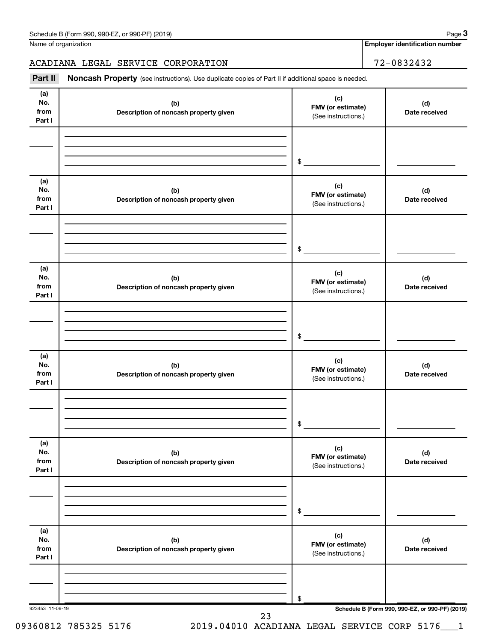Name of organization

**Employer identification number**

ACADIANA LEGAL SERVICE CORPORATION 72-0832432

Part II Noncash Property (see instructions). Use duplicate copies of Part II if additional space is needed.

| (a)<br>No.<br>from<br>Part I | (b)<br>Description of noncash property given | (c)<br>FMV (or estimate)<br>(See instructions.) | (d)<br>Date received                            |
|------------------------------|----------------------------------------------|-------------------------------------------------|-------------------------------------------------|
|                              |                                              | \$                                              |                                                 |
| (a)<br>No.<br>from<br>Part I | (b)<br>Description of noncash property given | (c)<br>FMV (or estimate)<br>(See instructions.) | (d)<br>Date received                            |
|                              |                                              | \$                                              |                                                 |
| (a)<br>No.<br>from<br>Part I | (b)<br>Description of noncash property given | (c)<br>FMV (or estimate)<br>(See instructions.) | (d)<br>Date received                            |
|                              |                                              | \$                                              |                                                 |
| (a)<br>No.<br>from<br>Part I | (b)<br>Description of noncash property given | (c)<br>FMV (or estimate)<br>(See instructions.) | (d)<br>Date received                            |
|                              |                                              | \$                                              |                                                 |
| (a)<br>No.<br>from<br>Part I | (b)<br>Description of noncash property given | (c)<br>FMV (or estimate)<br>(See instructions.) | (d)<br>Date received                            |
|                              |                                              | \$                                              |                                                 |
| (a)<br>No.<br>from<br>Part I | (b)<br>Description of noncash property given | (c)<br>FMV (or estimate)<br>(See instructions.) | (d)<br>Date received                            |
| 923453 11-06-19              |                                              | \$                                              | Schedule B (Form 990, 990-EZ, or 990-PF) (2019) |

09360812 785325 5176 2019.04010 ACADIANA LEGAL SERVICE CORP 5176 1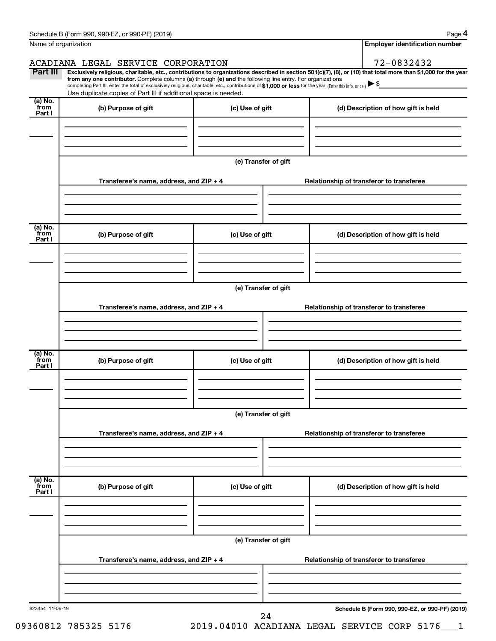|                           | Schedule B (Form 990, 990-EZ, or 990-PF) (2019)                                                                                                                                                                                                                              |                                                                                     |                                          | Page 4                                          |  |  |  |
|---------------------------|------------------------------------------------------------------------------------------------------------------------------------------------------------------------------------------------------------------------------------------------------------------------------|-------------------------------------------------------------------------------------|------------------------------------------|-------------------------------------------------|--|--|--|
|                           | Name of organization                                                                                                                                                                                                                                                         |                                                                                     |                                          | <b>Employer identification number</b>           |  |  |  |
|                           | ACADIANA LEGAL SERVICE CORPORATION                                                                                                                                                                                                                                           |                                                                                     |                                          | 72-0832432                                      |  |  |  |
| Part III                  | Exclusively religious, charitable, etc., contributions to organizations described in section 501(c)(7), (8), or (10) that total more than \$1,000 for the year<br>from any one contributor. Complete columns (a) through (e) and the following line entry. For organizations |                                                                                     |                                          |                                                 |  |  |  |
|                           | completing Part III, enter the total of exclusively religious, charitable, etc., contributions of \$1,000 or less for the year. (Enter this info. once.)<br>Use duplicate copies of Part III if additional space is needed.                                                  |                                                                                     |                                          |                                                 |  |  |  |
| (a) No.                   |                                                                                                                                                                                                                                                                              |                                                                                     |                                          |                                                 |  |  |  |
| from<br>Part I            | (b) Purpose of gift                                                                                                                                                                                                                                                          | (c) Use of gift                                                                     |                                          | (d) Description of how gift is held             |  |  |  |
|                           |                                                                                                                                                                                                                                                                              |                                                                                     |                                          |                                                 |  |  |  |
|                           |                                                                                                                                                                                                                                                                              |                                                                                     |                                          |                                                 |  |  |  |
|                           |                                                                                                                                                                                                                                                                              |                                                                                     |                                          |                                                 |  |  |  |
|                           |                                                                                                                                                                                                                                                                              | (e) Transfer of gift                                                                |                                          |                                                 |  |  |  |
|                           |                                                                                                                                                                                                                                                                              | Transferee's name, address, and ZIP + 4<br>Relationship of transferor to transferee |                                          |                                                 |  |  |  |
|                           |                                                                                                                                                                                                                                                                              |                                                                                     |                                          |                                                 |  |  |  |
|                           |                                                                                                                                                                                                                                                                              |                                                                                     |                                          |                                                 |  |  |  |
|                           |                                                                                                                                                                                                                                                                              |                                                                                     |                                          |                                                 |  |  |  |
| (a) No.<br>from<br>Part I | (b) Purpose of gift<br>(c) Use of gift                                                                                                                                                                                                                                       |                                                                                     |                                          | (d) Description of how gift is held             |  |  |  |
|                           |                                                                                                                                                                                                                                                                              |                                                                                     |                                          |                                                 |  |  |  |
|                           |                                                                                                                                                                                                                                                                              |                                                                                     |                                          |                                                 |  |  |  |
|                           |                                                                                                                                                                                                                                                                              |                                                                                     |                                          |                                                 |  |  |  |
|                           | (e) Transfer of gift                                                                                                                                                                                                                                                         |                                                                                     |                                          |                                                 |  |  |  |
|                           | Transferee's name, address, and ZIP + 4                                                                                                                                                                                                                                      |                                                                                     | Relationship of transferor to transferee |                                                 |  |  |  |
|                           |                                                                                                                                                                                                                                                                              |                                                                                     |                                          |                                                 |  |  |  |
|                           |                                                                                                                                                                                                                                                                              |                                                                                     |                                          |                                                 |  |  |  |
|                           |                                                                                                                                                                                                                                                                              |                                                                                     |                                          |                                                 |  |  |  |
| (a) No.<br>from           | (b) Purpose of gift                                                                                                                                                                                                                                                          | (c) Use of gift                                                                     |                                          | (d) Description of how gift is held             |  |  |  |
| Part I                    |                                                                                                                                                                                                                                                                              |                                                                                     |                                          |                                                 |  |  |  |
|                           |                                                                                                                                                                                                                                                                              |                                                                                     |                                          |                                                 |  |  |  |
|                           |                                                                                                                                                                                                                                                                              |                                                                                     |                                          |                                                 |  |  |  |
|                           | (e) Transfer of gift                                                                                                                                                                                                                                                         |                                                                                     |                                          |                                                 |  |  |  |
|                           |                                                                                                                                                                                                                                                                              |                                                                                     |                                          |                                                 |  |  |  |
|                           | Transferee's name, address, and ZIP + 4                                                                                                                                                                                                                                      |                                                                                     |                                          | Relationship of transferor to transferee        |  |  |  |
|                           |                                                                                                                                                                                                                                                                              |                                                                                     |                                          |                                                 |  |  |  |
|                           |                                                                                                                                                                                                                                                                              |                                                                                     |                                          |                                                 |  |  |  |
| (a) No.<br>from           | (b) Purpose of gift                                                                                                                                                                                                                                                          | (c) Use of gift                                                                     |                                          | (d) Description of how gift is held             |  |  |  |
| Part I                    |                                                                                                                                                                                                                                                                              |                                                                                     |                                          |                                                 |  |  |  |
|                           |                                                                                                                                                                                                                                                                              |                                                                                     |                                          |                                                 |  |  |  |
|                           |                                                                                                                                                                                                                                                                              |                                                                                     |                                          |                                                 |  |  |  |
|                           | (e) Transfer of gift                                                                                                                                                                                                                                                         |                                                                                     |                                          |                                                 |  |  |  |
|                           |                                                                                                                                                                                                                                                                              |                                                                                     |                                          |                                                 |  |  |  |
|                           | Transferee's name, address, and ZIP + 4                                                                                                                                                                                                                                      |                                                                                     |                                          | Relationship of transferor to transferee        |  |  |  |
|                           |                                                                                                                                                                                                                                                                              |                                                                                     |                                          |                                                 |  |  |  |
|                           |                                                                                                                                                                                                                                                                              |                                                                                     |                                          |                                                 |  |  |  |
|                           |                                                                                                                                                                                                                                                                              |                                                                                     |                                          |                                                 |  |  |  |
| 923454 11-06-19           |                                                                                                                                                                                                                                                                              | 24                                                                                  |                                          | Schedule B (Form 990, 990-EZ, or 990-PF) (2019) |  |  |  |

09360812 785325 5176 2019.04010 ACADIANA LEGAL SERVICE CORP 5176\_\_\_1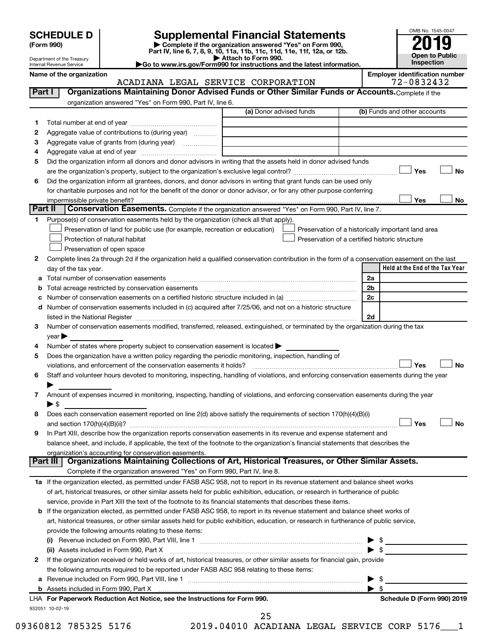| <b>SCHEDULE D</b> |  |  |
|-------------------|--|--|
|-------------------|--|--|

# **SCHEDULE D Supplemental Financial Statements**<br> **Form 990 2019**<br> **Part IV** line 6.7.8.9.10, 11a, 11b, 11d, 11d, 11d, 11d, 11d, 12a, 0r, 12b

**(Form 990) | Complete if the organization answered "Yes" on Form 990, Part IV, line 6, 7, 8, 9, 10, 11a, 11b, 11c, 11d, 11e, 11f, 12a, or 12b.**

**| Attach to Form 990. |Go to www.irs.gov/Form990 for instructions and the latest information.**



Department of the Treasury Internal Revenue Service

#### **Name of the organization**<br>**ACADITANA LEGAL SERVICE CORPORATION Employer identification number**<br>72 – 0832432 ACADIANA LEGAL SERVICE CORPORATION

| Part I  | ACADIANA DEGAD DERVICE CONICIAIION<br>Organizations Maintaining Donor Advised Funds or Other Similar Funds or Accounts. Complete if the                                                                                        |                         | 14 UUJ4IJ4                                         |
|---------|--------------------------------------------------------------------------------------------------------------------------------------------------------------------------------------------------------------------------------|-------------------------|----------------------------------------------------|
|         | organization answered "Yes" on Form 990, Part IV, line 6.                                                                                                                                                                      |                         |                                                    |
|         |                                                                                                                                                                                                                                | (a) Donor advised funds | (b) Funds and other accounts                       |
| 1       |                                                                                                                                                                                                                                |                         |                                                    |
| 2       | Aggregate value of contributions to (during year)                                                                                                                                                                              |                         |                                                    |
| з       |                                                                                                                                                                                                                                |                         |                                                    |
| 4       |                                                                                                                                                                                                                                |                         |                                                    |
| 5       | Did the organization inform all donors and donor advisors in writing that the assets held in donor advised funds                                                                                                               |                         |                                                    |
|         |                                                                                                                                                                                                                                |                         | Yes<br><b>No</b>                                   |
| 6       | Did the organization inform all grantees, donors, and donor advisors in writing that grant funds can be used only                                                                                                              |                         |                                                    |
|         | for charitable purposes and not for the benefit of the donor or donor advisor, or for any other purpose conferring                                                                                                             |                         |                                                    |
|         | impermissible private benefit?                                                                                                                                                                                                 |                         | Yes<br>No                                          |
| Part II | Conservation Easements. Complete if the organization answered "Yes" on Form 990, Part IV, line 7.                                                                                                                              |                         |                                                    |
| 1       | Purpose(s) of conservation easements held by the organization (check all that apply).                                                                                                                                          |                         |                                                    |
|         | Preservation of land for public use (for example, recreation or education)                                                                                                                                                     |                         | Preservation of a historically important land area |
|         | Protection of natural habitat                                                                                                                                                                                                  |                         | Preservation of a certified historic structure     |
|         | Preservation of open space                                                                                                                                                                                                     |                         |                                                    |
| 2       | Complete lines 2a through 2d if the organization held a qualified conservation contribution in the form of a conservation easement on the last                                                                                 |                         |                                                    |
|         | day of the tax year.                                                                                                                                                                                                           |                         | Held at the End of the Tax Year                    |
|         |                                                                                                                                                                                                                                |                         | 2a                                                 |
| b       | Total acreage restricted by conservation easements                                                                                                                                                                             |                         | 2 <sub>b</sub>                                     |
|         |                                                                                                                                                                                                                                |                         | 2 <sub>c</sub>                                     |
|         | d Number of conservation easements included in (c) acquired after 7/25/06, and not on a historic structure                                                                                                                     |                         |                                                    |
|         | listed in the National Register [11, 1200] and the National Register [11, 1200] and the National Register [11, 1200] and the National Register [11, 1200] and the National Register [11, 1200] and the National Register [11,  |                         | 2d                                                 |
| З       | Number of conservation easements modified, transferred, released, extinguished, or terminated by the organization during the tax                                                                                               |                         |                                                    |
|         | year                                                                                                                                                                                                                           |                         |                                                    |
| 4       | Number of states where property subject to conservation easement is located                                                                                                                                                    |                         |                                                    |
| 5       | Does the organization have a written policy regarding the periodic monitoring, inspection, handling of                                                                                                                         |                         |                                                    |
|         | violations, and enforcement of the conservation easements it holds?                                                                                                                                                            |                         | Yes<br>No                                          |
| 6       | Staff and volunteer hours devoted to monitoring, inspecting, handling of violations, and enforcing conservation easements during the year                                                                                      |                         |                                                    |
|         |                                                                                                                                                                                                                                |                         |                                                    |
| 7       | Amount of expenses incurred in monitoring, inspecting, handling of violations, and enforcing conservation easements during the year                                                                                            |                         |                                                    |
|         | $\blacktriangleright$ \$                                                                                                                                                                                                       |                         |                                                    |
| 8       | Does each conservation easement reported on line 2(d) above satisfy the requirements of section 170(h)(4)(B)(i)                                                                                                                |                         |                                                    |
|         |                                                                                                                                                                                                                                |                         | Yes<br><b>No</b>                                   |
| 9       | In Part XIII, describe how the organization reports conservation easements in its revenue and expense statement and                                                                                                            |                         |                                                    |
|         | balance sheet, and include, if applicable, the text of the footnote to the organization's financial statements that describes the                                                                                              |                         |                                                    |
|         | organization's accounting for conservation easements.                                                                                                                                                                          |                         |                                                    |
|         | Organizations Maintaining Collections of Art, Historical Treasures, or Other Similar Assets.<br>Part III I                                                                                                                     |                         |                                                    |
|         | Complete if the organization answered "Yes" on Form 990, Part IV, line 8.                                                                                                                                                      |                         |                                                    |
|         | 1a If the organization elected, as permitted under FASB ASC 958, not to report in its revenue statement and balance sheet works                                                                                                |                         |                                                    |
|         | of art, historical treasures, or other similar assets held for public exhibition, education, or research in furtherance of public                                                                                              |                         |                                                    |
|         | service, provide in Part XIII the text of the footnote to its financial statements that describes these items.                                                                                                                 |                         |                                                    |
|         | <b>b</b> If the organization elected, as permitted under FASB ASC 958, to report in its revenue statement and balance sheet works of                                                                                           |                         |                                                    |
|         | art, historical treasures, or other similar assets held for public exhibition, education, or research in furtherance of public service,                                                                                        |                         |                                                    |
|         | provide the following amounts relating to these items:                                                                                                                                                                         |                         |                                                    |
|         |                                                                                                                                                                                                                                |                         | $\triangleright$ \$                                |
|         |                                                                                                                                                                                                                                |                         |                                                    |
| 2       | If the organization received or held works of art, historical treasures, or other similar assets for financial gain, provide                                                                                                   |                         |                                                    |
|         | the following amounts required to be reported under FASB ASC 958 relating to these items:                                                                                                                                      |                         |                                                    |
| а       |                                                                                                                                                                                                                                |                         | \$                                                 |
|         | b Assets included in Form 990, Part X [11] matter is a substitute that is a set of the state of the state of the state of the state of the state of the state of the state of the state of the state of the state of the state |                         | $\blacktriangleright$ s                            |
|         | LHA For Paperwork Reduction Act Notice, see the Instructions for Form 990.                                                                                                                                                     |                         | Schedule D (Form 990) 2019                         |
|         | 932051 10-02-19                                                                                                                                                                                                                |                         |                                                    |
|         |                                                                                                                                                                                                                                | 25                      |                                                    |

09360812 785325 5176 2019.04010 ACADIANA LEGAL SERVICE CORP 5176 1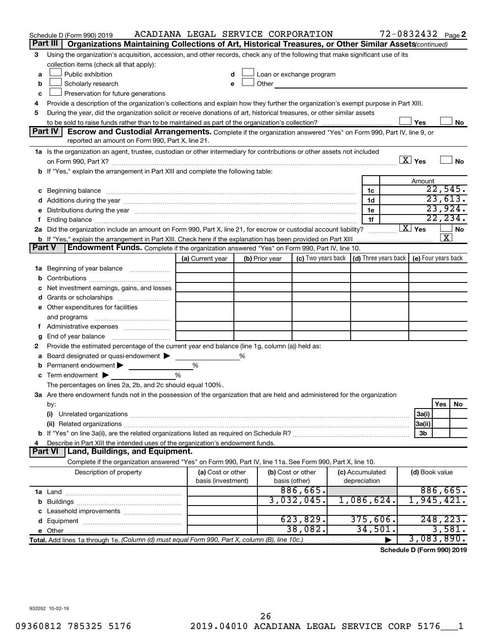|               | Schedule D (Form 990) 2019                                                                                                                                                                                                     | ACADIANA LEGAL SERVICE CORPORATION |   |                |                                                                                                                                                                                                                                |                                                                             |   | 72-0832432 Page 2        |                         |           |
|---------------|--------------------------------------------------------------------------------------------------------------------------------------------------------------------------------------------------------------------------------|------------------------------------|---|----------------|--------------------------------------------------------------------------------------------------------------------------------------------------------------------------------------------------------------------------------|-----------------------------------------------------------------------------|---|--------------------------|-------------------------|-----------|
|               | Part III<br>Organizations Maintaining Collections of Art, Historical Treasures, or Other Similar Assets (continued)                                                                                                            |                                    |   |                |                                                                                                                                                                                                                                |                                                                             |   |                          |                         |           |
| 3             | Using the organization's acquisition, accession, and other records, check any of the following that make significant use of its                                                                                                |                                    |   |                |                                                                                                                                                                                                                                |                                                                             |   |                          |                         |           |
|               | collection items (check all that apply):                                                                                                                                                                                       |                                    |   |                |                                                                                                                                                                                                                                |                                                                             |   |                          |                         |           |
| a             | Public exhibition                                                                                                                                                                                                              |                                    |   |                | Loan or exchange program                                                                                                                                                                                                       |                                                                             |   |                          |                         |           |
| b             | Scholarly research                                                                                                                                                                                                             |                                    |   |                | Other and the control of the control of the control of the control of the control of the control of the control of the control of the control of the control of the control of the control of the control of the control of th |                                                                             |   |                          |                         |           |
| c             | Preservation for future generations                                                                                                                                                                                            |                                    |   |                |                                                                                                                                                                                                                                |                                                                             |   |                          |                         |           |
| 4             | Provide a description of the organization's collections and explain how they further the organization's exempt purpose in Part XIII.                                                                                           |                                    |   |                |                                                                                                                                                                                                                                |                                                                             |   |                          |                         |           |
| 5             | During the year, did the organization solicit or receive donations of art, historical treasures, or other similar assets                                                                                                       |                                    |   |                |                                                                                                                                                                                                                                |                                                                             |   |                          |                         |           |
|               |                                                                                                                                                                                                                                |                                    |   |                |                                                                                                                                                                                                                                |                                                                             |   | Yes                      |                         | No        |
|               | Part IV<br><b>Escrow and Custodial Arrangements.</b> Complete if the organization answered "Yes" on Form 990, Part IV, line 9, or                                                                                              |                                    |   |                |                                                                                                                                                                                                                                |                                                                             |   |                          |                         |           |
|               | reported an amount on Form 990, Part X, line 21.                                                                                                                                                                               |                                    |   |                |                                                                                                                                                                                                                                |                                                                             |   |                          |                         |           |
|               | 1a Is the organization an agent, trustee, custodian or other intermediary for contributions or other assets not included                                                                                                       |                                    |   |                |                                                                                                                                                                                                                                |                                                                             |   |                          |                         |           |
|               | on Form 990, Part X? [11] matter and matter and matter and matter and matter and matter and matter and matter                                                                                                                  |                                    |   |                |                                                                                                                                                                                                                                |                                                                             |   | $\boxed{\text{X}}$ Yes   |                         | No        |
|               | b If "Yes," explain the arrangement in Part XIII and complete the following table:                                                                                                                                             |                                    |   |                |                                                                                                                                                                                                                                |                                                                             |   |                          |                         |           |
|               |                                                                                                                                                                                                                                |                                    |   |                |                                                                                                                                                                                                                                |                                                                             |   | Amount                   | 22,545.                 |           |
|               | c Beginning balance measurements and the contract of the contract of the contract of the contract of the contract of the contract of the contract of the contract of the contract of the contract of the contract of the contr |                                    |   |                |                                                                                                                                                                                                                                | 1c                                                                          |   |                          | 23,613.                 |           |
|               | d Additions during the year manufactured and an account of a state of the state of an account of the state of the state of the state of the state of the state of the state of the state of the state of the state of the stat |                                    |   |                |                                                                                                                                                                                                                                | 1d                                                                          |   |                          | 23,924.                 |           |
|               | e Distributions during the year manufactured and continuum control of the control of the control of the state of the control of the control of the control of the control of the control of the control of the control of the  |                                    |   |                |                                                                                                                                                                                                                                | 1e                                                                          |   |                          | 22, 234.                |           |
|               | 2a Did the organization include an amount on Form 990, Part X, line 21, for escrow or custodial account liability?                                                                                                             |                                    |   |                |                                                                                                                                                                                                                                | 1f                                                                          |   | $\boxed{\mathbf{X}}$ Yes |                         | <b>No</b> |
|               |                                                                                                                                                                                                                                |                                    |   |                |                                                                                                                                                                                                                                |                                                                             |   |                          | $\overline{\textbf{x}}$ |           |
| <b>Part V</b> | Endowment Funds. Complete if the organization answered "Yes" on Form 990, Part IV, line 10.                                                                                                                                    |                                    |   |                |                                                                                                                                                                                                                                |                                                                             |   |                          |                         |           |
|               |                                                                                                                                                                                                                                | (a) Current year                   |   | (b) Prior year |                                                                                                                                                                                                                                | (c) Two years back $\vert$ (d) Three years back $\vert$ (e) Four years back |   |                          |                         |           |
|               | 1a Beginning of year balance                                                                                                                                                                                                   |                                    |   |                |                                                                                                                                                                                                                                |                                                                             |   |                          |                         |           |
|               |                                                                                                                                                                                                                                |                                    |   |                |                                                                                                                                                                                                                                |                                                                             |   |                          |                         |           |
|               | Net investment earnings, gains, and losses                                                                                                                                                                                     |                                    |   |                |                                                                                                                                                                                                                                |                                                                             |   |                          |                         |           |
|               |                                                                                                                                                                                                                                |                                    |   |                |                                                                                                                                                                                                                                |                                                                             |   |                          |                         |           |
|               | e Other expenditures for facilities                                                                                                                                                                                            |                                    |   |                |                                                                                                                                                                                                                                |                                                                             |   |                          |                         |           |
|               |                                                                                                                                                                                                                                |                                    |   |                |                                                                                                                                                                                                                                |                                                                             |   |                          |                         |           |
|               |                                                                                                                                                                                                                                |                                    |   |                |                                                                                                                                                                                                                                |                                                                             |   |                          |                         |           |
|               | <b>g</b> End of year balance $\ldots$                                                                                                                                                                                          |                                    |   |                |                                                                                                                                                                                                                                |                                                                             |   |                          |                         |           |
| 2             | Provide the estimated percentage of the current year end balance (line 1g, column (a)) held as:                                                                                                                                |                                    |   |                |                                                                                                                                                                                                                                |                                                                             |   |                          |                         |           |
|               | Board designated or quasi-endowment                                                                                                                                                                                            |                                    | % |                |                                                                                                                                                                                                                                |                                                                             |   |                          |                         |           |
|               | <b>b</b> Permanent endowment $\blacktriangleright$                                                                                                                                                                             | %                                  |   |                |                                                                                                                                                                                                                                |                                                                             |   |                          |                         |           |
|               | $\mathbf c$ Term endowment $\blacktriangleright$                                                                                                                                                                               | %                                  |   |                |                                                                                                                                                                                                                                |                                                                             |   |                          |                         |           |
|               | The percentages on lines 2a, 2b, and 2c should equal 100%.                                                                                                                                                                     |                                    |   |                |                                                                                                                                                                                                                                |                                                                             |   |                          |                         |           |
|               | 3a Are there endowment funds not in the possession of the organization that are held and administered for the organization                                                                                                     |                                    |   |                |                                                                                                                                                                                                                                |                                                                             |   |                          |                         |           |
|               | by:                                                                                                                                                                                                                            |                                    |   |                |                                                                                                                                                                                                                                |                                                                             |   |                          | Yes                     | No        |
|               | (i)                                                                                                                                                                                                                            |                                    |   |                |                                                                                                                                                                                                                                |                                                                             |   | 3a(i)                    |                         |           |
|               |                                                                                                                                                                                                                                |                                    |   |                |                                                                                                                                                                                                                                |                                                                             |   | 3a(ii)                   |                         |           |
|               |                                                                                                                                                                                                                                |                                    |   |                |                                                                                                                                                                                                                                |                                                                             |   | 3b                       |                         |           |
| 4             | Describe in Part XIII the intended uses of the organization's endowment funds.                                                                                                                                                 |                                    |   |                |                                                                                                                                                                                                                                |                                                                             |   |                          |                         |           |
|               | Land, Buildings, and Equipment.<br><b>Part VI</b>                                                                                                                                                                              |                                    |   |                |                                                                                                                                                                                                                                |                                                                             |   |                          |                         |           |
|               | Complete if the organization answered "Yes" on Form 990, Part IV, line 11a. See Form 990, Part X, line 10.                                                                                                                     |                                    |   |                |                                                                                                                                                                                                                                |                                                                             |   |                          |                         |           |
|               | Description of property                                                                                                                                                                                                        | (a) Cost or other                  |   |                | (b) Cost or other                                                                                                                                                                                                              | (c) Accumulated                                                             |   | (d) Book value           |                         |           |
|               |                                                                                                                                                                                                                                | basis (investment)                 |   |                | basis (other)                                                                                                                                                                                                                  | depreciation                                                                |   |                          |                         |           |
|               |                                                                                                                                                                                                                                |                                    |   |                | 886,665.                                                                                                                                                                                                                       |                                                                             |   |                          | 886,665.                |           |
|               |                                                                                                                                                                                                                                |                                    |   |                | 3,032,045.                                                                                                                                                                                                                     | 1,086,624.                                                                  |   | 1,945,421.               |                         |           |
|               |                                                                                                                                                                                                                                |                                    |   |                |                                                                                                                                                                                                                                |                                                                             |   |                          |                         |           |
|               |                                                                                                                                                                                                                                |                                    |   |                | 623,829.                                                                                                                                                                                                                       | 375,606.                                                                    |   |                          | 248, 223.               |           |
|               |                                                                                                                                                                                                                                |                                    |   |                | 38,082.                                                                                                                                                                                                                        | 34,501.                                                                     |   |                          | 3,581.                  |           |
|               | Total. Add lines 1a through 1e. (Column (d) must equal Form 990, Part X, column (B), line 10c.)                                                                                                                                |                                    |   |                |                                                                                                                                                                                                                                |                                                                             | ▶ | 3,083,890.               |                         |           |

**Schedule D (Form 990) 2019**

932052 10-02-19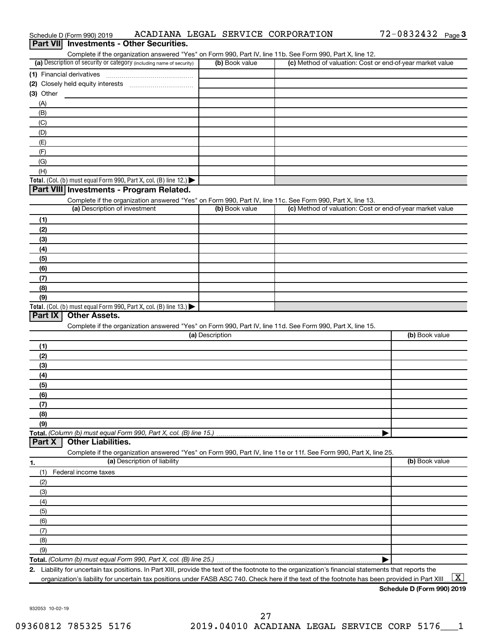| Schedule D (Form 990) 2019                                                                                                                           | ACADIANA LEGAL SERVICE CORPORATION | 72-0832432 Page 3                                         |
|------------------------------------------------------------------------------------------------------------------------------------------------------|------------------------------------|-----------------------------------------------------------|
| <b>Investments - Other Securities.</b><br><b>Part VIII</b>                                                                                           |                                    |                                                           |
| Complete if the organization answered "Yes" on Form 990, Part IV, line 11b. See Form 990, Part X, line 12.                                           |                                    |                                                           |
| (a) Description of security or category (including name of security)                                                                                 | (b) Book value                     | (c) Method of valuation: Cost or end-of-year market value |
| (1) Financial derivatives                                                                                                                            |                                    |                                                           |
| (2) Closely held equity interests<br>(3) Other                                                                                                       |                                    |                                                           |
| (A)                                                                                                                                                  |                                    |                                                           |
| (B)                                                                                                                                                  |                                    |                                                           |
| (C)                                                                                                                                                  |                                    |                                                           |
| (D)                                                                                                                                                  |                                    |                                                           |
| (E)                                                                                                                                                  |                                    |                                                           |
| (F)                                                                                                                                                  |                                    |                                                           |
| (G)                                                                                                                                                  |                                    |                                                           |
| (H)                                                                                                                                                  |                                    |                                                           |
| Total. (Col. (b) must equal Form 990, Part X, col. (B) line 12.) $\blacktriangleright$                                                               |                                    |                                                           |
| Part VIII Investments - Program Related.                                                                                                             |                                    |                                                           |
| Complete if the organization answered "Yes" on Form 990, Part IV, line 11c. See Form 990, Part X, line 13.                                           |                                    |                                                           |
| (a) Description of investment                                                                                                                        | (b) Book value                     | (c) Method of valuation: Cost or end-of-year market value |
| (1)                                                                                                                                                  |                                    |                                                           |
| (2)                                                                                                                                                  |                                    |                                                           |
| (3)                                                                                                                                                  |                                    |                                                           |
| (4)                                                                                                                                                  |                                    |                                                           |
| (5)                                                                                                                                                  |                                    |                                                           |
| (6)                                                                                                                                                  |                                    |                                                           |
| (7)                                                                                                                                                  |                                    |                                                           |
| (8)                                                                                                                                                  |                                    |                                                           |
| (9)<br>Total. (Col. (b) must equal Form 990, Part X, col. (B) line 13.) $\blacktriangleright$                                                        |                                    |                                                           |
| <b>Other Assets.</b><br>Part IX                                                                                                                      |                                    |                                                           |
| Complete if the organization answered "Yes" on Form 990, Part IV, line 11d. See Form 990, Part X, line 15.                                           |                                    |                                                           |
|                                                                                                                                                      | (a) Description                    | (b) Book value                                            |
| (1)                                                                                                                                                  |                                    |                                                           |
| (2)                                                                                                                                                  |                                    |                                                           |
| (3)                                                                                                                                                  |                                    |                                                           |
| (4)                                                                                                                                                  |                                    |                                                           |
| (5)                                                                                                                                                  |                                    |                                                           |
| (6)                                                                                                                                                  |                                    |                                                           |
| (7)                                                                                                                                                  |                                    |                                                           |
| (8)                                                                                                                                                  |                                    |                                                           |
| (9)                                                                                                                                                  |                                    |                                                           |
| Total. (Column (b) must equal Form 990, Part X, col. (B) line 15.)                                                                                   |                                    |                                                           |
| <b>Other Liabilities.</b><br>Part X                                                                                                                  |                                    |                                                           |
| Complete if the organization answered "Yes" on Form 990, Part IV, line 11e or 11f. See Form 990, Part X, line 25.                                    |                                    |                                                           |
| (a) Description of liability<br>1.                                                                                                                   |                                    | (b) Book value                                            |
| (1)<br>Federal income taxes                                                                                                                          |                                    |                                                           |
| (2)                                                                                                                                                  |                                    |                                                           |
| (3)                                                                                                                                                  |                                    |                                                           |
| (4)                                                                                                                                                  |                                    |                                                           |
| (5)                                                                                                                                                  |                                    |                                                           |
| (6)                                                                                                                                                  |                                    |                                                           |
| (7)<br>(8)                                                                                                                                           |                                    |                                                           |
| (9)                                                                                                                                                  |                                    |                                                           |
|                                                                                                                                                      |                                    |                                                           |
| 2. Liability for uncertain tax positions. In Part XIII, provide the text of the footnote to the organization's financial statements that reports the |                                    |                                                           |

organization's liability for uncertain tax positions under FASB ASC 740. Check here if the text of the footnote has been provided in Part XIII ...  $\fbox{\bf X}$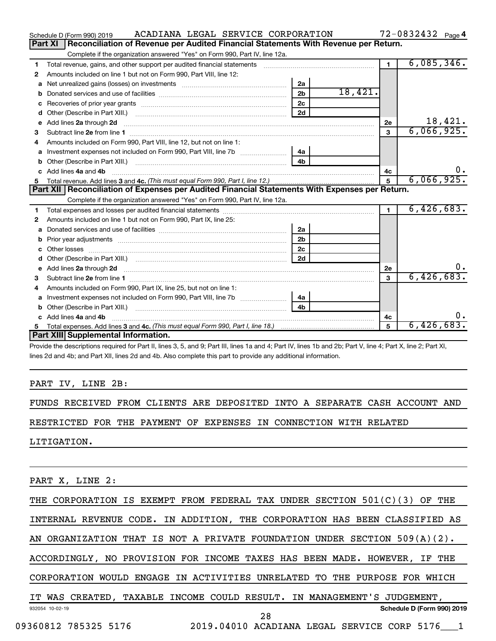|    | ACADIANA LEGAL SERVICE CORPORATION<br>Schedule D (Form 990) 2019                                                                                                                                                                    |                |         |                | $72 - 0832432$ Page 4 |
|----|-------------------------------------------------------------------------------------------------------------------------------------------------------------------------------------------------------------------------------------|----------------|---------|----------------|-----------------------|
|    | Reconciliation of Revenue per Audited Financial Statements With Revenue per Return.<br>Part XI                                                                                                                                      |                |         |                |                       |
|    | Complete if the organization answered "Yes" on Form 990, Part IV, line 12a.                                                                                                                                                         |                |         |                |                       |
| 1  | Total revenue, gains, and other support per audited financial statements                                                                                                                                                            |                |         | $\overline{1}$ | 6,085,346.            |
| 2  | Amounts included on line 1 but not on Form 990, Part VIII, line 12:                                                                                                                                                                 |                |         |                |                       |
| a  |                                                                                                                                                                                                                                     | 2a             |         |                |                       |
| b  |                                                                                                                                                                                                                                     | 2 <sub>b</sub> | 18,421. |                |                       |
| с  |                                                                                                                                                                                                                                     | 2c             |         |                |                       |
| d  |                                                                                                                                                                                                                                     | 2d             |         |                |                       |
| e  | Add lines 2a through 2d <b>contained a contained a contained a contained a</b> contained a contact the contact of the contact of the contact of the contact of the contact of the contact of the contact of the contact of the cont |                |         | 2е             | 18,421.               |
| 3  |                                                                                                                                                                                                                                     |                |         | 3              | 6,066,925.            |
| 4  | Amounts included on Form 990, Part VIII, line 12, but not on line 1:                                                                                                                                                                |                |         |                |                       |
|    | Investment expenses not included on Form 990, Part VIII, line 7b [[[[[[[[[[[[[[[[[[[[[[]]]]]]]]                                                                                                                                     | 4a             |         |                |                       |
| b  |                                                                                                                                                                                                                                     | 4 <sub>b</sub> |         |                |                       |
| c. | Add lines 4a and 4b                                                                                                                                                                                                                 |                |         | 4с             | 0.                    |
|    |                                                                                                                                                                                                                                     |                |         | 5              | 6,066,925.            |
|    | Part XII   Reconciliation of Expenses per Audited Financial Statements With Expenses per Return.                                                                                                                                    |                |         |                |                       |
|    | Complete if the organization answered "Yes" on Form 990, Part IV, line 12a.                                                                                                                                                         |                |         |                |                       |
| 1  |                                                                                                                                                                                                                                     |                |         | $\blacksquare$ | 6,426,683.            |
| 2  | Amounts included on line 1 but not on Form 990, Part IX, line 25:                                                                                                                                                                   |                |         |                |                       |
| a  |                                                                                                                                                                                                                                     | 2a             |         |                |                       |
| b  |                                                                                                                                                                                                                                     | 2 <sub>b</sub> |         |                |                       |
|    |                                                                                                                                                                                                                                     | 2 <sub>c</sub> |         |                |                       |
| d  |                                                                                                                                                                                                                                     | 2d             |         |                |                       |
| е  | Add lines 2a through 2d <b>[10]</b> University material contracts and the set of the set of the set of the set of the set of the set of the set of the set of the set of the set of the set of the set of the set of the set of the |                |         | 2е             | υ.                    |
| З  |                                                                                                                                                                                                                                     |                |         |                |                       |
|    |                                                                                                                                                                                                                                     |                |         | 3              | 6,426,683.            |
| 4  | Amounts included on Form 990, Part IX, line 25, but not on line 1:                                                                                                                                                                  |                |         |                |                       |
| a  |                                                                                                                                                                                                                                     | 4a             |         |                |                       |
| b  |                                                                                                                                                                                                                                     | 4 <sub>b</sub> |         |                |                       |
| c. | Add lines 4a and 4b                                                                                                                                                                                                                 |                |         | 4c             | $0$ .                 |
|    | Part XIII Supplemental Information.                                                                                                                                                                                                 |                |         | 5              | 6,426,683.            |

Provide the descriptions required for Part II, lines 3, 5, and 9; Part III, lines 1a and 4; Part IV, lines 1b and 2b; Part V, line 4; Part X, line 2; Part XI, lines 2d and 4b; and Part XII, lines 2d and 4b. Also complete this part to provide any additional information.

#### PART IV, LINE 2B:

FUNDS RECEIVED FROM CLIENTS ARE DEPOSITED INTO A SEPARATE CASH ACCOUNT AND

RESTRICTED FOR THE PAYMENT OF EXPENSES IN CONNECTION WITH RELATED

LITIGATION.

PART X, LINE 2:

|                      |  | THE CORPORATION IS EXEMPT FROM FEDERAL TAX UNDER SECTION 501(C)(3) OF THE    |  |    |  |                                                  |                            |  |
|----------------------|--|------------------------------------------------------------------------------|--|----|--|--------------------------------------------------|----------------------------|--|
|                      |  | INTERNAL REVENUE CODE. IN ADDITION, THE CORPORATION HAS BEEN CLASSIFIED AS   |  |    |  |                                                  |                            |  |
|                      |  | AN ORGANIZATION THAT IS NOT A PRIVATE FOUNDATION UNDER SECTION $509(A)(2)$ . |  |    |  |                                                  |                            |  |
|                      |  | ACCORDINGLY, NO PROVISION FOR INCOME TAXES HAS BEEN MADE. HOWEVER, IF THE    |  |    |  |                                                  |                            |  |
|                      |  | CORPORATION WOULD ENGAGE IN ACTIVITIES UNRELATED TO THE PURPOSE FOR WHICH    |  |    |  |                                                  |                            |  |
|                      |  | IT WAS CREATED, TAXABLE INCOME COULD RESULT. IN MANAGEMENT'S JUDGEMENT,      |  |    |  |                                                  |                            |  |
| 932054 10-02-19      |  |                                                                              |  |    |  |                                                  | Schedule D (Form 990) 2019 |  |
| 09360812 785325 5176 |  |                                                                              |  | 28 |  | 2019.04010 ACADIANA LEGAL SERVICE CORP 5176____1 |                            |  |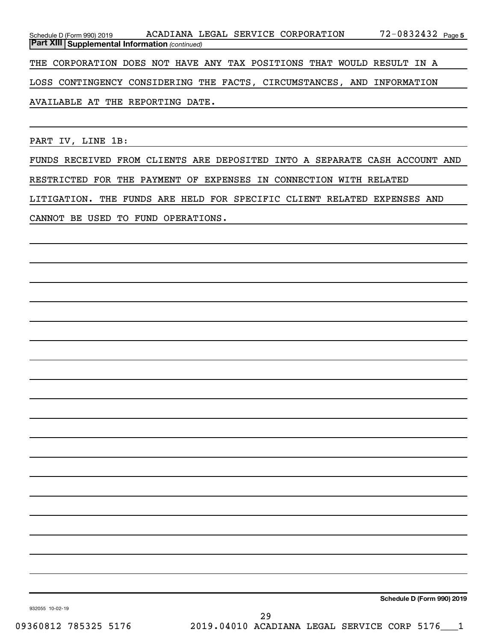| Schedule D (Form 990) 2019                                             |  | ACADIANA LEGAL SERVICE CORPORATION | 72-0832432 <sub>Page 5</sub> |
|------------------------------------------------------------------------|--|------------------------------------|------------------------------|
| <b>Part XIII Supplemental Information (continued)</b>                  |  |                                    |                              |
| THE CORPORATION DOES NOT HAVE ANY TAX POSITIONS THAT WOULD RESULT IN A |  |                                    |                              |
| LOSS CONTINGENCY CONSIDERING THE FACTS, CIRCUMSTANCES, AND INFORMATION |  |                                    |                              |
| AVAILABLE AT THE REPORTING DATE.                                       |  |                                    |                              |
|                                                                        |  |                                    |                              |

PART IV, LINE 1B:

FUNDS RECEIVED FROM CLIENTS ARE DEPOSITED INTO A SEPARATE CASH ACCOUNT AND RESTRICTED FOR THE PAYMENT OF EXPENSES IN CONNECTION WITH RELATED LITIGATION. THE FUNDS ARE HELD FOR SPECIFIC CLIENT RELATED EXPENSES AND

CANNOT BE USED TO FUND OPERATIONS.

**Schedule D (Form 990) 2019**

932055 10-02-19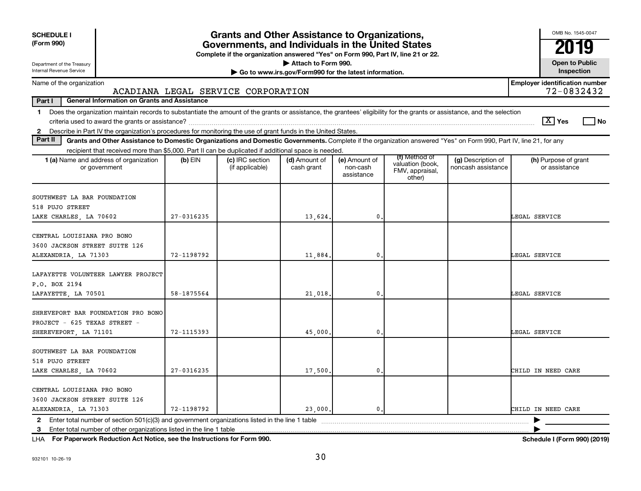| <b>SCHEDULE I</b><br>(Form 990)                                                                                                                                                                                                                                                                          |            | <b>Grants and Other Assistance to Organizations,</b><br>Governments, and Individuals in the United States<br>Complete if the organization answered "Yes" on Form 990, Part IV, line 21 or 22. |                                                                              |                                         |                                                                |                                          | OMB No. 1545-0047<br>2019                           |
|----------------------------------------------------------------------------------------------------------------------------------------------------------------------------------------------------------------------------------------------------------------------------------------------------------|------------|-----------------------------------------------------------------------------------------------------------------------------------------------------------------------------------------------|------------------------------------------------------------------------------|-----------------------------------------|----------------------------------------------------------------|------------------------------------------|-----------------------------------------------------|
| Department of the Treasury<br>Internal Revenue Service                                                                                                                                                                                                                                                   |            |                                                                                                                                                                                               | Attach to Form 990.<br>Go to www.irs.gov/Form990 for the latest information. |                                         |                                                                |                                          | <b>Open to Public</b><br>Inspection                 |
| Name of the organization                                                                                                                                                                                                                                                                                 |            | ACADIANA LEGAL SERVICE CORPORATION                                                                                                                                                            |                                                                              |                                         |                                                                |                                          | <b>Employer identification number</b><br>72-0832432 |
| Part I<br><b>General Information on Grants and Assistance</b>                                                                                                                                                                                                                                            |            |                                                                                                                                                                                               |                                                                              |                                         |                                                                |                                          |                                                     |
| Does the organization maintain records to substantiate the amount of the grants or assistance, the grantees' eligibility for the grants or assistance, and the selection<br>$\mathbf 1$<br>Describe in Part IV the organization's procedures for monitoring the use of grant funds in the United States. |            |                                                                                                                                                                                               |                                                                              |                                         |                                                                |                                          | $ \mathbf{X} $ Yes<br>l No                          |
| $\mathbf{2}$<br>Part II<br>Grants and Other Assistance to Domestic Organizations and Domestic Governments. Complete if the organization answered "Yes" on Form 990, Part IV, line 21, for any                                                                                                            |            |                                                                                                                                                                                               |                                                                              |                                         |                                                                |                                          |                                                     |
| recipient that received more than \$5,000. Part II can be duplicated if additional space is needed.                                                                                                                                                                                                      |            |                                                                                                                                                                                               |                                                                              |                                         |                                                                |                                          |                                                     |
| 1 (a) Name and address of organization<br>or government                                                                                                                                                                                                                                                  | $(b)$ EIN  | (c) IRC section<br>(if applicable)                                                                                                                                                            | (d) Amount of<br>cash grant                                                  | (e) Amount of<br>non-cash<br>assistance | (f) Method of<br>valuation (book,<br>FMV, appraisal,<br>other) | (g) Description of<br>noncash assistance | (h) Purpose of grant<br>or assistance               |
| SOUTHWEST LA BAR FOUNDATION<br>518 PUJO STREET<br>LAKE CHARLES, LA 70602                                                                                                                                                                                                                                 | 27-0316235 |                                                                                                                                                                                               | 13,624.                                                                      | 0                                       |                                                                |                                          | LEGAL SERVICE                                       |
| CENTRAL LOUISIANA PRO BONO<br>3600 JACKSON STREET SUITE 126<br>ALEXANDRIA, LA 71303                                                                                                                                                                                                                      | 72-1198792 |                                                                                                                                                                                               | 11,884.                                                                      | 0                                       |                                                                |                                          | LEGAL SERVICE                                       |
| LAFAYETTE VOLUNTEER LAWYER PROJECT<br>P.O. BOX 2194<br>LAFAYETTE, LA 70501                                                                                                                                                                                                                               | 58-1875564 |                                                                                                                                                                                               | 21,018.                                                                      | 0                                       |                                                                |                                          | LEGAL SERVICE                                       |
| SHREVEPORT BAR FOUNDATION PRO BONO<br>PROJECT - 625 TEXAS STREET -<br>SHEREVEPORT, LA 71101                                                                                                                                                                                                              | 72-1115393 |                                                                                                                                                                                               | 45,000                                                                       | 0                                       |                                                                |                                          | LEGAL SERVICE                                       |
| SOUTHWEST LA BAR FOUNDATION<br>518 PUJO STREET<br>LAKE CHARLES, LA 70602                                                                                                                                                                                                                                 | 27-0316235 |                                                                                                                                                                                               | 17,500.                                                                      | 0                                       |                                                                |                                          | CHILD IN NEED CARE                                  |
| CENTRAL LOUISIANA PRO BONO<br>3600 JACKSON STREET SUITE 126<br>ALEXANDRIA, LA 71303                                                                                                                                                                                                                      | 72-1198792 |                                                                                                                                                                                               | 23,000.                                                                      | $\mathbf{0}$ .                          |                                                                |                                          | CHILD IN NEED CARE                                  |
| 3 Enter total number of other organizations listed in the line 1 table                                                                                                                                                                                                                                   |            |                                                                                                                                                                                               |                                                                              |                                         |                                                                |                                          |                                                     |

**For Paperwork Reduction Act Notice, see the Instructions for Form 990. Schedule I (Form 990) (2019)** LHA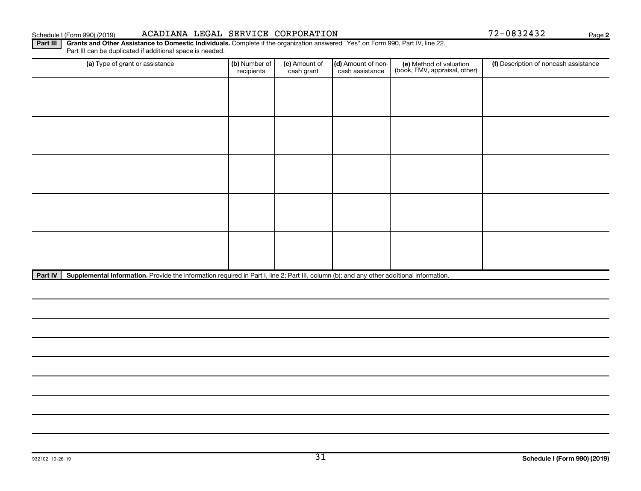#### Schedule I (Form 990) (2019) ACADIANA LEGAL SERVICE CORPORATION Page

**2**

Part III | Grants and Other Assistance to Domestic Individuals. Complete if the organization answered "Yes" on Form 990, Part IV, line 22. Part III can be duplicated if additional space is needed.

| (a) Type of grant or assistance | (b) Number of<br>recipients | (c) Amount of<br>cash grant | (d) Amount of non-<br>cash assistance | (e) Method of valuation<br>(book, FMV, appraisal, other) | (f) Description of noncash assistance |
|---------------------------------|-----------------------------|-----------------------------|---------------------------------------|----------------------------------------------------------|---------------------------------------|
|                                 |                             |                             |                                       |                                                          |                                       |
|                                 |                             |                             |                                       |                                                          |                                       |
|                                 |                             |                             |                                       |                                                          |                                       |
|                                 |                             |                             |                                       |                                                          |                                       |
|                                 |                             |                             |                                       |                                                          |                                       |
|                                 |                             |                             |                                       |                                                          |                                       |
|                                 |                             |                             |                                       |                                                          |                                       |
|                                 |                             |                             |                                       |                                                          |                                       |
|                                 |                             |                             |                                       |                                                          |                                       |
|                                 |                             |                             |                                       |                                                          |                                       |
| المسامرات والمستحدث<br>.<br>.   |                             |                             |                                       |                                                          |                                       |

Part IV | Supplemental Information. Provide the information required in Part I, line 2; Part III, column (b); and any other additional information.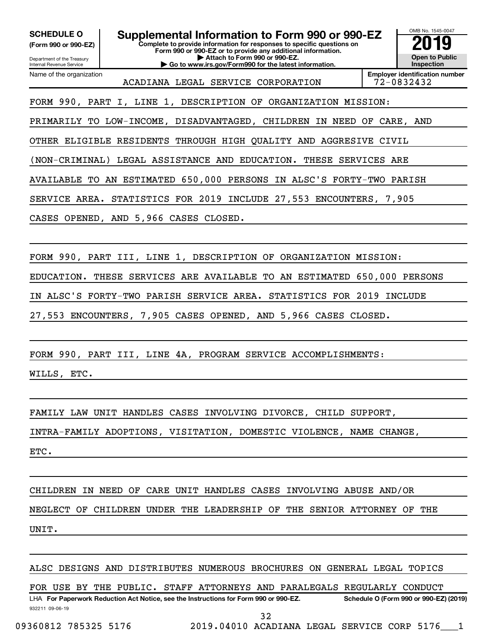**(Form 990 or 990-EZ)**

**Complete to provide information for responses to specific questions on SCHEDULE O Supplemental Information to Form 990 or 990-EZ 2019** 

**Form 990 or 990-EZ or to provide any additional information. | Attach to Form 990 or 990-EZ. | Go to www.irs.gov/Form990 for the latest information.**



Department of the Treasury Internal Revenue Service Name of the organization

ACADIANA LEGAL SERVICE CORPORATION 72-0832432

**Employer identification number**

FORM 990, PART I, LINE 1, DESCRIPTION OF ORGANIZATION MISSION:

PRIMARILY TO LOW-INCOME, DISADVANTAGED, CHILDREN IN NEED OF CARE, AND

OTHER ELIGIBLE RESIDENTS THROUGH HIGH QUALITY AND AGGRESIVE CIVIL

(NON-CRIMINAL) LEGAL ASSISTANCE AND EDUCATION. THESE SERVICES ARE

AVAILABLE TO AN ESTIMATED 650,000 PERSONS IN ALSC'S FORTY-TWO PARISH

SERVICE AREA. STATISTICS FOR 2019 INCLUDE 27,553 ENCOUNTERS, 7,905

CASES OPENED, AND 5,966 CASES CLOSED.

FORM 990, PART III, LINE 1, DESCRIPTION OF ORGANIZATION MISSION:

EDUCATION. THESE SERVICES ARE AVAILABLE TO AN ESTIMATED 650,000 PERSONS

IN ALSC'S FORTY-TWO PARISH SERVICE AREA. STATISTICS FOR 2019 INCLUDE

27,553 ENCOUNTERS, 7,905 CASES OPENED, AND 5,966 CASES CLOSED.

FORM 990, PART III, LINE 4A, PROGRAM SERVICE ACCOMPLISHMENTS:

WILLS, ETC.

FAMILY LAW UNIT HANDLES CASES INVOLVING DIVORCE, CHILD SUPPORT,

INTRA-FAMILY ADOPTIONS, VISITATION, DOMESTIC VIOLENCE, NAME CHANGE,

ETC.

CHILDREN IN NEED OF CARE UNIT HANDLES CASES INVOLVING ABUSE AND/OR

NEGLECT OF CHILDREN UNDER THE LEADERSHIP OF THE SENIOR ATTORNEY OF THE

UNIT.

ALSC DESIGNS AND DISTRIBUTES NUMEROUS BROCHURES ON GENERAL LEGAL TOPICS

FOR USE BY THE PUBLIC. STAFF ATTORNEYS AND PARALEGALS REGULARLY CONDUCT

932211 09-06-19 LHA For Paperwork Reduction Act Notice, see the Instructions for Form 990 or 990-EZ. Schedule O (Form 990 or 990-EZ) (2019) 32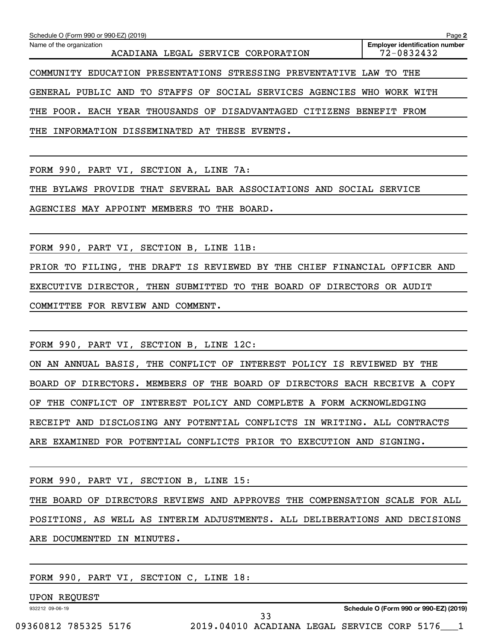| Schedule O (Form 990 or 990-EZ) (2019) |                                                                        | Page 2                                              |
|----------------------------------------|------------------------------------------------------------------------|-----------------------------------------------------|
| Name of the organization               | ACADIANA LEGAL SERVICE CORPORATION                                     | <b>Employer identification number</b><br>72-0832432 |
|                                        | COMMUNITY EDUCATION PRESENTATIONS STRESSING PREVENTATIVE LAW TO THE    |                                                     |
|                                        | GENERAL PUBLIC AND TO STAFFS OF SOCIAL SERVICES AGENCIES WHO WORK WITH |                                                     |
|                                        | THE POOR. EACH YEAR THOUSANDS OF DISADVANTAGED CITIZENS BENEFIT FROM   |                                                     |
| THE                                    | INFORMATION DISSEMINATED AT THESE EVENTS.                              |                                                     |

FORM 990, PART VI, SECTION A, LINE 7A:

THE BYLAWS PROVIDE THAT SEVERAL BAR ASSOCIATIONS AND SOCIAL SERVICE

AGENCIES MAY APPOINT MEMBERS TO THE BOARD.

FORM 990, PART VI, SECTION B, LINE 11B:

PRIOR TO FILING, THE DRAFT IS REVIEWED BY THE CHIEF FINANCIAL OFFICER AND EXECUTIVE DIRECTOR, THEN SUBMITTED TO THE BOARD OF DIRECTORS OR AUDIT COMMITTEE FOR REVIEW AND COMMENT.

FORM 990, PART VI, SECTION B, LINE 12C:

ON AN ANNUAL BASIS, THE CONFLICT OF INTEREST POLICY IS REVIEWED BY THE BOARD OF DIRECTORS. MEMBERS OF THE BOARD OF DIRECTORS EACH RECEIVE A COPY OF THE CONFLICT OF INTEREST POLICY AND COMPLETE A FORM ACKNOWLEDGING RECEIPT AND DISCLOSING ANY POTENTIAL CONFLICTS IN WRITING. ALL CONTRACTS ARE EXAMINED FOR POTENTIAL CONFLICTS PRIOR TO EXECUTION AND SIGNING.

FORM 990, PART VI, SECTION B, LINE 15:

THE BOARD OF DIRECTORS REVIEWS AND APPROVES THE COMPENSATION SCALE FOR ALL POSITIONS, AS WELL AS INTERIM ADJUSTMENTS. ALL DELIBERATIONS AND DECISIONS ARE DOCUMENTED IN MINUTES.

FORM 990, PART VI, SECTION C, LINE 18:

UPON REQUEST

932212 09-06-19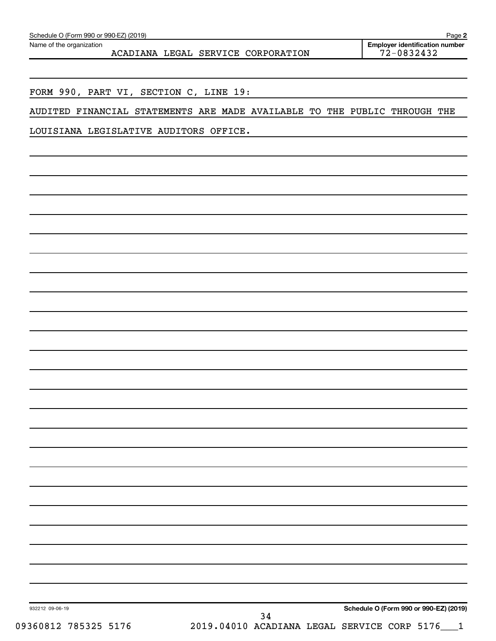| Schedule O (Form 990 or 990-EZ) (2019)<br>Page |
|------------------------------------------------|
|------------------------------------------------|

Name of the organization

ACADIANA LEGAL SERVICE CORPORATION

FORM 990, PART VI, SECTION C, LINE 19:

AUDITED FINANCIAL STATEMENTS ARE MADE AVAILABLE TO THE PUBLIC THROUGH THE

LOUISIANA LEGISLATIVE AUDITORS OFFICE.

932212 09-06-19